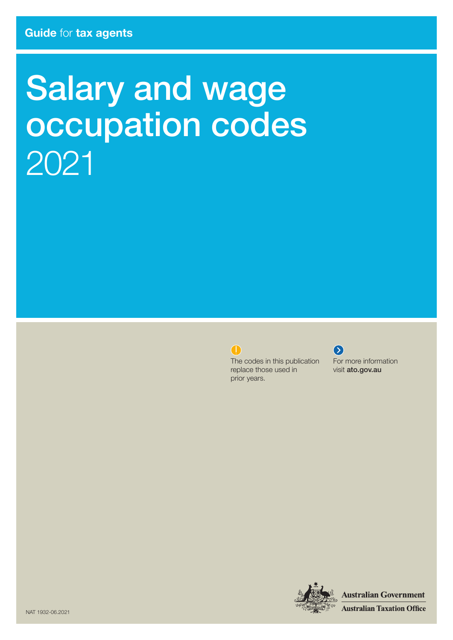# Salary and wage occupation codes 2021



The codes in this publication replace those used in prior years.



For more information visit ato.gov.au



**Australian Government** 

**Australian Taxation Office**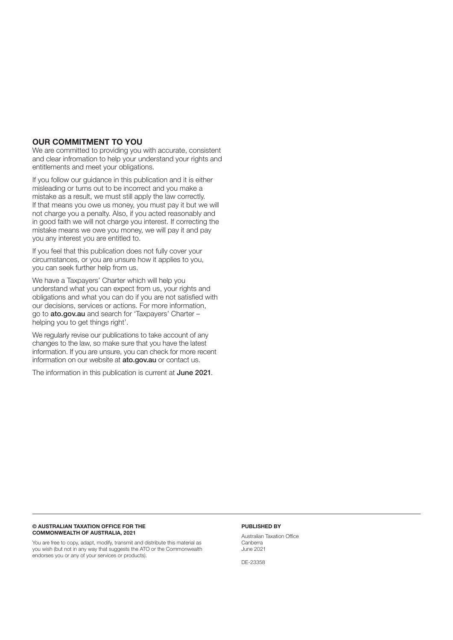### OUR COMMITMENT TO YOU

We are committed to providing you with accurate, consistent and clear infromation to help your understand your rights and entitlements and meet your obligations.

If you follow our guidance in this publication and it is either misleading or turns out to be incorrect and you make a mistake as a result, we must still apply the law correctly. If that means you owe us money, you must pay it but we will not charge you a penalty. Also, if you acted reasonably and in good faith we will not charge you interest. If correcting the mistake means we owe you money, we will pay it and pay you any interest you are entitled to.

If you feel that this publication does not fully cover your circumstances, or you are unsure how it applies to you, you can seek further help from us.

We have a Taxpayers' Charter which will help you understand what you can expect from us, your rights and obligations and what you can do if you are not satisfied with our decisions, services or actions. For more information, go to ato.gov.au and search for 'Taxpayers' Charter – helping you to get things right'.

We regularly revise our publications to take account of any changes to the law, so make sure that you have the latest information. If you are unsure, you can check for more recent information on our website at ato.gov.au or contact us.

The information in this publication is current at June 2021.

### © AUSTRALIAN TAXATION OFFICE FOR THE COMMONWEALTH OF AUSTRALIA, 2021

You are free to copy, adapt, modify, transmit and distribute this material as you wish (but not in any way that suggests the ATO or the Commonwealth endorses you or any of your services or products).

### PUBLISHED BY

Australian Taxation Office Canberra June 2021

DE-23358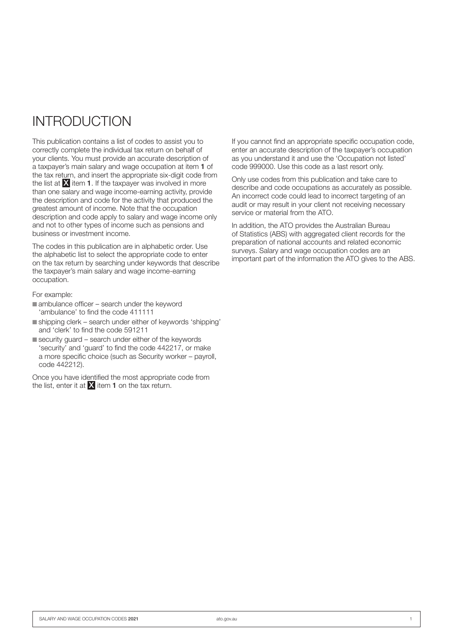# INTRODUCTION

This publication contains a list of codes to assist you to correctly complete the individual tax return on behalf of your clients. You must provide an accurate description of a taxpayer's main salary and wage occupation at item 1 of the tax return, and insert the appropriate six‑digit code from the list at  $\bar{\mathbf{X}}$  item 1. If the taxpayer was involved in more than one salary and wage income‑earning activity, provide the description and code for the activity that produced the greatest amount of income. Note that the occupation description and code apply to salary and wage income only and not to other types of income such as pensions and business or investment income.

The codes in this publication are in alphabetic order. Use the alphabetic list to select the appropriate code to enter on the tax return by searching under keywords that describe the taxpayer's main salary and wage income‑earning occupation.

For example:

- $\blacksquare$  ambulance officer search under the keyword 'ambulance' to find the code 411111
- n shipping clerk search under either of keywords 'shipping' and 'clerk' to find the code 591211
- $\blacksquare$  security guard search under either of the keywords 'security' and 'guard' to find the code 442217, or make a more specific choice (such as Security worker – payroll, code 442212).

Once you have identified the most appropriate code from the list, enter it at  $X$  item 1 on the tax return.

If you cannot find an appropriate specific occupation code, enter an accurate description of the taxpayer's occupation as you understand it and use the 'Occupation not listed' code 999000. Use this code as a last resort only.

Only use codes from this publication and take care to describe and code occupations as accurately as possible. An incorrect code could lead to incorrect targeting of an audit or may result in your client not receiving necessary service or material from the ATO.

In addition, the ATO provides the Australian Bureau of Statistics (ABS) with aggregated client records for the preparation of national accounts and related economic surveys. Salary and wage occupation codes are an important part of the information the ATO gives to the ABS.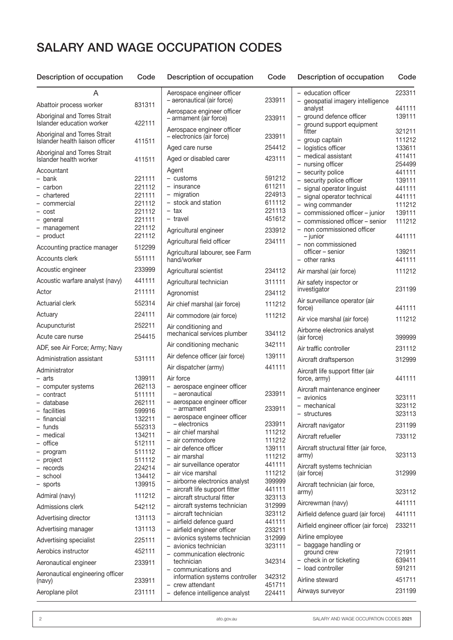## SALARY AND WAGE OCCUPATION CODES

| Description of occupation                                                                                                                                                                 | voue                                                                                                                                     | Des                                                                                                   |
|-------------------------------------------------------------------------------------------------------------------------------------------------------------------------------------------|------------------------------------------------------------------------------------------------------------------------------------------|-------------------------------------------------------------------------------------------------------|
| A                                                                                                                                                                                         |                                                                                                                                          | Aerc                                                                                                  |
| Abattoir process worker                                                                                                                                                                   | 831311                                                                                                                                   | – ae                                                                                                  |
| Aboriginal and Torres Strait<br>Islander education worker                                                                                                                                 | 422111                                                                                                                                   | Aerc<br>– arr                                                                                         |
| Aboriginal and Torres Strait<br>Islander health liaison officer                                                                                                                           | 411511                                                                                                                                   | Aerc<br>– ele                                                                                         |
| Aboriginal and Torres Strait<br>Islander health worker                                                                                                                                    | 411511                                                                                                                                   | Age<br>Age                                                                                            |
| Accountant<br>bank<br>$-$<br>- carbon<br>- chartered<br>- commercial<br>- cost<br>- general<br>- management<br>- product                                                                  | 221111<br>221112<br>221111<br>221112<br>221112<br>221111<br>221112<br>221112                                                             | Age<br>– cı<br>$-$ in<br>– m<br>– st<br>– ta<br>– tra<br>Agri<br>Agri                                 |
| Accounting practice manager<br>Accounts clerk                                                                                                                                             | 512299<br>551111                                                                                                                         | Agri                                                                                                  |
| Acoustic engineer                                                                                                                                                                         | 233999                                                                                                                                   | hano<br>Agri                                                                                          |
| Acoustic warfare analyst (navy)                                                                                                                                                           | 441111                                                                                                                                   | Agri                                                                                                  |
| Actor                                                                                                                                                                                     | 211111                                                                                                                                   | Agro                                                                                                  |
| Actuarial clerk                                                                                                                                                                           | 552314                                                                                                                                   | Air c                                                                                                 |
| Actuary                                                                                                                                                                                   | 224111                                                                                                                                   | Air c                                                                                                 |
| Acupuncturist                                                                                                                                                                             | 252211                                                                                                                                   | Air c                                                                                                 |
| Acute care nurse                                                                                                                                                                          | 254415                                                                                                                                   | mec                                                                                                   |
| ADF, see Air Force; Army; Navy                                                                                                                                                            |                                                                                                                                          | Air c                                                                                                 |
| Administration assistant                                                                                                                                                                  | 531111                                                                                                                                   | Air c                                                                                                 |
| Administrator                                                                                                                                                                             |                                                                                                                                          | Air c                                                                                                 |
| – arts<br>- computer systems<br>- contract<br>- database<br>- facilities<br>- financial<br>- funds<br>medical<br>office<br>- program<br>- project<br>- records<br>school<br>sports<br>$-$ | 139911<br>262113<br>511111<br>262111<br>599916<br>132211<br>552313<br>134211<br>512111<br>511112<br>511112<br>224214<br>134412<br>139915 | Air f<br>$-$ ae<br>-<br>– ає<br>Ξ,<br>- а<br>Ξ.<br>ai<br>- ai<br>ai<br>– ai<br>ai<br>– ai<br>ai<br>ai |
| Admiral (navy)                                                                                                                                                                            | 111212                                                                                                                                   | ai                                                                                                    |
| Admissions clerk                                                                                                                                                                          | 542112                                                                                                                                   | ai                                                                                                    |
| Advertising director                                                                                                                                                                      | 131113                                                                                                                                   | - ai<br>ai                                                                                            |
| Advertising manager                                                                                                                                                                       | 131113                                                                                                                                   | – ai                                                                                                  |
| Advertising specialist                                                                                                                                                                    | 225111                                                                                                                                   | - a<br>- a                                                                                            |
| Aerobics instructor                                                                                                                                                                       | 452111                                                                                                                                   | C                                                                                                     |
| Aeronautical engineer                                                                                                                                                                     | 233911                                                                                                                                   | te                                                                                                    |
| Aeronautical engineering officer<br>(navy)                                                                                                                                                | 233911                                                                                                                                   | C<br>in<br>Cr                                                                                         |
| Aeroplane pilot                                                                                                                                                                           | 231111                                                                                                                                   | d                                                                                                     |

| 831311           | Aerospace engineer officer<br>- aeronautical (air force)                              | 233911           |
|------------------|---------------------------------------------------------------------------------------|------------------|
|                  | Aerospace engineer officer<br>- armament (air force)                                  | 233911           |
| 422111           | Aerospace engineer officer<br>- electronics (air force)                               | 233911           |
| 411511           | Aged care nurse                                                                       | 254412           |
| 411511           | Aged or disabled carer                                                                | 423111           |
|                  | Agent                                                                                 |                  |
| 221111           | - customs                                                                             | 591212           |
| 221112           | - insurance                                                                           | 611211           |
| 221111           | - migration<br>- stock and station                                                    | 224913<br>611112 |
| 221112           | - tax                                                                                 | 221113           |
| 221112<br>221111 | - travel                                                                              | 451612           |
| 221112           |                                                                                       |                  |
| 221112           | Agricultural engineer<br>Agricultural field officer                                   | 233912<br>234111 |
| 512299           | Agricultural labourer, see Farm                                                       |                  |
| 551111           | hand/worker                                                                           |                  |
| 233999           | Agricultural scientist                                                                | 234112           |
| 441111           | Agricultural technician                                                               | 311111           |
| 211111           | Agronomist                                                                            | 234112           |
| 552314           | Air chief marshal (air force)                                                         | 111212           |
| 224111           | Air commodore (air force)                                                             | 111212           |
| 252211           | Air conditioning and<br>mechanical services plumber                                   | 334112           |
| 254415           | Air conditioning mechanic                                                             | 342111           |
|                  | Air defence officer (air force)                                                       | 139111           |
| 531111           | Air dispatcher (army)                                                                 | 441111           |
| 139911           | Air force                                                                             |                  |
| 262113           | - aerospace engineer officer                                                          |                  |
| 511111           | - aeronautical                                                                        | 233911           |
| 262111<br>599916 | - aerospace engineer officer<br>- armament                                            | 233911           |
| 132211           | - aerospace engineer officer                                                          |                  |
| 552313           | - electronics<br>- air chief marshal                                                  | 233911<br>111212 |
| 134211           | - air commodore                                                                       | 111212           |
| 512111           | - air defence officer                                                                 | 139111           |
| 511112           | - air marshal                                                                         | 111212           |
| 511112<br>224214 | - air surveillance operator                                                           | 441111           |
| 134412           | - air vice marshal                                                                    | 111212           |
| 139915           | - airborne electronics analyst                                                        | 399999           |
| 111212           | - aircraft life support fitter                                                        | 441111           |
| 542112           | aircraft structural fitter<br>aircraft systems technician<br>$\overline{\phantom{0}}$ | 323113<br>312999 |
|                  | aircraft technician<br>-                                                              | 323112           |
| 131113           | - airfield defence guard                                                              | 441111           |
| 131113           | - airfield engineer officer                                                           | 233211           |
| 225111           | avionics systems technician<br>$\overline{\phantom{0}}$<br>- avionics technician      | 312999<br>323111 |
| 452111           | - communication electronic                                                            |                  |
| 233911           | technician<br>- communications and                                                    | 342314           |
| 233911           | information systems controller                                                        | 342312           |
| 231111           | - crew attendant<br>- defence intelligence analyst                                    | 451711<br>224411 |
|                  |                                                                                       |                  |

| Description of occupation                                                         | Code             |
|-----------------------------------------------------------------------------------|------------------|
| - education officer<br>- geospatial imagery intelligence                          | 223311           |
| analyst<br>ground defence officer                                                 | 441111<br>139111 |
| ground support equipment<br>fitter                                                | 321211           |
| - group captain                                                                   | 111212           |
| - logistics officer<br>medical assistant                                          | 133611<br>411411 |
| - nursing officer                                                                 | 254499           |
| - security police                                                                 | 441111           |
| - security police officer<br>signal operator linguist<br>$\overline{\phantom{0}}$ | 139111<br>441111 |
| signal operator technical<br>-                                                    | 441111           |
| - wing commander                                                                  | 111212           |
| - commissioned officer - junior                                                   | 139111           |
| - commissioned officer - senior<br>- non commissioned officer<br>- junior         | 111212<br>441111 |
| - non commissioned                                                                |                  |
| officer – senior                                                                  | 139211           |
| - other ranks                                                                     | 441111           |
| Air marshal (air force)<br>Air safety inspector or                                | 111212           |
| investigator<br>Air surveillance operator (air                                    | 231199           |
| force)                                                                            | 441111           |
| Air vice marshal (air force)                                                      | 111212           |
| Airborne electronics analyst<br>(air force)                                       | 399999           |
| Air traffic controller                                                            | 231112           |
| Aircraft draftsperson                                                             | 312999           |
| Aircraft life support fitter (air<br>force, army)                                 | 441111           |
| Aircraft maintenance engineer<br>- avionics                                       | 323111           |
| - mechanical                                                                      | 323112           |
| - structures                                                                      | 323113           |
| Aircraft navigator                                                                | 231199           |
| Aircraft refueller                                                                | 733112           |
| Aircraft structural fitter (air force,<br>army)                                   | 323113           |
| Aircraft systems technician<br>(air force)                                        | 312999           |
| Aircraft technician (air force,<br>army)                                          | 323112           |
| Aircrewman (navy)                                                                 | 441111           |
| Airfield defence guard (air force)                                                | 441111           |
| Airfield engineer officer (air force)                                             | 233211           |
| Airline employee                                                                  |                  |
| - baggage handling or                                                             |                  |
| ground crew                                                                       | 721911<br>639411 |
| - check in or ticketing<br>- load controller                                      | 591211           |
| Airline steward                                                                   | 451711           |
| Airways surveyor                                                                  | 231199           |
|                                                                                   |                  |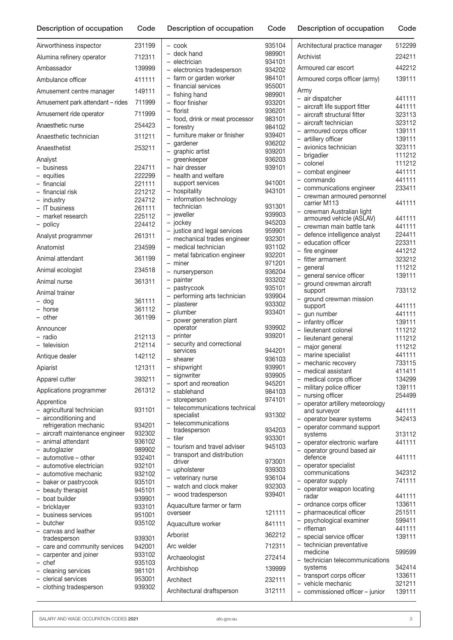| Description of occupation                     | Code             | Description of occupation                    | Code             | Description of occupation                                        | Code             |
|-----------------------------------------------|------------------|----------------------------------------------|------------------|------------------------------------------------------------------|------------------|
| Airworthiness inspector                       | 231199           | - cook                                       | 935104           | Architectural practice manager                                   | 512299           |
| Alumina refinery operator                     | 712311           | - deck hand                                  | 989901           | Archivist                                                        | 224211           |
| Ambassador                                    | 139999           | - electrician<br>- electronics tradesperson  | 934101<br>934202 | Armoured car escort                                              | 442212           |
| Ambulance officer                             | 411111           | - farm or garden worker                      | 984101           | Armoured corps officer (army)                                    | 139111           |
| Amusement centre manager                      | 149111           | - financial services                         | 955001           | Army                                                             |                  |
|                                               |                  | - fishing hand                               | 989901           | - air dispatcher                                                 | 441111           |
| Amusement park attendant - rides              | 711999           | - floor finisher<br>- florist                | 933201<br>936201 | - aircraft life support fitter                                   | 441111           |
| Amusement ride operator                       | 711999           | - food, drink or meat processor              | 983101           | - aircraft structural fitter                                     | 323113           |
| Anaesthetic nurse                             | 254423           | - forestrv                                   | 984102           | - aircraft technician<br>- armoured corps officer                | 323112<br>139111 |
| Anaesthetic technician                        | 311211           | - furniture maker or finisher                | 939401           | - artillery officer                                              | 139111           |
| Anaesthetist                                  | 253211           | - gardener<br>- graphic artist               | 936202<br>939201 | avionics technician                                              | 323111           |
| Analyst                                       |                  | - greenkeeper                                | 936203           | brigadier                                                        | 111212           |
| - business                                    | 224711           | - hair dresser                               | 939101           | - colonel                                                        | 111212           |
| - equities                                    | 222299           | - health and welfare                         |                  | - combat engineer<br>commando                                    | 441111<br>441111 |
| - financial                                   | 221111           | support services                             | 941001           | - communications engineer                                        | 233411           |
| - financial risk                              | 221212           | - hospitality                                | 943101           | - crewman armoured personnel                                     |                  |
| - industry                                    | 224712           | - information technology<br>technician       | 931301           | carrier M113                                                     | 441111           |
| - IT business                                 | 261111           | - jeweller                                   | 939903           | - crewman Australian light                                       |                  |
| - market research<br>- policy                 | 225112<br>224412 | - jockey                                     | 945203           | armoured vehicle (ASLAV)                                         | 441111           |
|                                               |                  | - justice and legal services                 | 959901           | - crewman main battle tank                                       | 441111           |
| Analyst programmer                            | 261311           | - mechanical trades engineer                 | 932301           | - defence intelligence analyst<br>- education officer            | 224411           |
| Anatomist                                     | 234599           | - medical technician                         | 931102           | - fire engineer                                                  | 223311<br>441212 |
| Animal attendant                              | 361199           | - metal fabrication engineer                 | 932201           | - fitter armament                                                | 323212           |
|                                               |                  | - miner                                      | 971201           | - general                                                        | 111212           |
| Animal ecologist                              | 234518           | - nurseryperson                              | 936204           | general service officer                                          | 139111           |
| Animal nurse                                  | 361311           | - painter                                    | 933202           | ground crewman aircraft                                          |                  |
| Animal trainer                                |                  | - pastrycook<br>- performing arts technician | 935101<br>939904 | support                                                          | 733112           |
| - dog                                         | 361111           | - plasterer                                  | 933302           | - ground crewman mission                                         | 441111           |
| - horse                                       | 361112           | - plumber                                    | 933401           | support<br>- gun number                                          | 441111           |
| $-$ other                                     | 361199           | - power generation plant                     |                  | - infantry officer                                               | 139111           |
| Announcer                                     |                  | operator                                     | 939902           | lieutenant colonel                                               | 111212           |
| - radio                                       | 212113           | - printer                                    | 939201           | - lieutenant general                                             | 111212           |
| - television                                  | 212114           | - security and correctional                  |                  | major general<br>$\overline{\phantom{0}}$                        | 111212           |
| Antique dealer                                | 142112           | services<br>- shearer                        | 944201<br>936103 | - marine specialist                                              | 441111           |
| Apiarist                                      | 121311           | - shipwright                                 | 939901           | - mechanic recovery                                              | 733115           |
|                                               |                  | - signwriter                                 | 939905           | - medical assistant                                              | 411411           |
| Apparel cutter                                | 393211           | - sport and recreation                       | 945201           | medical corps officer                                            | 134299           |
| Applications programmer                       | 261312           | - stablehand                                 | 984103           | military police officer                                          | 139111<br>254499 |
| Apprentice                                    |                  | - storeperson                                | 974101           | - nursing officer<br>- operator artillery meteorology            |                  |
| - agricultural technician                     | 931101           | - telecommunications technical               |                  | and surveyor                                                     | 441111           |
| airconditioning and                           |                  | specialist                                   | 931302           | - operator bearer systems                                        | 342413           |
| refrigeration mechanic                        | 934201           | - telecommunications<br>tradesperson         | 934203           | - operator command support                                       |                  |
| - aircraft maintenance engineer               | 932302           | - tiler                                      | 933301           | systems                                                          | 313112           |
| - animal attendant                            | 936102           | - tourism and travel adviser                 | 945103           | - operator electronic warfare                                    | 441111           |
| - autoglazier<br>$-$ automotive $-$ other     | 989902<br>932401 | - transport and distribution                 |                  | operator ground based air<br>$\overline{\phantom{0}}$<br>defence | 441111           |
| automotive electrician                        | 932101           | driver                                       | 973001           | - operator specialist                                            |                  |
| - automotive mechanic                         | 932102           | - upholsterer                                | 939303           | communications                                                   | 342312           |
| - baker or pastrycook                         | 935101           | - veterinary nurse                           | 936104           | - operator supply                                                | 741111           |
| - beauty therapist                            | 945101           | - watch and clock maker                      | 932303           | operator weapon locating                                         |                  |
| - boat builder                                | 939901           | - wood tradesperson                          | 939401           | radar                                                            | 441111           |
| - bricklayer                                  | 933101           | Aquaculture farmer or farm                   |                  | - ordnance corps officer                                         | 133611           |
| - business services                           | 951001           | overseer                                     | 121111           | pharmaceutical officer                                           | 251511           |
| - butcher                                     | 935102           | Aquaculture worker                           | 841111           | psychological examiner<br>$-$ rifleman                           | 599411<br>441111 |
| canvas and leather                            |                  | Arborist                                     | 362212           | - special service officer                                        | 139111           |
| tradesperson<br>- care and community services | 939301<br>942001 | Arc welder                                   | 712311           | - technician preventative                                        |                  |
| - carpenter and joiner                        | 933102           |                                              |                  | medicine                                                         | 599599           |
| $-$ chef                                      | 935103           | Archaeologist                                | 272414           | - technician telecommunications                                  |                  |
| - cleaning services                           | 981101           | Archbishop                                   | 139999           | systems                                                          | 342414           |
| - clerical services                           | 953001           | Architect                                    | 232111           | - transport corps officer                                        | 133611           |
| clothing tradesperson                         | 939302           | Architectural draftsnerson                   | 312111           | - vehicle mechanic<br>commissioned officer junior                | 321211<br>120111 |

|                          | – cook                                 | 935104 |  |
|--------------------------|----------------------------------------|--------|--|
|                          | - deck hand                            | 989901 |  |
|                          | - electrician                          | 934101 |  |
|                          | - electronics tradesperson             | 934202 |  |
|                          | - farm or garden worker                | 984101 |  |
|                          | - financial services                   | 955001 |  |
|                          | - fishing hand                         | 989901 |  |
|                          | - floor finisher                       | 933201 |  |
|                          | - florist                              | 936201 |  |
|                          | - food, drink or meat processor        | 983101 |  |
|                          | - forestry                             | 984102 |  |
|                          | - furniture maker or finisher          | 939401 |  |
|                          |                                        |        |  |
|                          | - gardener                             | 936202 |  |
|                          | - graphic artist                       | 939201 |  |
|                          | - greenkeeper                          | 936203 |  |
|                          | - hair dresser                         | 939101 |  |
|                          | - health and welfare                   |        |  |
|                          | support services                       | 941001 |  |
|                          | - hospitality                          | 943101 |  |
|                          | - information technology               |        |  |
|                          | technician                             | 931301 |  |
|                          | - jeweller                             | 939903 |  |
|                          | - jockey                               | 945203 |  |
|                          | - justice and legal services           | 959901 |  |
|                          | - mechanical trades engineer           | 932301 |  |
|                          | - medical technician                   | 931102 |  |
|                          | - metal fabrication engineer           | 932201 |  |
|                          | - miner                                | 971201 |  |
|                          | - nurseryperson                        | 936204 |  |
|                          | - painter                              | 933202 |  |
|                          | - pastrycook                           | 935101 |  |
| $\overline{\phantom{0}}$ | performing arts technician             | 939904 |  |
|                          | - plasterer                            | 933302 |  |
|                          | - plumber                              | 933401 |  |
|                          | power generation plant                 |        |  |
|                          | operator                               | 939902 |  |
|                          | - printer                              | 939201 |  |
|                          | - security and correctional            |        |  |
|                          | services                               | 944201 |  |
|                          | - shearer                              | 936103 |  |
|                          | - shipwright                           | 939901 |  |
|                          | - signwriter                           | 939905 |  |
|                          | sport and recreation                   | 945201 |  |
|                          | - stablehand                           | 984103 |  |
|                          | – storeperson                          | 974101 |  |
|                          | - telecommunications technical         |        |  |
|                          | specialist                             | 931302 |  |
|                          | telecommunications                     |        |  |
|                          | tradesperson                           | 934203 |  |
|                          | - tiler                                | 933301 |  |
|                          | - tourism and travel adviser           | 945103 |  |
|                          | - transport and distribution           |        |  |
|                          | driver                                 | 973001 |  |
|                          | - upholsterer                          | 939303 |  |
|                          | - veterinary nurse                     | 936104 |  |
|                          | - watch and clock maker                | 932303 |  |
|                          | - wood tradesperson                    | 939401 |  |
|                          |                                        |        |  |
|                          | Aquaculture farmer or farm<br>overseer | 121111 |  |
|                          |                                        |        |  |
|                          | Aquaculture worker                     | 841111 |  |
|                          | Arborist                               | 362212 |  |
|                          | Arc welder                             | 712311 |  |
|                          | Archaeologist                          | 272414 |  |
|                          | Archbishop                             | 139999 |  |
|                          | Architect                              | 232111 |  |
|                          |                                        |        |  |
|                          | Architectural draftsperson             | 312111 |  |

|                          | Archivist                           | 224211 |
|--------------------------|-------------------------------------|--------|
|                          | Armoured car escort                 | 442212 |
|                          | Armoured corps officer (army)       | 139111 |
|                          | Army                                |        |
|                          | - air dispatcher                    | 441111 |
| $\overline{\phantom{0}}$ | aircraft life support fitter        | 441111 |
|                          | aircraft structural fitter          |        |
| $\overline{\phantom{0}}$ |                                     | 323113 |
|                          | aircraft technician                 | 323112 |
|                          | - armoured corps officer            | 139111 |
|                          | - artillery officer                 | 139111 |
|                          | - avionics technician               | 323111 |
|                          | - brigadier                         | 111212 |
|                          | - colonel                           | 111212 |
|                          | - combat engineer                   | 441111 |
|                          | - commando                          | 441111 |
|                          | - communications engineer           | 233411 |
|                          | - crewman armoured personnel        |        |
|                          | carrier M113                        | 441111 |
|                          | - crewman Australian light          |        |
|                          | armoured vehicle (ASLAV)            | 441111 |
|                          | crewman main battle tank            | 441111 |
|                          | - defence intelligence analyst      | 224411 |
|                          | - education officer                 | 223311 |
|                          | - fire engineer                     | 441212 |
|                          | - fitter armament                   | 323212 |
|                          | - general                           | 111212 |
|                          | - general service officer           | 139111 |
| $\overline{\phantom{0}}$ | ground crewman aircraft             |        |
|                          | support                             | 733112 |
|                          | ground crewman mission              |        |
|                          | support                             | 441111 |
|                          | gun number                          | 441111 |
|                          | infantry officer                    | 139111 |
|                          | lieutenant colonel                  | 111212 |
| -                        | lieutenant general                  | 111212 |
| -                        | major general                       | 111212 |
| $\overline{\phantom{0}}$ | marine specialist                   | 441111 |
|                          | - mechanic recovery                 | 733115 |
| $\overline{\phantom{0}}$ | medical assistant                   | 411411 |
| $\overline{\phantom{0}}$ | medical corps officer               | 134299 |
|                          | - military police officer           | 139111 |
|                          | - nursing officer                   | 254499 |
|                          | - operator artillery meteorology    |        |
|                          | and surveyor                        | 441111 |
|                          | - operator bearer systems           | 342413 |
|                          | - operator command support          |        |
|                          | systems                             | 313112 |
|                          | - operator electronic warfare       | 441111 |
|                          | - operator ground based air         |        |
|                          | defence                             | 441111 |
|                          | - operator specialist               |        |
|                          | communications                      | 342312 |
|                          | - operator supply                   | 741111 |
| $\overline{\phantom{0}}$ | operator weapon locating            |        |
|                          | radar                               | 441111 |
|                          | - ordnance corps officer            | 133611 |
|                          | - pharmaceutical officer            | 251511 |
| $\overline{\phantom{0}}$ | psychological examiner              | 599411 |
| $\overline{\phantom{0}}$ | rifleman                            | 441111 |
|                          | special service officer             | 139111 |
|                          |                                     |        |
|                          | technician preventative<br>medicine | 599599 |
|                          | technician telecommunications       |        |
|                          | systems                             | 342414 |
|                          |                                     | 100011 |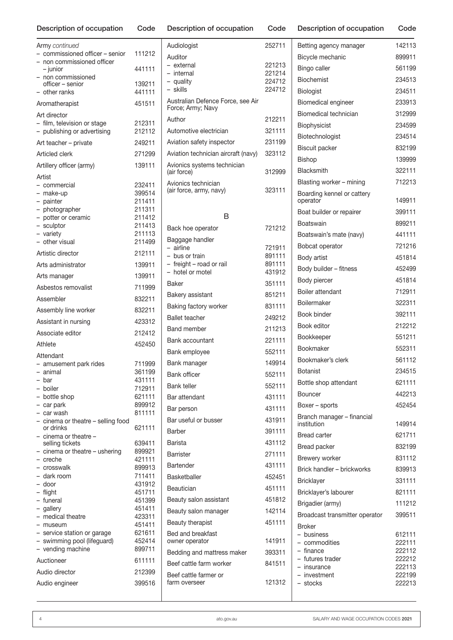| Army continued                     |                  |  |
|------------------------------------|------------------|--|
| - commissioned officer - senior    | 111212           |  |
| - non commissioned officer         |                  |  |
| - junior                           | 441111           |  |
| - non commissioned                 |                  |  |
| officer - senior                   | 139211           |  |
| - other ranks                      | 441111           |  |
| Aromatherapist                     | 451511           |  |
| Art director                       |                  |  |
| - film, television or stage        | 212311           |  |
| - publishing or advertising        | 212112           |  |
|                                    |                  |  |
| Art teacher - private              | 249211           |  |
| Articled clerk                     | 271299           |  |
| Artillery officer (army)           | 139111           |  |
|                                    |                  |  |
| Artist                             |                  |  |
| - commercial                       | 232411           |  |
| - make-up                          | 399514           |  |
| - painter                          | 211411<br>211311 |  |
| - photographer                     |                  |  |
| - potter or ceramic                | 211412<br>211413 |  |
| - sculptor                         | 211113           |  |
| - variety<br>- other visual        | 211499           |  |
|                                    |                  |  |
| Artistic director                  | 212111           |  |
| Arts administrator                 | 139911           |  |
| Arts manager                       | 139911           |  |
|                                    |                  |  |
| Asbestos removalist                | 711999           |  |
| Assembler                          | 832211           |  |
| Assembly line worker               | 832211           |  |
| Assistant in nursing               | 423312           |  |
| Associate editor                   | 212412           |  |
| Athlete                            | 452450           |  |
| Attendant                          |                  |  |
| - amusement park rides             | 711999           |  |
| - animal                           | 361199           |  |
| - bar                              | 431111           |  |
| - boiler                           | 712911           |  |
| - bottle shop                      | 621111           |  |
| - car park                         | 899912           |  |
| - car wash                         | 811111           |  |
| - cinema or theatre - selling food |                  |  |
| or drinks                          | 621111           |  |
| $-$ cinema or theatre $-$          |                  |  |
| selling tickets                    | 639411           |  |
| - cinema or theatre - ushering     | 899921           |  |
| - creche                           | 421111           |  |
| - crosswalk                        | 899913           |  |
| - dark room<br>- door              | 711411           |  |
|                                    | 431912           |  |
| - flight<br>- funeral              | 451711<br>451399 |  |
| - gallery                          | 451411           |  |
| - medical theatre                  | 423311           |  |
| - museum                           | 451411           |  |
| - service station or garage        | 621611           |  |
| - swimming pool (lifeguard)        | 452414           |  |
| - vending machine                  | 899711           |  |
|                                    |                  |  |
| Auctioneer                         | 611111           |  |
| Audio director                     | 212399           |  |

Audio engineer 399516

|  | Description of occupation Code Description of occupation | Code Description of occupation Code |  |
|--|----------------------------------------------------------|-------------------------------------|--|

Auditor

Audiologist 252711

– external 221213 – internal 221214 – quality 224712 – skills 224712

Author 212211 Automotive electrician 321111 Aviation safety inspector 231199 Aviation technician aircraft (navy) 323112

(air force) 312999

(air force, army, navy) 323111

B Back hoe operator 721212

– airline 721911 – bus or train 891111 – freight – road or rail 891111 – hotel or motel 431912 Baker 351111 Bakery assistant 851211 Baking factory worker 831111 Ballet teacher 249212 Band member 211213 Bank accountant 221111 Bank employee 552111 Bank manager 149914 Bank officer 552111 Bank teller 552111 Bar attendant 431111 Bar person 431111 Bar useful or busser 431911 Barber 391111 Barista 431112 Barrister 271111 Bartender 431111 Basketballer 452451 Beautician 451111 Beauty salon assistant 451812 Beauty salon manager 142114 Beauty therapist 451111

Australian Defence Force, see Air

Avionics systems technician

Force; Army; Navy

Avionics technician

Baggage handler

| Description of occupation |  |  |  |
|---------------------------|--|--|--|
|---------------------------|--|--|--|

| Betting agency manager                    | 142113           |
|-------------------------------------------|------------------|
| Bicycle mechanic                          | 899911           |
| Bingo caller                              | 561199           |
| <b>Biochemist</b>                         | 234513           |
| Biologist                                 | 234511           |
| Biomedical engineer                       | 233913           |
| Biomedical technician                     | 312999           |
| Biophysicist                              | 234599           |
| Biotechnologist                           | 234514           |
| <b>Biscuit packer</b>                     | 832199           |
| <b>Bishop</b>                             | 139999           |
| Blacksmith                                | 322111           |
| Blasting worker - mining                  | 712213           |
| Boarding kennel or cattery<br>operator    | 149911           |
| Boat builder or repairer                  | 399111           |
| Boatswain                                 | 899211           |
| Boatswain's mate (navy)                   | 441111           |
| Bobcat operator                           | 721216           |
| Body artist                               | 451814           |
| Body builder - fitness                    | 452499           |
| Body piercer                              | 451814           |
| Boiler attendant                          | 712911           |
| Boilermaker                               | 322311           |
| Book binder                               | 392111           |
| Book editor                               | 212212           |
| <b>Bookkeeper</b>                         | 551211           |
| Bookmaker                                 | 552311           |
| Bookmaker's clerk                         | 561112           |
| Botanist                                  | 234515           |
| Bottle shop attendant                     | 621111           |
| Bouncer                                   | 442213           |
| Boxer – sports                            | 452454           |
| Branch manager - financial<br>institution | 149914           |
| <b>Bread carter</b>                       | 621711           |
| Bread packer                              | 832199           |
| Brewery worker                            | 831112           |
| Brick handler - brickworks                | 839913           |
| Bricklayer                                | 331111           |
| Bricklayer's labourer                     | 821111           |
| Brigadier (army)                          | 111212           |
| Broadcast transmitter operator            | 399511           |
| Broker                                    |                  |
| - business<br>- commodities               | 612111<br>222111 |
| - finance                                 | 222112           |
| - futures trader<br>– insurance           | 222212<br>222113 |
| - investment                              | 222199           |
| – stocks                                  | 222213           |
|                                           |                  |

farm overseer 121312

owner operator 141911 Bedding and mattress maker 393311 Beef cattle farm worker 841511

Bed and breakfast

Beef cattle farmer or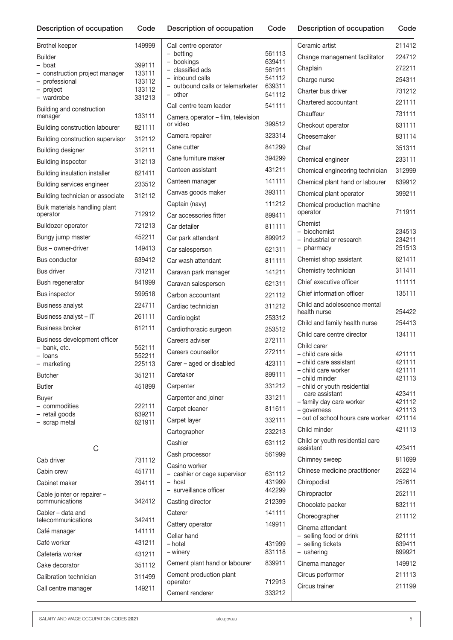Code Description of occupation Code Description of occupation

| Call centre operator                                |                  | Ceramic artist                                   | 211412           |
|-----------------------------------------------------|------------------|--------------------------------------------------|------------------|
| - betting<br>- bookings                             | 561113<br>639411 | Change management facilitator                    | 224712           |
| - classified ads                                    | 561911           | Chaplain                                         | 272211           |
| - inbound calls<br>- outbound calls or telemarketer | 541112<br>639311 | Charge nurse                                     | 254311           |
| - other                                             | 541112           | Charter bus driver                               | 731212           |
| Call centre team leader                             | 541111           | Chartered accountant                             | 221111           |
| Camera operator – film, television                  |                  | Chauffeur                                        | 731111           |
| or video                                            | 399512           | Checkout operator                                | 631111           |
| Camera repairer                                     | 323314           | Cheesemaker                                      | 831114           |
| Cane cutter                                         | 841299           | Chef                                             | 351311           |
| Cane furniture maker                                | 394299           | Chemical engineer                                | 233111           |
| Canteen assistant                                   | 431211           | Chemical engineering technician                  | 312999           |
| Canteen manager                                     | 141111           | Chemical plant hand or labourer                  | 839912           |
| Canvas goods maker                                  | 393111           | Chemical plant operator                          | 399211           |
| Captain (navy)                                      | 111212           | Chemical production machine                      |                  |
| Car accessories fitter                              | 899411           | operator                                         | 711911           |
| Car detailer                                        | 811111           | Chemist<br>- biochemist                          | 234513           |
| Car park attendant                                  | 899912           | - industrial or research                         | 234211           |
| Car salesperson                                     | 621311           | - pharmacy                                       | 251513           |
| Car wash attendant                                  | 811111           | Chemist shop assistant                           | 621411           |
| Caravan park manager                                | 141211           | Chemistry technician                             | 311411           |
| Caravan salesperson                                 | 621311           | Chief executive officer                          | 111111           |
| Carbon accountant                                   | 221112           | Chief information officer                        | 135111           |
| Cardiac technician                                  | 311212           | Child and adolescence mental                     |                  |
| Cardiologist                                        | 253312           | health nurse                                     | 254422           |
| Cardiothoracic surgeon                              | 253512           | Child and family health nurse                    | 254413           |
| Careers adviser                                     | 272111           | Child care centre director                       | 134111           |
| Careers counsellor                                  | 272111           | Child carer<br>- child care aide                 | 421111           |
| Carer - aged or disabled                            | 423111           | - child care assistant                           | 421111           |
| Caretaker                                           | 899111           | - child care worker                              | 421111           |
| Carpenter                                           | 331212           | - child minder<br>- child or youth residential   | 421113           |
| Carpenter and joiner                                | 331211           | care assistant                                   | 423411           |
| Carpet cleaner                                      | 811611           | - family day care worker                         | 421112<br>421113 |
| Carpet layer                                        | 332111           | - governess<br>- out of school hours care worker | 421114           |
| Cartographer                                        | 232213           | Child minder                                     | 421113           |
| Cashier                                             | 631112           | Child or youth residential care                  |                  |
| Cash processor                                      | 561999           | assistant                                        | 423411           |
| Casino worker                                       |                  | Chimney sweep                                    | 811699           |
| - cashier or cage supervisor                        | 631112           | Chinese medicine practitioner                    | 252214           |
| - host                                              | 431999           | Chiropodist                                      | 252611           |
| - surveillance officer                              | 442299           | Chiropractor                                     | 252111           |
| Casting director                                    | 212399           | Chocolate packer                                 | 832111           |
| Caterer                                             | 141111           | Choreographer                                    | 211112           |
| Cattery operator                                    | 149911           | Cinema attendant                                 |                  |
| Cellar hand<br>– hotel                              |                  | - selling food or drink<br>- selling tickets     | 621111<br>639411 |
| - winery                                            | 431999<br>831118 | $-$ ushering                                     | 899921           |
| Cement plant hand or labourer                       | 839911           | Cinema manager                                   | 149912           |
| Cement production plant                             |                  | Circus performer                                 | 211113           |
| operator                                            | 712913           | Circus trainer                                   | 211199           |
| Cement renderer                                     | 333212           |                                                  |                  |

| <b>Brothel keeper</b>                            | 149999           |
|--------------------------------------------------|------------------|
|                                                  |                  |
| <b>Builder</b>                                   |                  |
| - boat                                           | 399111<br>133111 |
| - construction project manager<br>- professional | 133112           |
| - project                                        | 133112           |
| - wardrobe                                       | 331213           |
| Building and construction<br>manager             | 133111           |
| Building construction labourer                   | 821111           |
| Building construction supervisor                 | 312112           |
| <b>Building designer</b>                         | 312111           |
| <b>Building inspector</b>                        | 312113           |
| <b>Building insulation installer</b>             | 821411           |
| Building services engineer                       | 233512           |
| Building technician or associate                 | 312112           |
| Bulk materials handling plant                    |                  |
| operator                                         | 712912           |
| Bulldozer operator                               | 721213           |
| Bungy jump master                                | 452211           |
| Bus – owner-driver                               | 149413           |
| Bus conductor                                    | 639412           |
| Bus driver                                       | 731211           |
| Bush regenerator                                 | 841999           |
| <b>Bus inspector</b>                             | 599518           |
| <b>Business analyst</b>                          | 224711           |
| Business analyst - IT                            | 261111           |
| <b>Business broker</b>                           | 612111           |
| Business development officer                     |                  |
| – bank, etc.                                     | 552111           |
| - Ioans                                          | 552211<br>225113 |
| - marketing<br><b>Butcher</b>                    | 351211           |
|                                                  |                  |
| Butler                                           | 451899           |
| <b>Buyer</b><br>- commodities                    | 222111           |
| - retail goods                                   | 639211           |
| - scrap metal                                    | 621911           |
|                                                  |                  |
| C                                                |                  |
| Cab driver                                       | 731112           |
| Cabin crew                                       | 451711           |
| Cabinet maker                                    | 394111           |
| Cable jointer or repairer -<br>communications    | 342412           |
| Cabler - data and<br>telecommunications          | 342411           |
| Café manager                                     | 141111           |
| Café worker                                      | 431211           |
| Cafeteria worker                                 | 431211           |
| Cake decorator                                   | 351112           |
| Calibration technician                           | 311499           |
| Call centre manager                              | 149211           |
|                                                  |                  |

SALARY AND WAGE OCCUPATION CODES 2021 **ato.gov.au** ato.gov.au **5**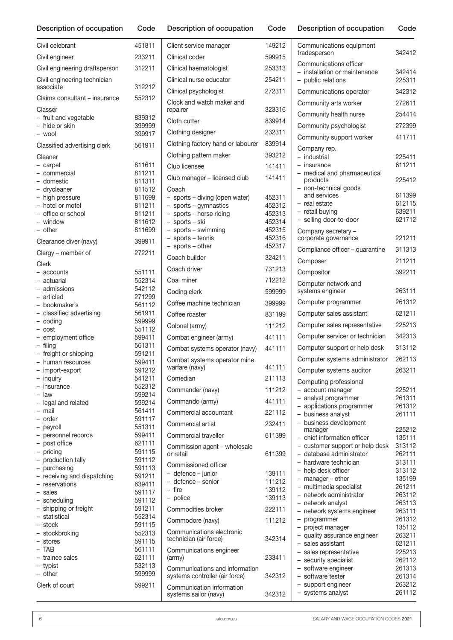| Civil celebrant                             | 451811           | Client service manager                             | 149212           |
|---------------------------------------------|------------------|----------------------------------------------------|------------------|
| Civil engineer                              | 233211           | Clinical coder                                     | 599915           |
| Civil engineering draftsperson              | 312211           | Clinical haematologist                             | 253313           |
| Civil engineering technician                |                  | Clinical nurse educator                            | 254211           |
| associate                                   | 312212           | Clinical psychologist                              | 272311           |
| Claims consultant - insurance               | 552312           | Clock and watch maker and                          |                  |
| Classer                                     |                  | repairer                                           | 323316           |
| - fruit and vegetable<br>- hide or skin     | 839312<br>399999 | Cloth cutter                                       | 839914           |
| - wool                                      | 399917           | Clothing designer                                  | 232311           |
| Classified advertising clerk                | 561911           | Clothing factory hand or labourer                  | 839914           |
| Cleaner                                     |                  | Clothing pattern maker                             | 393212           |
| - carpet                                    | 811611           | Club licensee                                      | 141411           |
| - commercial                                | 811211           | Club manager - licensed club                       | 141411           |
| – domestic<br>- drycleaner                  | 811311<br>811512 | Coach                                              |                  |
| - high pressure                             | 811699           | - sports - diving (open water)                     | 452311           |
| - hotel or motel                            | 811211           | - sports - gymnastics                              | 452312           |
| - office or school                          | 811211           | - sports - horse riding                            | 452313           |
| - window<br>- other                         | 811612<br>811699 | - sports - ski<br>- sports - swimming              | 452314<br>452315 |
|                                             |                  | - sports - tennis                                  | 452316           |
| Clearance diver (navy)                      | 399911           | - sports - other                                   | 452317           |
| Clergy – member of                          | 272211           | Coach builder                                      | 324211           |
| Clerk<br>– accounts                         | 551111           | Coach driver                                       | 731213           |
| - actuarial                                 | 552314           | Coal miner                                         | 712212           |
| - admissions                                | 542112           | Coding clerk                                       | 599999           |
| - articled                                  | 271299           | Coffee machine technician                          | 399999           |
| - bookmaker's<br>- classified advertising   | 561112<br>561911 | Coffee roaster                                     |                  |
| $-$ coding                                  | 599999           |                                                    | 831199           |
| – cost                                      | 551112           | Colonel (army)                                     | 111212           |
| - employment office                         | 599411           | Combat engineer (army)                             | 441111           |
| - filing<br>- freight or shipping           | 561311<br>591211 | Combat systems operator (navy)                     | 441111           |
| - human resources                           | 599411           | Combat systems operator mine                       |                  |
| - import-export                             | 591212           | warfare (navy)                                     | 441111           |
| - inquiry                                   | 541211           | Comedian                                           | 211113           |
| - insurance<br>$-$ law                      | 552312<br>599214 | Commander (navy)                                   | 111212           |
| - legal and related                         | 599214           | Commando (army)                                    | 441111           |
| - mail                                      | 561411           | Commercial accountant                              | 221112           |
| - order                                     | 591117           | Commercial artist                                  | 232411           |
| - payroll<br>- personnel records            | 551311<br>599411 | Commercial traveller                               | 611399           |
| - post office                               | 621111           |                                                    |                  |
| - pricing                                   | 591115           | Commission agent - wholesale<br>or retail          | 611399           |
| - production tally                          | 591112           | Commissioned officer                               |                  |
| - purchasing<br>- receiving and dispatching | 591113<br>591211 | - defence - junior                                 | 139111           |
| - reservations                              | 639411           | - defence - senior                                 | 111212           |
| - sales                                     | 591117           | - fire                                             | 139112<br>139113 |
| - scheduling                                | 591112           | - police                                           |                  |
| - shipping or freight<br>- statistical      | 591211<br>552314 | Commodities broker                                 | 222111           |
| - stock                                     | 591115           | Commodore (navy)                                   | 111212           |
| - stockbroking                              | 552313           | Communications electronic                          |                  |
| - stores                                    | 591115           | technician (air force)                             | 342314           |
| - TAB<br>- trainee sales                    | 561111<br>621111 | Communications engineer<br>(army)                  | 233411           |
| - typist                                    | 532113           | Communications and information                     |                  |
| - other                                     | 599999           | systems controller (air force)                     | 342312           |
| Clerk of court                              | 599211           | Communication information<br>systems sailor (navy) | 342312           |

| Communications equipment<br>tradesperson                                                                | 342412                               |
|---------------------------------------------------------------------------------------------------------|--------------------------------------|
| Communications officer<br>installation or maintenance<br>$\overline{\phantom{0}}$<br>- public relations | 342414<br>225311                     |
| Communications operator                                                                                 | 342312                               |
| Community arts worker                                                                                   | 272611                               |
| Community health nurse                                                                                  | 254414                               |
|                                                                                                         |                                      |
| Community psychologist                                                                                  | 272399                               |
| Community support worker                                                                                | 411711                               |
| Company rep.<br>industrial<br>- insurance                                                               | 225411<br>611211                     |
| - medical and pharmaceutical<br>products<br>- non-technical goods                                       | 225412                               |
| and services<br>- real estate<br>- retail buying<br>- selling door-to-door                              | 611399<br>612115<br>639211<br>621712 |
| Company secretary -<br>corporate governance                                                             | 221211                               |
| Compliance officer - quarantine                                                                         | 311313                               |
| Composer                                                                                                | 211211                               |
| Compositor                                                                                              | 392211                               |
| Computer network and<br>systems engineer                                                                | 263111                               |
| Computer programmer                                                                                     | 261312                               |
| Computer sales assistant                                                                                | 621211                               |
| Computer sales representative                                                                           | 225213                               |
| Computer servicer or technician                                                                         | 342313                               |
| Computer support or help desk                                                                           | 313112                               |
| Computer systems administrator                                                                          | 262113                               |
| Computer systems auditor                                                                                | 263211                               |
| Computing professional                                                                                  |                                      |
| account manager<br>$-$                                                                                  | 225211                               |
| analyst programmer                                                                                      | 261311                               |
| - applications programmer<br>- business analyst                                                         | 261312<br>261111                     |
| - business development                                                                                  |                                      |
| manager<br>- chief information officer                                                                  | 225212<br>135111                     |
| - customer support or help desk                                                                         | 313112                               |
| - database administrator                                                                                | 262111                               |
| - hardware technician                                                                                   | 313111                               |
| - help desk officer                                                                                     | 313112                               |
| - manager - other<br>- multimedia specialist                                                            | 135199<br>261211                     |
| - network administrator                                                                                 | 263112                               |
| - network analyst                                                                                       | 263113                               |
| - network systems engineer                                                                              | 263111<br>261312                     |
| - programmer<br>- project manager                                                                       | 135112                               |
| - quality assurance engineer                                                                            | 263211                               |
| - sales assistant                                                                                       | 621211                               |
| - sales representative<br>- security specialist                                                         | 225213<br>262112                     |
| - software engineer                                                                                     | 261313                               |
| - software tester                                                                                       | 261314                               |
| - support engineer                                                                                      | 263212                               |
| - systems analyst                                                                                       | 261112                               |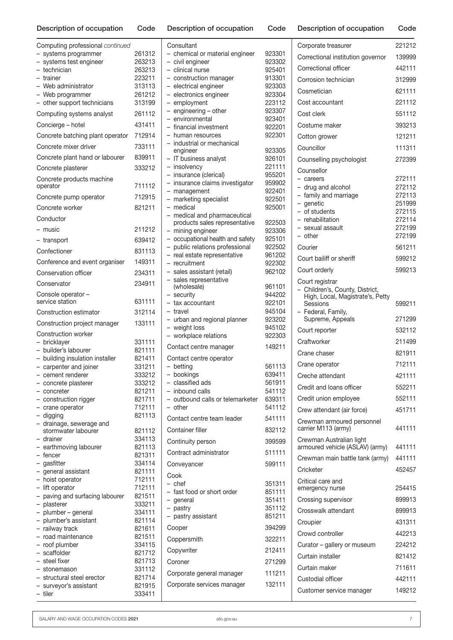| Computing professional continued                        |                  | Co                 |
|---------------------------------------------------------|------------------|--------------------|
| systems programmer<br>$-$                               | 261312           | - 0                |
| systems test engineer                                   | 263213           | - 0                |
| - technician<br>- trainer                               | 263213<br>223211 | $\mathbf C$<br>- 0 |
| - Web administrator                                     | 313113           | - 6                |
| - Web programmer                                        | 261212           | $ \epsilon$        |
| - other support technicians                             | 313199           | $\epsilon$         |
| Computing systems analyst                               | 261112           | $\epsilon$         |
| Concierge - hotel                                       | 431411           | - 6<br>f           |
| Concrete batching plant operator                        | 712914           | – r                |
| Concrete mixer driver                                   | 733111           | Ì<br>$\epsilon$    |
| Concrete plant hand or labourer                         | 839911           | $\mathbf{I}$       |
| Concrete plasterer                                      | 333212           | – i<br>Ť           |
| Concrete products machine<br>operator                   | 711112           | – i<br>- r         |
| Concrete pump operator                                  | 712915           | – r                |
| Concrete worker                                         | 821211           | $\mathsf{r}$       |
| Conductor                                               |                  | r<br>ŗ             |
| – music                                                 | 211212           | $\mathsf{r}$       |
| - transport                                             | 639412           | C                  |
| Confectioner                                            | 831113           | – r<br>ľ           |
| Conference and event organiser                          | 149311           | – r                |
| Conservation officer                                    | 234311           | S                  |
| Conservator                                             | 234911           | ŝ<br>(             |
| Console operator -<br>service station                   | 631111           | S<br>t             |
| Construction estimator                                  | 312114           | – t                |
| Construction project manager                            | 133111           | - เ<br>$ \vee$     |
| Construction worker                                     |                  | $-$ v              |
| - bricklayer                                            | 331111           | Co                 |
| - builder's labourer<br>- building insulation installer | 821111<br>821411 | Co                 |
| - carpenter and joiner                                  | 331211           | – k                |
| - cement renderer                                       | 333212           | – k                |
| - concrete plasterer                                    | 333212           | - (                |
| - concreter                                             | 821211           | – i                |
| - construction rigger                                   | 821711           | - 0                |
| - crane operator                                        | 712111           | - 0                |
| - digging<br>- drainage, sewerage and                   | 821113           | Co                 |
| stormwater labourer                                     | 821112           | Co                 |
| - drainer                                               | 334113           | Co                 |
| - earthmoving labourer<br>- fencer                      | 821113<br>821311 | Co                 |
| - gasfitter                                             | 334114           | Co                 |
| - general assistant                                     | 821111           | Co                 |
| - hoist operator                                        | 712111           | - (                |
| - lift operator                                         | 712111           | – f                |
| - paving and surfacing labourer<br>- plasterer          | 821511<br>333211 | - 9                |
| - plumber - general                                     | 334111           | – r                |
| - plumber's assistant                                   | 821114           | – r                |
| - railway track                                         | 821611           | Co                 |
| - road maintenance                                      | 821511           | Co                 |
| - roof plumber<br>- scaffolder                          | 334115<br>821712 | Co                 |
| - steel fixer                                           | 821713           | Co                 |
| - stonemason                                            | 331112           |                    |
| - structural steel erector                              | 821714           | Co                 |
| - surveyor's assistant<br>- tiler                       | 821915<br>333411 | Co                 |
|                                                         |                  |                    |

| Consultant                                  |                  |
|---------------------------------------------|------------------|
| - chemical or material engineer             | 923301           |
| - civil engineer                            | 923302           |
| - clinical nurse                            | 925401           |
| - construction manager                      | 913301           |
| - electrical engineer                       | 923303           |
| - electronics engineer                      | 923304           |
| - employment                                | 223112           |
| - engineering - other                       | 923307           |
| - environmental<br>- financial investment   | 923401<br>922201 |
| - human resources                           | 922301           |
| - industrial or mechanical                  |                  |
| engineer                                    | 923305           |
| - IT business analyst                       | 926101           |
| - insolvency                                | 221111           |
| - insurance (clerical)                      | 955201           |
| - insurance claims investigator             | 959902           |
| - management<br>- marketing specialist      | 922401<br>922501 |
| - medical                                   | 925001           |
| - medical and pharmaceutical                |                  |
| products sales representative               | 922503           |
| - mining engineer                           | 923306           |
| - occupational health and safety            | 925101           |
| - public relations professional             | 922502           |
| - real estate representative                | 961202           |
| - recruitment<br>- sales assistant (retail) | 922302<br>962102 |
| - sales representative                      |                  |
| (wholesale)                                 | 961101           |
| - security                                  | 944202           |
| - tax accountant                            | 922101           |
| - travel                                    | 945104           |
| - urban and regional planner                | 923202           |
| - weight loss<br>- workplace relations      | 945102<br>922303 |
|                                             |                  |
| Contact centre manager                      | 149211           |
| Contact centre operator                     |                  |
| - betting                                   | 561113           |
| - bookings                                  | 639411           |
| – classified ads<br>- inbound calls         | 561911<br>541112 |
| - outbound calls or telemarketer            | 639311           |
| - other                                     | 541112           |
|                                             | 541111           |
| Contact centre team leader                  |                  |
| Container filler                            | 832112           |
| Continuity person                           | 399599           |
| Contract administrator                      | 511111           |
| Conveyancer                                 | 599111           |
|                                             |                  |
| Cook                                        |                  |
| – chef<br>- fast food or short order        | 351311<br>851111 |
| - general                                   | 351411           |
| - pastry                                    | 351112           |
| - pastry assistant                          | 851211           |
| Cooper                                      | 394299           |
| Coppersmith                                 | 322211           |
| Copywriter                                  | 212411           |
| Coroner                                     | 271299           |
| Corporate general manager                   | 111211           |
| Corporate services manager                  | 132111           |
|                                             |                  |
|                                             |                  |

| Corporate treasurer                                                                                                                          | 221212                                                             |
|----------------------------------------------------------------------------------------------------------------------------------------------|--------------------------------------------------------------------|
| Correctional institution governor                                                                                                            | 139999                                                             |
| Correctional officer                                                                                                                         | 442111                                                             |
| Corrosion technician                                                                                                                         | 312999                                                             |
| Cosmetician                                                                                                                                  | 621111                                                             |
| Cost accountant                                                                                                                              | 221112                                                             |
| Cost clerk                                                                                                                                   | 551112                                                             |
| Costume maker                                                                                                                                | 393213                                                             |
| Cotton grower                                                                                                                                | 121211                                                             |
| Councillor                                                                                                                                   | 111311                                                             |
| Counselling psychologist                                                                                                                     | 272399                                                             |
| Counsellor<br>- careers<br>- drug and alcohol<br>- family and marriage<br>- genetic<br>- of students<br>- rehabilitation<br>- sexual assault | 272111<br>272112<br>272113<br>251999<br>272115<br>272114<br>272199 |
| - other                                                                                                                                      | 272199                                                             |
| Courier                                                                                                                                      | 561211                                                             |
| Court bailiff or sheriff                                                                                                                     | 599212                                                             |
| Court orderly                                                                                                                                | 599213                                                             |
| Court registrar<br>Children's, County, District,<br>High, Local, Magistrate's, Petty<br>Sessions<br>- Federal, Family,<br>Supreme, Appeals   | 599211<br>271299                                                   |
| Court reporter                                                                                                                               | 532112                                                             |
| Craftworker                                                                                                                                  | 211499                                                             |
| Crane chaser                                                                                                                                 | 821911                                                             |
| Crane operator                                                                                                                               | 712111                                                             |
| Creche attendant                                                                                                                             | 421111                                                             |
| Credit and loans officer                                                                                                                     | 552211                                                             |
| Credit union employee                                                                                                                        | 552111                                                             |
| Crew attendant (air force)                                                                                                                   | 451711                                                             |
| Crewman armoured personnel<br>carrier M113 (army)                                                                                            | 441111                                                             |
| Crewman Australian light<br>armoured vehicle (ASLAV) (army)                                                                                  | 441111                                                             |
| Crewman main battle tank (army)                                                                                                              | 441111                                                             |
| Cricketer                                                                                                                                    | 452457                                                             |
| Critical care and<br>emergency nurse                                                                                                         | 254415                                                             |
| Crossing supervisor                                                                                                                          | 899913                                                             |
| Crosswalk attendant                                                                                                                          | 899913                                                             |
| Croupier                                                                                                                                     | 431311                                                             |
| Crowd controller                                                                                                                             | 442213                                                             |
| Curator – gallery or museum                                                                                                                  | 224212                                                             |
| Curtain installer                                                                                                                            | 821412                                                             |
| Curtain maker                                                                                                                                | 711611                                                             |
| Custodial officer                                                                                                                            | 442111                                                             |
| Customer service manager                                                                                                                     | 149212                                                             |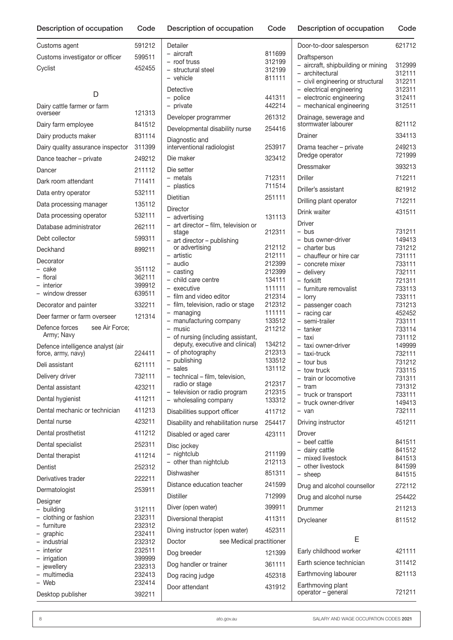| Description of occupation                               | Code             |
|---------------------------------------------------------|------------------|
| Customs agent                                           | 591212           |
| Customs investigator or officer                         | 599511           |
| Cyclist                                                 | 452455           |
|                                                         |                  |
| D<br>Dairy cattle farmer or farm                        |                  |
| overseer                                                | 121313           |
| Dairy farm employee                                     | 841512           |
| Dairy products maker                                    | 831114           |
| Dairy quality assurance inspector                       | 311399           |
| Dance teacher - private                                 | 249212           |
| Dancer                                                  | 211112           |
| Dark room attendant                                     | 711411           |
| Data entry operator                                     | 532111           |
| Data processing manager                                 | 135112           |
| Data processing operator                                | 532111           |
| Database administrator                                  | 262111           |
| Debt collector                                          | 599311           |
| Deckhand                                                | 899211           |
| Decorator                                               |                  |
| - cake                                                  | 351112           |
| - floral<br>- interior                                  | 362111<br>399912 |
| - window dresser                                        | 639511           |
| Decorator and painter                                   | 332211           |
| Deer farmer or farm overseer                            | 121314           |
| see Air Force;<br>Defence forces<br>Army; Navy          |                  |
| Defence intelligence analyst (air<br>force, army, navy) | 224411           |
| Deli assistant                                          | 621111           |
| Delivery driver                                         | 732111           |
| Dental assistant                                        | 423211           |
| Dental hygienist                                        | 411211           |
| Dental mechanic or technician                           | 411213           |
| Dental nurse                                            | 423211           |
| Dental prosthetist                                      | 411212           |
| Dental specialist                                       | 252311           |
| Dental therapist                                        | 411214           |
| Dentist                                                 | 252312           |
| Derivatives trader                                      | 222211           |
| Dermatologist                                           | 253911           |
| Designer                                                |                  |
| building                                                | 312111           |
| - clothing or fashion<br>- furniture                    | 232311<br>232312 |
| - graphic                                               | 232411           |
| - industrial                                            | 232312           |
| - interior<br>- irrigation                              | 232511<br>399999 |
| - jewellery                                             | 232313           |

|  | Description of occupation | Code | Description of occupation | Code |
|--|---------------------------|------|---------------------------|------|
|--|---------------------------|------|---------------------------|------|

| Detailer                                                              |                  |
|-----------------------------------------------------------------------|------------------|
| - aircraft                                                            | 811699           |
| - roof truss<br>- structural steel                                    | 312199<br>312199 |
| - vehicle                                                             | 811111           |
| Detective                                                             |                  |
| - police                                                              | 441311           |
| private<br>$\overline{\phantom{0}}$                                   | 442214           |
| Developer programmer                                                  | 261312           |
| Developmental disability nurse                                        | 254416           |
| Diagnostic and                                                        |                  |
| interventional radiologist                                            | 253917           |
| Die maker                                                             | 323412           |
| Die setter                                                            |                  |
| - metals                                                              | 712311           |
| - plastics                                                            | 711514           |
| Dietitian                                                             | 251111           |
| Director                                                              |                  |
| - advertising                                                         | 131113           |
| - art director - film, television or<br>stage                         | 212311           |
| - art director - publishing                                           |                  |
| or advertising                                                        | 212112           |
| – artistic<br>– audio                                                 | 212111<br>212399 |
| - casting                                                             | 212399           |
| - child care centre                                                   | 134111           |
| executive                                                             | 111111           |
| - film and video editor<br>- film, television, radio or stage         | 212314<br>212312 |
| - managing                                                            | 111111           |
| manufacturing company<br>$\overline{\phantom{0}}$                     | 133512           |
| music<br>$\overline{\phantom{0}}$                                     | 211212           |
| - of nursing (including assistant,<br>deputy, executive and clinical) | 134212           |
| of photography                                                        | 212313           |
| - publishing                                                          | 133512           |
| - sales                                                               | 131112           |
| - technical - film, television,<br>radio or stage                     | 212317           |
| television or radio program                                           | 212315           |
| - wholesaling company                                                 | 133312           |
| Disabilities support officer                                          | 411712           |
| Disability and rehabilitation nurse                                   | 254417           |
| Disabled or aged carer                                                | 423111           |
| Disc jockey                                                           |                  |
| nightclub                                                             | 211199           |
| other than nightclub                                                  | 212113           |
| Dishwasher                                                            | 851311           |
| Distance education teacher                                            | 241599           |
| <b>Distiller</b>                                                      | 712999           |
| Diver (open water)                                                    | 399911           |
| Diversional therapist                                                 | 411311           |
| Diving instructor (open water)                                        | 452311           |
| Doctor                                                                |                  |
| see Medical practitioner                                              |                  |
| Dog breeder                                                           | 121399           |
| Dog handler or trainer                                                | 361111           |
| Dog racing judge                                                      | 452318           |
| Door attendant                                                        | 431912           |
|                                                                       |                  |

| Door-to-door salesperson                                                                                   | 621712                     |
|------------------------------------------------------------------------------------------------------------|----------------------------|
| Draftsperson<br>- aircraft, shipbuilding or mining<br>- architectural<br>- civil engineering or structural | 312999<br>312111<br>312211 |
| - electrical engineering<br>- electronic engineering<br>- mechanical engineering                           | 312311<br>312411<br>312511 |
| Drainage, sewerage and<br>stormwater labourer                                                              | 821112                     |
| Drainer                                                                                                    | 334113                     |
| Drama teacher - private<br>Dredge operator                                                                 | 249213<br>721999           |
| Dressmaker                                                                                                 | 393213                     |
| Driller                                                                                                    | 712211                     |
| Driller's assistant                                                                                        | 821912                     |
| Drilling plant operator                                                                                    | 712211                     |
| Drink waiter                                                                                               | 431511                     |
| Driver                                                                                                     |                            |
| – bus<br>- bus owner-driver                                                                                | 731211<br>149413           |
| - charter bus                                                                                              | 731212                     |
| - chauffeur or hire car                                                                                    | 731111                     |
| - concrete mixer<br>- delivery                                                                             | 733111<br>732111           |
| - forklift                                                                                                 | 721311                     |
| - furniture removalist                                                                                     | 733113                     |
| - lorry<br>- passenger coach                                                                               | 733111<br>731213           |
| - racing car                                                                                               | 452452                     |
| - semi-trailer                                                                                             | 733111                     |
| – tanker<br>- taxi                                                                                         | 733114<br>731112           |
| - taxi owner-driver                                                                                        | 149999                     |
| – taxi-truck<br>- tour bus                                                                                 | 732111<br>731212           |
| tow truck                                                                                                  | 733115                     |
| train or locomotive                                                                                        | 731311                     |
| - tram                                                                                                     | 731312                     |
| - truck or transport<br>- truck owner-driver                                                               | 733111<br>149413           |
| - van                                                                                                      | 732111                     |
| Driving instructor                                                                                         | 451211                     |
| Drover<br>- beef cattle                                                                                    | 841511                     |
| - dairy cattle                                                                                             | 841512                     |
| – mixed livestock                                                                                          | 841513                     |
| - other livestock<br>- sheep                                                                               | 841599<br>841515           |
| Drug and alcohol counsellor                                                                                | 272112                     |
| Drug and alcohol nurse                                                                                     | 254422                     |
| Drummer                                                                                                    | 211213                     |
| Drycleaner                                                                                                 | 811512                     |
|                                                                                                            |                            |
| E<br>Early childhood worker                                                                                | 421111                     |
| Earth science technician                                                                                   | 311412                     |
| Earthmoving labourer                                                                                       | 821113                     |
| Earthmoving plant                                                                                          |                            |
| operator - general                                                                                         | 721211                     |

– multimedia 232413 – Web 232414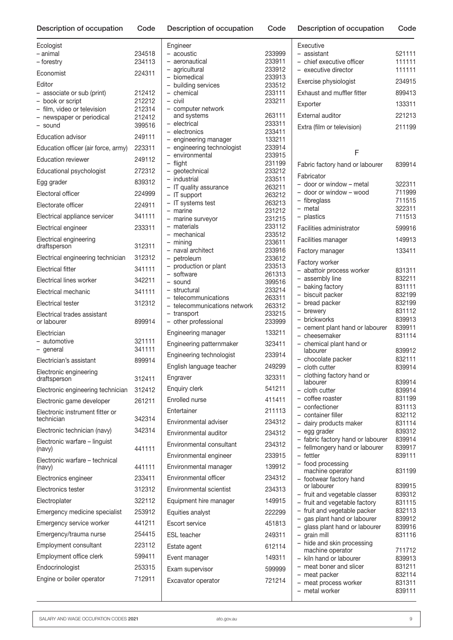| Ecologist                                       |                  | ŀ      |
|-------------------------------------------------|------------------|--------|
| - animal<br>- forestry                          | 234518<br>234113 |        |
| Economist                                       | 224311           |        |
| Editor                                          |                  |        |
| - associate or sub (print)                      | 212412           |        |
| - book or script<br>- film, video or television | 212212<br>212314 |        |
| - newspaper or periodical                       | 212412           |        |
| - sound                                         | 399516           |        |
| <b>Education advisor</b>                        | 249111           |        |
| Education officer (air force, army) 223311      |                  |        |
| <b>Education reviewer</b>                       | 249112           |        |
| Educational psychologist                        | 272312           |        |
| Egg grader                                      | 839312           |        |
| Electoral officer                               | 224999           |        |
| Electorate officer                              | 224911           |        |
| Electrical appliance servicer                   | 341111           |        |
| Electrical engineer                             | 233311           |        |
| Electrical engineering<br>draftsperson          | 312311           |        |
| Electrical engineering technician               | 312312           |        |
| Electrical fitter                               | 341111           |        |
| <b>Electrical lines worker</b>                  | 342211           |        |
| Electrical mechanic                             | 341111           |        |
| Electrical tester                               | 312312           |        |
| Electrical trades assistant                     |                  |        |
| or labourer                                     | 899914           |        |
| Electrician<br>- automotive                     | 321111           | ŀ      |
| - general                                       | 341111           | ŀ      |
| Electrician's assistant                         | 899914           | ŀ      |
| Electronic engineering                          |                  | ŀ      |
| araπsperson                                     | 312411           | ŀ      |
| Electronic engineering technician               | 312412           | ŀ      |
| Electronic game developer                       | 261211           | I      |
| Electronic instrument fitter or<br>technician   | 342314           | I<br>I |
| Electronic technician (navy)                    | 342314           | I      |
| Electronic warfare - linguist                   |                  | I      |
| (navy)<br>Electronic warfare - technical        | 441111           | ŀ      |
| (navy)                                          | 441111           |        |
| Electronics engineer                            | 233411           | ŀ      |
| Electronics tester                              | 312312           | I      |
| Electroplater                                   | 322112           | I      |
| Emergency medicine specialist                   | 253912           |        |
| Emergency service worker                        | 441211           | I      |
| Emergency/trauma nurse                          | 254415           | I      |
| Employment consultant                           | 223112           | I      |
| Employment office clerk                         | 599411           |        |
| Endocrinologist                                 | 253315           | ŀ      |
| Engine or boiler operator                       | 712911           | ŀ      |
|                                                 |                  |        |

| Engineer                                                      |                  |
|---------------------------------------------------------------|------------------|
| – acoustic<br>aeronautical<br>$-$                             | 233999<br>233911 |
| - agricultural                                                | 233912           |
| - biomedical                                                  | 233913           |
| - building services                                           | 233512           |
| - chemical                                                    | 233111           |
| - civil<br>- computer network                                 | 233211           |
| and systems                                                   | 263111           |
| - electrical                                                  | 233311           |
| - electronics                                                 | 233411           |
| - engineering manager<br>- engineering technologist           | 133211<br>233914 |
| - environmental                                               | 233915           |
| - flight                                                      | 231199           |
| - geotechnical                                                | 233212           |
| - industrial<br>- IT quality assurance                        | 233511<br>263211 |
| - IT support                                                  | 263212           |
| - IT systems test                                             | 263213           |
| - marine                                                      | 231212           |
| - marine surveyor                                             | 231215           |
| - materials<br>- mechanical                                   | 233112<br>233512 |
| - mining                                                      | 233611           |
| - naval architect                                             | 233916           |
| - petroleum                                                   | 233612           |
| - production or plant<br>- software                           | 233513<br>261313 |
| - sound                                                       | 399516           |
| - structural                                                  | 233214           |
| - telecommunications                                          | 263311           |
| - telecommunications network                                  | 263312           |
| - transport<br>other professional<br>$\overline{\phantom{0}}$ | 233215<br>233999 |
|                                                               | 133211           |
| Engineering manager                                           |                  |
| Engineering patternmaker                                      | 323411           |
| Engineering technologist                                      | 233914           |
| English language teacher                                      | 249299           |
| Engraver                                                      | 323311           |
| Enquiry clerk                                                 | 541211           |
| Enrolled nurse                                                | 411411           |
| Entertainer                                                   | 211113           |
| Environmental adviser                                         | 234312           |
| Environmental auditor                                         | 234312           |
| Environmental consultant                                      | 234312           |
|                                                               |                  |
| Environmental engineer                                        | 233915           |
| Environmental manager                                         | 139912           |
| Environmental officer                                         | 234312           |
| <b>Environmental scientist</b>                                | 234313           |
| Equipment hire manager                                        | 149915           |
| Equities analyst                                              | 222299           |
| <b>Escort service</b>                                         | 451813           |
| <b>ESL</b> teacher                                            | 249311           |
|                                                               |                  |
| Estate agent                                                  | 612114           |
| Event manager                                                 | 149311           |
| Exam supervisor                                               | 599999           |
| Excavator operator                                            | 721214           |
|                                                               |                  |
|                                                               |                  |

| Executive                                                |                  |
|----------------------------------------------------------|------------------|
| - assistant                                              | 521111           |
| - chief executive officer                                | 111111           |
| - executive director                                     | 111111           |
| Exercise physiologist                                    | 234915           |
| <b>Exhaust and muffler fitter</b>                        | 899413           |
| Exporter                                                 | 133311           |
| External auditor                                         | 221213           |
| Extra (film or television)                               | 211199           |
|                                                          |                  |
| F                                                        |                  |
| Fabric factory hand or labourer                          | 839914           |
|                                                          |                  |
| Fabricator                                               |                  |
| - door or window - metal                                 | 322311<br>711999 |
| - door or window - wood                                  | 711515           |
| - fibreglass<br>- metal                                  | 322311           |
| - plastics                                               | 711513           |
|                                                          |                  |
| Facilities administrator                                 | 599916           |
| Facilities manager                                       | 149913           |
| Factory manager                                          | 133411           |
| Factory worker                                           |                  |
| - abattoir process worker                                | 831311           |
| - assembly line                                          | 832211           |
| - baking factory                                         | 831111           |
| - biscuit packer                                         | 832199           |
| - bread packer                                           | 832199           |
| - brewery                                                | 831112           |
| - brickworks                                             | 839913           |
| - cement plant hand or labourer<br>- cheesemaker         | 839911<br>831114 |
| - chemical plant hand or                                 |                  |
| labourer                                                 | 839912           |
| - chocolate packer                                       | 832111           |
| - cloth cutter                                           | 839914           |
| - clothing factory hand or                               | 839914           |
| labourer                                                 |                  |
| – cloth cutter<br>- coffee roaster                       | 839914<br>831199 |
| - confectioner                                           | 831113           |
| - container filler                                       | 832112           |
| - dairy products maker                                   | 831114           |
| - egg grader                                             | 839312           |
| - fabric factory hand or labourer                        | 839914           |
| - fellmongery hand or labourer                           | 839917           |
| fettler                                                  | 839111           |
| food processing                                          |                  |
| machine operator                                         | 831199           |
| - footwear factory hand<br>or labourer                   | 839915           |
| - fruit and vegetable classer                            | 839312           |
| - fruit and vegetable factory                            | 831115           |
| - fruit and vegetable packer                             | 832113           |
| gas plant hand or labourer                               | 839912           |
| glass plant hand or labourer<br>$\overline{\phantom{0}}$ | 839916           |
| grain mill                                               | 831116           |
| hide and skin processing                                 |                  |
| machine operator                                         | 711712           |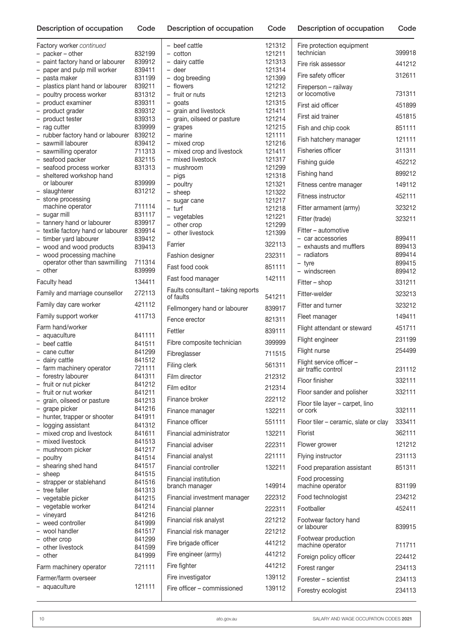| Factory worker continued                       |                  | - beef cattle                   |
|------------------------------------------------|------------------|---------------------------------|
| - packer - other                               | 832199           | - cotton                        |
| - paint factory hand or labourer               | 839912           | - dairy cattle                  |
| - paper and pulp mill worker                   | 839411           | - deer                          |
| - pasta maker                                  | 831199           | - dog breeding                  |
| - plastics plant hand or labourer              | 839211           | - flowers<br>- fruit or nuts    |
| - poultry process worker<br>- product examiner | 831312<br>839311 |                                 |
| - product grader                               | 839312           | - goats<br>- grain and livestoc |
| - product tester                               | 839313           | - grain, oilseed or p           |
| - rag cutter                                   | 839999           | - grapes                        |
| - rubber factory hand or labourer              | 839212           | - marine                        |
| - sawmill labourer                             | 839412           | - mixed crop                    |
| - sawmilling operator                          | 711313           | - mixed crop and li             |
| - seafood packer                               | 832115           | - mixed livestock               |
| - seafood process worker                       | 831313           | - mushroom                      |
| - sheltered workshop hand<br>or labourer       | 839999           | - pigs                          |
| - slaughterer                                  | 831212           | - poultry                       |
| - stone processing                             |                  | - sheep<br>- sugar cane         |
| machine operator                               | 711114           | - turf                          |
| - sugar mill                                   | 831117           | - vegetables                    |
| - tannery hand or labourer                     | 839917           | - other crop                    |
| - textile factory hand or labourer             | 839914           | - other livestock               |
| - timber yard labourer                         | 839412           | Farrier                         |
| - wood and wood products                       | 839413           |                                 |
| - wood processing machine                      | 711314           | Fashion designer                |
| operator other than sawmilling<br>- other      | 839999           | Fast food cook                  |
| Faculty head                                   | 134411           | Fast food manager               |
| Family and marriage counsellor                 | 272113           | Faults consultant -             |
| Family day care worker                         | 421112           | of faults                       |
| Family support worker                          | 411713           | Fellmongery hand o              |
| Farm hand/worker                               |                  | Fence erector                   |
| - aquaculture                                  | 841111           | Fettler                         |
| - beef cattle                                  | 841511           | Fibre composite tec             |
| - cane cutter                                  | 841299           | Fibreglasser                    |
| - dairy cattle                                 | 841512           |                                 |
| - farm machinery operator                      | 721111           | Filing clerk                    |
| - forestry labourer                            | 841311           | Film director                   |
| - fruit or nut picker                          | 841212           | Film editor                     |
| - fruit or nut worker                          | 841211<br>841213 | Finance broker                  |
| - grain, oilseed or pasture<br>- grape picker  | 841216           |                                 |
| - hunter, trapper or shooter                   | 841911           | Finance manager                 |
| - logging assistant                            | 841312           | Finance officer                 |
| - mixed crop and livestock                     | 841611           | Financial administra            |
| - mixed livestock                              | 841513           | Financial adviser               |
| - mushroom picker                              | 841217           |                                 |
| - poultry                                      | 841514           | Financial analyst               |
| - shearing shed hand                           | 841517           | Financial controller            |
| - sheep                                        | 841515           | Financial institution           |
| - strapper or stablehand<br>- tree faller      | 841516<br>841313 | branch manager                  |
| - vegetable picker                             | 841215           | Financial investmen             |
| - vegetable worker                             | 841214           |                                 |
| - vineyard                                     | 841216           | Financial planner               |
| - weed controller                              | 841999           | Financial risk analys           |
| - wool handler                                 | 841517           | Financial risk manag            |
| - other crop                                   | 841299           | Fire brigade officer            |
| - other livestock                              | 841599           |                                 |
| - other                                        | 841999           | Fire engineer (army)            |
| Farm machinery operator                        | 721111           | Fire fighter                    |
| Farmer/farm overseer                           |                  | Fire investigator               |
| - aquaculture                                  | 121111           | Fire officer - commi            |

| - cotton                                             | 121211           | technicia             |
|------------------------------------------------------|------------------|-----------------------|
| - dairy cattle                                       | 121313           | Fire risk a           |
| - deer<br>- dog breeding                             | 121314<br>121399 | Fire safet            |
| - flowers                                            | 121212           | Fireperso             |
| - fruit or nuts                                      | 121213           | or locom              |
| - goats                                              | 121315           | First aid o           |
| - grain and livestock<br>- grain, oilseed or pasture | 121411<br>121214 | First aid t           |
| - grapes                                             | 121215           | Fish and              |
| - marine                                             | 121111           | Fish hatc             |
| - mixed crop                                         | 121216           |                       |
| - mixed crop and livestock<br>- mixed livestock      | 121411<br>121317 | <b>Fisheries</b>      |
| - mushroom                                           | 121299           | Fishing g             |
| - pigs                                               | 121318           | Fishing h             |
| - poultry                                            | 121321           | Fitness c             |
| - sheep<br>- sugar cane                              | 121322<br>121217 | Fitness in            |
| – turf                                               | 121218           | Fitter arm            |
| - vegetables                                         | 121221           | Fitter (tra           |
| - other crop<br>- other livestock                    | 121299<br>121399 | Fitter – a            |
| Farrier                                              |                  | - car aco             |
|                                                      | 322113           | - exhaus              |
| Fashion designer                                     | 232311           | - radiato<br>- tyre   |
| Fast food cook                                       | 851111           | - windsc              |
| Fast food manager                                    | 142111           | $Fitter - sl$         |
| Faults consultant - taking reports<br>of faults      | 541211           | Fitter-wel            |
| Fellmongery hand or labourer                         | 839917           | Fitter anc            |
| Fence erector                                        | 821311           | Fleet mar             |
| Fettler                                              | 839111           | Flight att            |
| Fibre composite technician                           | 399999           | Flight eng            |
| Fibreglasser                                         | 711515           | Flight nur            |
| Filing clerk                                         | 561311           | Flight ser            |
| Film director                                        | 212312           | air traffic           |
| Film editor                                          | 212314           | Floor finis           |
| Finance broker                                       | 222112           | Floor san             |
| Finance manager                                      | 132211           | Floor tile<br>or cork |
| Finance officer                                      | 551111           | Floor tiler           |
| Financial administrator                              |                  | Florist               |
|                                                      | 132211           |                       |
| Financial adviser                                    | 222311           | Flower gr             |
| Financial analyst                                    | 221111           | Flying ins            |
| Financial controller                                 | 132211           | Food pre              |
| Financial institution<br>branch manager              | 149914           | Food pro<br>machine   |
| Financial investment manager                         | 222312           | Food tecl             |
| Financial planner                                    | 222311           | Footballe             |
| Financial risk analyst                               | 221212           | Footwear              |
| Financial risk manager                               | 221212           | or labour             |
| Fire brigade officer                                 | 441212           | Footwear<br>machine   |
| Fire engineer (army)                                 | 441212           | Foreign p             |
| Fire fighter                                         | 441212           | Forest ra             |
| Fire investigator                                    | 139112           |                       |
| Fire officer - commissioned                          | 139112           | Forester ·            |
|                                                      |                  | Forestry              |

121312

| Fire protection equipment<br>technician         | 399918           |
|-------------------------------------------------|------------------|
| Fire risk assessor                              | 441212           |
| Fire safety officer                             | 312611           |
| Fireperson - railway<br>or locomotive           | 731311           |
| First aid officer                               | 451899           |
| First aid trainer                               | 451815           |
| Fish and chip cook                              | 851111           |
| Fish hatchery manager                           | 121111           |
| Fisheries officer                               | 311311           |
| Fishing guide                                   | 452212           |
| Fishing hand                                    | 899212           |
| Fitness centre manager                          | 149112           |
| Fitness instructor                              | 452111           |
| Fitter armament (army)                          | 323212           |
| Fitter (trade)                                  | 323211           |
| Fitter - automotive                             |                  |
| - car accessories                               | 899411           |
| - exhausts and mufflers<br>- radiators          | 899413<br>899414 |
| - tyre                                          | 899415           |
| - windscreen                                    | 899412           |
| Fitter - shop                                   | 331211           |
| Fitter-welder                                   | 323213           |
| Fitter and turner                               | 323212           |
| Fleet manager                                   | 149411           |
| Flight attendant or steward                     | 451711           |
| Flight engineer                                 | 231199           |
| Flight nurse                                    | 254499           |
| Flight service officer -<br>air traffic control | 231112           |
| Floor finisher                                  | 332111           |
| Floor sander and polisher                       | 332111           |
| Floor tile layer - carpet, lino<br>or cork      | 332111           |
| Floor tiler – ceramic, slate or clay            | 333411           |
| Florist                                         | 362111           |
| Flower grower                                   | 121212           |
| Flying instructor                               | 231113           |
| Food preparation assistant                      | 851311           |
| Food processing<br>machine operator             | 831199           |
| Food technologist                               | 234212           |
| Footballer                                      | 452411           |
| Footwear factory hand<br>or labourer            | 839915           |
| Footwear production<br>machine operator         | 711711           |
| Foreign policy officer                          | 224412           |
| Forest ranger                                   | 234113           |
| Forester - scientist                            | 234113           |
| Forestry ecologist                              | 234113           |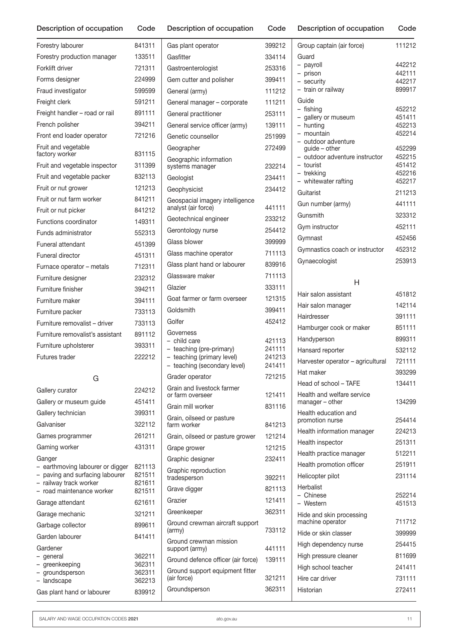Forestry labourer 841311 Forestry production manager 133511 Forklift driver 721311 Forms designer 224999 Fraud investigator 599599 Freight clerk 591211 Freight handler – road or rail 891111 French polisher 394211 Front end loader operator 721216 Fruit and vegetable factory worker 831115 Fruit and vegetable inspector 311399 Fruit and vegetable packer 832113 Fruit or nut grower 121213 Fruit or nut farm worker 841211 Fruit or nut picker 841212 Functions coordinator 149311 Funds administrator 552313 Funeral attendant 451399 Funeral director 451311 Furnace operator – metals 712311 Furniture designer **232312** Furniture finisher 394211 Furniture maker 394111 Furniture packer 733113 Furniture removalist – driver 733113 Furniture removalist's assistant 891112 Furniture upholsterer 393311 Futures trader 222212 G

| Gallery curator                                                                                                                                                                                                     | 224212                                                                       |
|---------------------------------------------------------------------------------------------------------------------------------------------------------------------------------------------------------------------|------------------------------------------------------------------------------|
| Gallery or museum guide                                                                                                                                                                                             | 451411                                                                       |
| Gallery technician                                                                                                                                                                                                  | 399311                                                                       |
| Galvaniser                                                                                                                                                                                                          | 322112                                                                       |
| Games programmer                                                                                                                                                                                                    | 261211                                                                       |
| Gaming worker                                                                                                                                                                                                       | 431311                                                                       |
| Ganger<br>- earthmoving labourer or digger<br>- paving and surfacing labourer<br>- railway track worker<br>- road maintenance worker<br>Garage attendant<br>Garage mechanic<br>Garbage collector<br>Garden labourer | 821113<br>821511<br>821611<br>821511<br>621611<br>321211<br>899611<br>841411 |
| Gardener<br>- general<br>- greenkeeping<br>- groundsperson<br>- landscape                                                                                                                                           | 362211<br>362311<br>362311<br>362213                                         |
| Gas plant hand or labourer                                                                                                                                                                                          | 839912                                                                       |

| Gas plant operator                                         | 399212           |
|------------------------------------------------------------|------------------|
| Gasfitter                                                  | 334114           |
| Gastroenterologist                                         | 253316           |
| Gem cutter and polisher                                    | 399411           |
| General (army)                                             | 111212           |
| General manager - corporate                                | 111211           |
| General practitioner                                       | 253111           |
| General service officer (army)                             | 139111           |
| Genetic counsellor                                         | 251999           |
| Geographer                                                 | 272499           |
| Geographic information<br>systems manager                  | 232214           |
| Geologist                                                  | 234411           |
| Geophysicist                                               | 234412           |
| Geospacial imagery intelligence<br>analyst (air force)     | 441111           |
| Geotechnical engineer                                      | 233212           |
| Gerontology nurse                                          | 254412           |
| Glass blower                                               | 399999           |
| Glass machine operator                                     | 711113           |
| Glass plant hand or labourer                               | 839916           |
| Glassware maker                                            | 711113           |
| Glazier                                                    | 333111           |
| Goat farmer or farm overseer                               | 121315           |
| Goldsmith                                                  | 399411           |
| Golfer                                                     | 452412           |
| Governess                                                  |                  |
| –  child care                                              | 421113           |
| - teaching (pre-primary)                                   | 241111<br>241213 |
| - teaching (primary level)<br>- teaching (secondary level) | 241411           |
| Grader operator                                            | 721215           |
| Grain and livestock farmer                                 |                  |
| or farm overseer                                           | 121411           |
| Grain mill worker                                          | 831116           |
| Grain, oilseed or pasture<br>farm worker                   | 841213           |
| Grain, oilseed or pasture grower                           | 121214           |
| Grape grower                                               | 121215           |
| Graphic designer                                           | 232411           |
| Graphic reproduction<br>tradesperson                       | 392211           |
| Grave digger                                               | 821113           |
| Grazier                                                    | 121411           |
| Greenkeeper                                                | 362311           |
| Ground crewman aircraft support<br>(army)                  | 733112           |
| Ground crewman mission<br>support (army)                   | 441111           |
| Ground defence officer (air force)                         | 139111           |
| Ground support equipment fitter<br>(air force)             | 321211           |
| Groundsperson                                              | 362311           |
|                                                            |                  |

|  |  | Description of occupation Code Description of occupation Code Description of occupation Code |  |
|--|--|----------------------------------------------------------------------------------------------|--|
|  |  |                                                                                              |  |

| Group captain (air force)                                                                          | 111212                                         |
|----------------------------------------------------------------------------------------------------|------------------------------------------------|
| Guard<br>- payroll<br>- prison<br>- security<br>- train or railway                                 | 442212<br>442111<br>442217<br>899917           |
| Guide<br>- fishing<br>- gallery or museum<br>- hunting<br>- mountain<br>- outdoor adventure        | 452212<br>451411<br>452213<br>452214           |
| guide - other<br>- outdoor adventure instructor<br>- tourist<br>- trekking<br>- whitewater rafting | 452299<br>452215<br>451412<br>452216<br>452217 |
| Guitarist                                                                                          | 211213                                         |
| Gun number (army)                                                                                  | 441111                                         |
| Gunsmith                                                                                           | 323312                                         |
| Gym instructor                                                                                     | 452111                                         |
| Gymnast                                                                                            | 452456                                         |
| Gymnastics coach or instructor                                                                     | 452312                                         |
| Gynaecologist                                                                                      | 253913                                         |
|                                                                                                    |                                                |

### H

| Hair salon assistant                          | 451812           |
|-----------------------------------------------|------------------|
| Hair salon manager                            | 142114           |
| Hairdresser                                   | 391111           |
| Hamburger cook or maker                       | 851111           |
| Handyperson                                   | 899311           |
| Hansard reporter                              | 532112           |
| Harvester operator – agricultural             | 721111           |
| Hat maker                                     | 393299           |
| Head of school - TAFE                         | 134411           |
| Health and welfare service<br>manager - other | 134299           |
| Health education and<br>promotion nurse       | 254414           |
| Health information manager                    | 224213           |
| Health inspector                              | 251311           |
| Health practice manager                       | 512211           |
| Health promotion officer                      | 251911           |
| Helicopter pilot                              | 231114           |
| Herbalist<br>- Chinese<br>- Western           | 252214<br>451513 |
| Hide and skin processing<br>machine operator  | 711712           |
| Hide or skin classer                          | 399999           |
| High dependency nurse                         | 254415           |
| High pressure cleaner                         | 811699           |
| High school teacher                           | 241411           |
| Hire car driver                               | 731111           |
| Historian                                     | 272411           |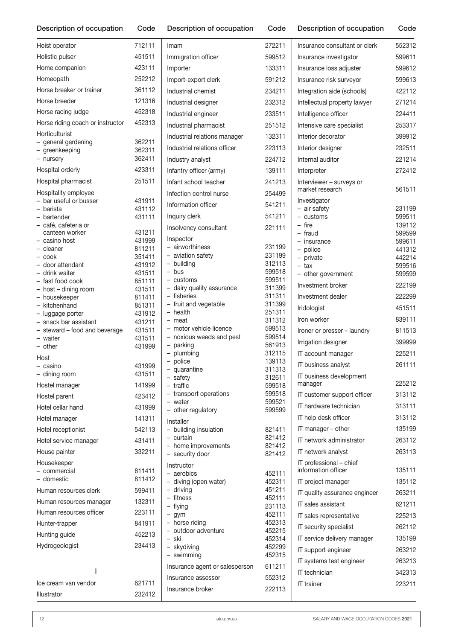| Hoist operator                                 | 712111           | Imam                                   | 272211           |
|------------------------------------------------|------------------|----------------------------------------|------------------|
| Holistic pulser                                | 451511           | Immigration officer                    | 599512           |
| Home companion                                 | 423111           | Importer                               | 133311           |
| Homeopath                                      | 252212           | Import-export clerk                    | 591212           |
| Horse breaker or trainer                       | 361112           | Industrial chemist                     | 234211           |
| Horse breeder                                  | 121316           | Industrial designer                    | 232312           |
| Horse racing judge                             | 452318           | Industrial engineer                    | 233511           |
| Horse riding coach or instructor               | 452313           | Industrial pharmacist                  | 251512           |
| Horticulturist                                 |                  | Industrial relations manager           | 132311           |
| - general gardening                            | 362211           | Industrial relations officer           | 223113           |
| - greenkeeping<br>- nursery                    | 362311<br>362411 | Industry analyst                       | 224712           |
| Hospital orderly                               | 423311           | Infantry officer (army)                | 139111           |
| Hospital pharmacist                            | 251511           | Infant school teacher                  |                  |
|                                                |                  |                                        | 241213           |
| Hospitality employee<br>- bar useful or busser | 431911           | Infection control nurse                | 254499           |
| – barista                                      | 431112           | Information officer                    | 541211           |
| - bartender                                    | 431111           | Inquiry clerk                          | 541211           |
| - café, cafeteria or<br>canteen worker         | 431211           | Insolvency consultant                  | 221111           |
| - casino host                                  | 431999           | Inspector                              |                  |
| - cleaner                                      | 811211           | - airworthiness<br>- aviation safety   | 231199<br>231199 |
| - cook<br>- door attendant                     | 351411<br>431912 | - building                             | 312113           |
| - drink waiter                                 | 431511           | - bus                                  | 599518           |
| - fast food cook                               | 851111           | - customs                              | 599511           |
| - host - dining room                           | 431511           | - dairy quality assurance              | 311399           |
| - housekeeper                                  | 811411           | - fisheries                            | 311311           |
| - kitchenhand                                  | 851311           | - fruit and vegetable<br>- health      | 311399<br>251311 |
| - luggage porter<br>- snack bar assistant      | 431912<br>431211 | - meat                                 | 311312           |
| - steward - food and beverage                  | 431511           | - motor vehicle licence                | 599513           |
| - waiter                                       | 431511           | - noxious weeds and pest               | 599514           |
| - other                                        | 431999           | - parking                              | 561913           |
| Host                                           |                  | - plumbing<br>- police                 | 312115           |
| - casino                                       | 431999           | - quarantine                           | 139113<br>311313 |
| - dining room                                  | 431511           | - safety                               | 312611           |
| Hostel manager                                 | 141999           | - traffic                              | 599518           |
| Hostel parent                                  | 423412           | - transport operations                 | 599518           |
| Hotel cellar hand                              | 431999           | - water<br>- other regulatory          | 599521<br>599599 |
| Hotel manager                                  | 141311           | Installer                              |                  |
| Hotel receptionist                             | 542113           | - building insulation                  | 821411           |
| Hotel service manager                          | 431411           | - curtain                              | 821412           |
| House painter                                  | 332211           | - home improvements<br>- security door | 821412<br>821412 |
| Housekeeper                                    |                  | Instructor                             |                  |
| - commercial                                   | 811411           | - aerobics                             | 452111           |
| - domestic                                     | 811412           | - diving (open water)                  | 452311           |
| Human resources clerk                          | 599411           | - driving                              | 451211           |
| Human resources manager                        | 132311           | - fitness<br>- flying                  | 452111<br>231113 |
| Human resources officer                        | 223111           | $-$ gym                                | 452111           |
| Hunter-trapper                                 | 841911           | - horse riding                         | 452313           |
| Hunting guide                                  | 452213           | - outdoor adventure                    | 452215           |
| Hydrogeologist                                 | 234413           | – ski                                  | 452314           |
|                                                |                  | - skydiving<br>- swimming              | 452299<br>452315 |
|                                                |                  | Insurance agent or salesperson         | 611211           |
| ı                                              |                  | Insurance assessor                     | 552312           |
| Ice cream van vendor                           | 621711           | Insurance broker                       | 222113           |
| Illustrator                                    | 232412           |                                        |                  |

| Insurance consultant or clerk                  | 552312           |
|------------------------------------------------|------------------|
| Insurance investigator                         | 599611           |
| Insurance loss adjuster                        | 599612           |
| Insurance risk surveyor                        | 599613           |
| Integration aide (schools)                     | 422112           |
| Intellectual property lawyer                   | 271214           |
| Intelligence officer                           | 224411           |
| Intensive care specialist                      | 253317           |
| Interior decorator                             | 399912           |
| Interior designer                              | 232511           |
| Internal auditor                               | 221214           |
| Interpreter                                    | 272412           |
| Interviewer - surveys or<br>market research    | 561511           |
| Investigator                                   |                  |
| - air safety<br>- customs                      | 231199<br>599511 |
| - fire                                         | 139112           |
| - fraud                                        | 599599           |
| - insurance<br>- police                        | 599611<br>441312 |
| - private                                      | 442214           |
| - tax<br>- other government                    | 599516<br>599599 |
| Investment broker                              | 222199           |
| Investment dealer                              | 222299           |
| Iridologist                                    | 451511           |
| Iron worker                                    | 839111           |
| Ironer or presser - laundry                    | 811513           |
| Irrigation designer                            | 399999           |
| IT account manager                             | 225211           |
| IT business analyst                            | 261111           |
| IT business development                        |                  |
| manager                                        | 225212           |
| IT customer support officer                    | 313112           |
| IT hardware technician                         | 313111           |
| IT help desk officer                           | 313112           |
| IT manager – other                             | 135199           |
| IT network administrator                       | 263112           |
| IT network analyst                             | 263113           |
| IT professional - chief<br>information officer | 135111           |
| IT project manager                             | 135112           |
| IT quality assurance engineer                  | 263211           |
| IT sales assistant                             | 621211           |
| IT sales representative                        | 225213           |
| IT security specialist                         | 262112           |
| IT service delivery manager                    | 135199           |
| IT support engineer                            | 263212           |
| IT systems test engineer                       | 263213           |
| IT technician                                  | 342313           |
| <b>IT</b> trainer                              | 223211           |
|                                                |                  |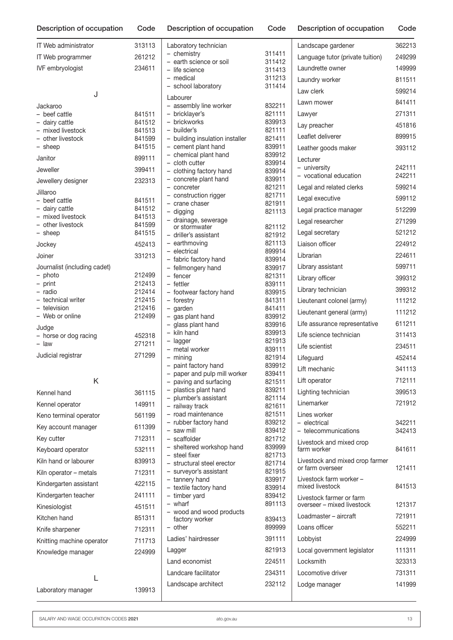| Description of occupation           | Code             | Description of occupation                              | Code             | Description of occupation                              | Code             |
|-------------------------------------|------------------|--------------------------------------------------------|------------------|--------------------------------------------------------|------------------|
| <b>IT Web administrator</b>         | 313113           | Laboratory technician                                  |                  | Landscape gardener                                     | 362213           |
| IT Web programmer                   | 261212           | - chemistry                                            | 311411           | Language tutor (private tuition)                       | 249299           |
| IVF embryologist                    | 234611           | - earth science or soil<br>- life science              | 311412<br>311413 | Laundrette owner                                       | 149999           |
|                                     |                  | - medical                                              | 311213           | Laundry worker                                         | 811511           |
|                                     |                  | - school laboratory                                    | 311414           | Law clerk                                              | 599214           |
| J                                   |                  | Labourer                                               |                  | Lawn mower                                             | 841411           |
| Jackaroo                            |                  | - assembly line worker                                 | 832211           |                                                        |                  |
| - beef cattle<br>- dairy cattle     | 841511<br>841512 | - bricklayer's<br>- brickworks                         | 821111<br>839913 | Lawyer                                                 | 271311           |
| - mixed livestock                   | 841513           | - builder's                                            | 821111           | Lay preacher                                           | 451816           |
| - other livestock                   | 841599           | - building insulation installer                        | 821411           | Leaflet deliverer                                      | 899915           |
| - sheep                             | 841515           | - cement plant hand                                    | 839911<br>839912 | Leather goods maker                                    | 393112           |
| Janitor                             | 899111           | - chemical plant hand<br>- cloth cutter                | 839914           | Lecturer                                               |                  |
| Jeweller                            | 399411           | - clothing factory hand                                | 839914           | - university                                           | 242111<br>242211 |
| Jewellery designer                  | 232313           | - concrete plant hand                                  | 839911           | - vocational education                                 |                  |
| Jillaroo                            |                  | - concreter<br>- construction rigger                   | 821211<br>821711 | Legal and related clerks                               | 599214           |
| - beef cattle                       | 841511           | - crane chaser                                         | 821911           | Legal executive                                        | 599112           |
| - dairy cattle<br>- mixed livestock | 841512           | - digging                                              | 821113           | Legal practice manager                                 | 512299           |
| - other livestock                   | 841513<br>841599 | - drainage, sewerage                                   |                  | Legal researcher                                       | 271299           |
| - sheep                             | 841515           | or stormwater<br>- driller's assistant                 | 821112<br>821912 | Legal secretary                                        | 521212           |
| Jockey                              | 452413           | - earthmoving                                          | 821113           | Liaison officer                                        | 224912           |
| Joiner                              | 331213           | - electrical                                           | 899914           | Librarian                                              | 224611           |
| Journalist (including cadet)        |                  | - fabric factory hand<br>- fellmongery hand            | 839914<br>839917 | Library assistant                                      | 599711           |
| - photo                             | 212499           | - fencer                                               | 821311           | Library officer                                        | 399312           |
| - print                             | 212413           | $-$ fettler                                            | 839111           |                                                        |                  |
| - radio                             | 212414           | - footwear factory hand                                | 839915           | Library technician                                     | 399312           |
| - technical writer<br>- television  | 212415<br>212416 | - forestry<br>$-$ garden                               | 841311<br>841411 | Lieutenant colonel (army)                              | 111212           |
| - Web or online                     | 212499           | - gas plant hand                                       | 839912           | Lieutenant general (army)                              | 111212           |
| Judge                               |                  | - glass plant hand                                     | 839916           | Life assurance representative                          | 611211           |
| - horse or dog racing               | 452318           | - kiln hand                                            | 839913           | Life science technician                                | 311413           |
| - Iaw                               | 271211           | $-$ lagger<br>- metal worker                           | 821913<br>839111 | Life scientist                                         | 234511           |
| Judicial registrar                  | 271299           | - mining                                               | 821914           | Lifeguard                                              | 452414           |
|                                     |                  | - paint factory hand                                   | 839912           | Lift mechanic                                          | 341113           |
| Κ                                   |                  | - paper and pulp mill worker<br>- paving and surfacing | 839411<br>821511 | Lift operator                                          | 712111           |
| Kennel hand                         | 361115           | - plastics plant hand                                  | 839211           | Lighting technician                                    | 399513           |
|                                     |                  | - plumber's assistant                                  | 821114           | Linemarker                                             | 721912           |
| Kennel operator                     | 149911           | - railway track                                        | 821611           |                                                        |                  |
| Keno terminal operator              | 561199           | - road maintenance<br>- rubber factory hand            | 821511<br>839212 | Lines worker<br>- electrical                           | 342211           |
| Key account manager                 | 611399           | $-$ saw mill                                           | 839412           | - telecommunications                                   | 342413           |
| Key cutter                          | 712311           | - scaffolder                                           | 821712           | Livestock and mixed crop                               |                  |
| Keyboard operator                   | 532111           | - sheltered workshop hand<br>- steel fixer             | 839999<br>821713 | farm worker                                            | 841611           |
| Kiln hand or labourer               | 839913           | - structural steel erector                             | 821714           | Livestock and mixed crop farmer                        |                  |
| Kiln operator - metals              | 712311           | - surveyor's assistant                                 | 821915           | or farm overseer                                       | 121411           |
| Kindergarten assistant              | 422115           | - tannery hand                                         | 839917           | Livestock farm worker -<br>mixed livestock             | 841513           |
| Kindergarten teacher                | 241111           | - textile factory hand<br>- timber yard                | 839914<br>839412 |                                                        |                  |
| Kinesiologist                       | 451511           | $-$ wharf                                              | 891113           | Livestock farmer or farm<br>overseer – mixed livestock | 121317           |
| Kitchen hand                        | 851311           | - wood and wood products                               |                  | Loadmaster - aircraft                                  | 721911           |
|                                     |                  | factory worker<br>$-$ other                            | 839413<br>899999 | Loans officer                                          | 552211           |
| Knife sharpener                     | 712311           | Ladies' hairdresser                                    | 391111           |                                                        | 224999           |
| Knitting machine operator           | 711713           |                                                        |                  | Lobbyist                                               |                  |
| Knowledge manager                   | 224999           | Lagger                                                 | 821913           | Local government legislator                            | 111311           |
|                                     |                  | Land economist                                         | 224511           | Locksmith                                              | 323313           |
| L                                   |                  | Landcare facilitator                                   | 234311           | Locomotive driver                                      | 731311           |
| Laboratory manager                  | 139913           | Landscape architect                                    | 232112           | Lodge manager                                          | 141999           |
|                                     |                  |                                                        |                  |                                                        |                  |

| Description or occupation                              | vuue             |
|--------------------------------------------------------|------------------|
| Landscape gardener                                     | 362213           |
| Language tutor (private tuition)                       | 249299           |
| Laundrette owner                                       | 149999           |
| Laundry worker                                         | 811511           |
| Law clerk                                              | 599214           |
| Lawn mower                                             | 841411           |
| Lawyer                                                 | 271311           |
| Lay preacher                                           | 451816           |
| Leaflet deliverer                                      | 899915           |
| Leather goods maker                                    | 393112           |
| Lecturer                                               |                  |
| - university                                           | 242111           |
| - vocational education                                 | 242211           |
| Legal and related clerks                               | 599214           |
| Legal executive                                        | 599112           |
| Legal practice manager                                 | 512299           |
| Legal researcher                                       | 271299           |
| Legal secretary                                        | 521212           |
| Liaison officer                                        | 224912           |
| Librarian                                              | 224611           |
| Library assistant                                      | 599711           |
| Library officer                                        | 399312           |
| Library technician                                     | 399312           |
| Lieutenant colonel (army)                              | 111212           |
| Lieutenant general (army)                              | 111212           |
| Life assurance representative                          | 611211           |
| Life science technician                                | 311413           |
| Life scientist                                         | 234511           |
| Lifeguard                                              | 452414           |
| Lift mechanic                                          | 341113           |
| Lift operator                                          | 712111           |
| Lighting technician                                    | 399513           |
| Linemarker                                             | 721912           |
| Lines worker                                           |                  |
| - electrical<br>- telecommunications                   | 342211<br>342413 |
| Livestock and mixed crop                               |                  |
| farm worker                                            | 841611           |
| Livestock and mixed crop farmer<br>or farm overseer    | 121411           |
| Livestock farm worker -<br>mixed livestock             | 841513           |
| Livestock farmer or farm<br>overseer - mixed livestock | 121317           |
| Loadmaster - aircraft                                  | 721911           |
| Loans officer                                          | 552211           |
| Lobbyist                                               | 224999           |
| Local government legislator                            | 111311           |
| Locksmith                                              | 323313           |
| Locomotive driver                                      | 731311           |
| Lodge manager                                          | 141999           |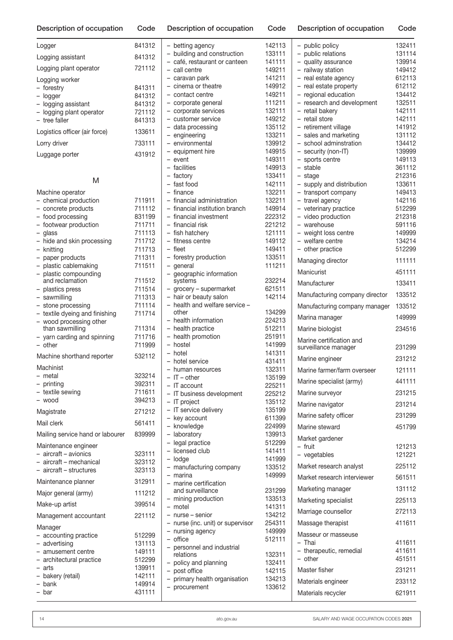| Description of occupation                       | Code             | Description of occupation                         | Code             | Description of occupation                       | Code             |
|-------------------------------------------------|------------------|---------------------------------------------------|------------------|-------------------------------------------------|------------------|
| Logger                                          | 841312           | - betting agency                                  | 142113           | - public policy                                 | 132411           |
| Logging assistant                               | 841312           | - building and construction                       | 133111           | - public relations                              | 131114           |
| Logging plant operator                          | 721112           | - café, restaurant or canteen<br>- call centre    | 141111<br>149211 | - quality assurance<br>- railway station        | 139914<br>149412 |
|                                                 |                  | - caravan park                                    | 141211           | - real estate agency                            | 612113           |
| Logging worker<br>- forestry                    | 841311           | - cinema or theatre                               | 149912           | - real estate property                          | 612112           |
| - logger                                        | 841312           | - contact centre                                  | 149211           | - regional education                            | 134412           |
| - logging assistant                             | 841312           | - corporate general                               | 111211           | - research and development                      | 132511           |
| - logging plant operator                        | 721112           | - corporate services                              | 132111           | - retail bakery                                 | 142111           |
| - tree faller                                   | 841313           | - customer service                                | 149212           | - retail store                                  | 142111           |
| Logistics officer (air force)                   | 133611           | - data processing                                 | 135112           | - retirement village                            | 141912           |
|                                                 | 733111           | - engineering<br>- environmental                  | 133211<br>139912 | - sales and marketing<br>- school adminstration | 131112<br>134412 |
| Lorry driver                                    |                  | - equipment hire                                  | 149915           | - security (non-IT)                             | 139999           |
| Luggage porter                                  | 431912           | - event                                           | 149311           | - sports centre                                 | 149113           |
|                                                 |                  | - facilities                                      | 149913           | - stable                                        | 361112           |
|                                                 |                  | - factory                                         | 133411           | - stage                                         | 212316           |
| M                                               |                  | - fast food                                       | 142111           | - supply and distribution                       | 133611           |
| Machine operator                                |                  | $-$ finance                                       | 132211           | - transport company                             | 149413           |
| - chemical production                           | 711911           | - financial administration                        | 132211           | - travel agency                                 | 142116           |
| - concrete products                             | 711112           | - financial institution branch                    | 149914           | - veterinary practice                           | 512299           |
| - food processing                               | 831199           | - financial investment<br>- financial risk        | 222312<br>221212 | - video production<br>- warehouse               | 212318<br>591116 |
| - footwear production<br>$-$ glass              | 711711<br>711113 | - fish hatchery                                   | 121111           | - weight loss centre                            | 149999           |
| - hide and skin processing                      | 711712           | - fitness centre                                  | 149112           | - welfare centre                                | 134214           |
| - knitting                                      | 711713           | - fleet                                           | 149411           | - other practice                                | 512299           |
| paper products                                  | 711311           | - forestry production                             | 133511           | Managing director                               | 111111           |
| plastic cablemaking                             | 711511           | - general                                         | 111211           |                                                 |                  |
| plastic compounding<br>$\overline{\phantom{0}}$ |                  | - geographic information                          |                  | Manicurist                                      | 451111           |
| and reclamation                                 | 711512           | systems                                           | 232214           | Manufacturer                                    | 133411           |
| - plastics press                                | 711514<br>711313 | - grocery - supermarket<br>- hair or beauty salon | 621511<br>142114 | Manufacturing company director                  | 133512           |
| - sawmilling<br>- stone processing              | 711114           | - health and welfare service -                    |                  |                                                 | 133512           |
| - textile dyeing and finishing                  | 711714           | other                                             | 134299           | Manufacturing company manager                   |                  |
| - wood processing other                         |                  | - health information                              | 224213           | Marina manager                                  | 149999           |
| than sawmilling                                 | 711314           | - health practice                                 | 512211           | Marine biologist                                | 234516           |
| - yarn carding and spinning                     | 711716           | - health promotion                                | 251911           | Marine certification and                        |                  |
| $-$ other                                       | 711999           | - hostel                                          | 141999           | surveillance manager                            | 231299           |
| Machine shorthand reporter                      | 532112           | - hotel                                           | 141311           | Marine engineer                                 | 231212           |
| Machinist                                       |                  | hotel service<br>- human resources                | 431411<br>132311 | Marine farmer/farm overseer                     | 121111           |
| - metal                                         | 323214           | $-$ IT $-$ other                                  | 135199           |                                                 |                  |
| - printing                                      | 392311           | - IT account                                      | 225211           | Marine specialist (army)                        | 441111           |
| - textile sewing                                | 711611           | - IT business development                         | 225212           | Marine surveyor                                 | 231215           |
| - wood                                          | 394213           | $-$ IT project                                    | 135112           | Marine navigator                                | 231214           |
| Magistrate                                      | 271212           | - IT service delivery                             | 135199           |                                                 | 231299           |
| Mail clerk                                      | 561411           | - key account                                     | 611399           | Marine safety officer                           |                  |
|                                                 |                  | - knowledge                                       | 224999           | Marine steward                                  | 451799           |
| Mailing service hand or labourer                | 839999           | - laboratory<br>- legal practice                  | 139913<br>512299 | Market gardener                                 |                  |
| Maintenance engineer                            |                  | - licensed club                                   | 141411           | - fruit                                         | 121213           |
| - aircraft - avionics                           | 323111           | - lodge                                           | 141999           | - vegetables                                    | 121221           |
| - aircraft - mechanical                         | 323112           | - manufacturing company                           | 133512           | Market research analyst                         | 225112           |
| - aircraft - structures                         | 323113           | - marina                                          | 149999           | Market research interviewer                     | 561511           |
| Maintenance planner                             | 312911           | - marine certification                            |                  |                                                 | 131112           |
| Major general (army)                            | 111212           | and surveillance                                  | 231299           | Marketing manager                               |                  |
| Make-up artist                                  | 399514           | - mining production<br>- motel                    | 133513<br>141311 | Marketing specialist                            | 225113           |
|                                                 |                  | - nurse - senior                                  | 134212           | Marriage counsellor                             | 272113           |
| Management accountant                           | 221112           | - nurse (inc. unit) or supervisor                 | 254311           | Massage therapist                               | 411611           |
| Manager                                         |                  | - nursing agency                                  | 149999           |                                                 |                  |
| - accounting practice                           | 512299           | $-$ office                                        | 512111           | Masseur or masseuse<br>- Thai                   | 411611           |
| - advertising<br>- amusement centre             | 131113<br>149111 | - personnel and industrial                        |                  | - therapeutic, remedial                         | 411611           |
| - architectural practice                        | 512299           | relations                                         | 132311           | - other                                         | 451511           |
| - arts                                          | 139911           | - policy and planning                             | 132411           | Master fisher                                   | 231211           |
| - bakery (retail)                               | 142111           | - post office<br>- primary health organisation    | 142115<br>134213 |                                                 |                  |
| - bank                                          | 149914           | - procurement                                     | 133612           | Materials engineer                              | 233112           |
| - bar                                           | 431111           |                                                   |                  | Materials recycler                              | 621911           |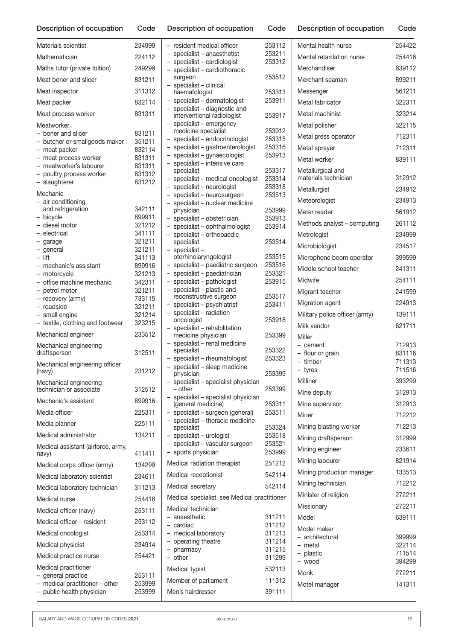| Description of occupation<br>Description of occupation<br>Code<br>Code | Code |
|------------------------------------------------------------------------|------|
|------------------------------------------------------------------------|------|

| Materials scientist                                | 234999           | - resident n                 |
|----------------------------------------------------|------------------|------------------------------|
| Mathematician                                      | 224112           | - specialist                 |
| Maths tutor (private tuition)                      | 249299           | - specialist<br>- specialist |
| Meat boner and slicer                              | 831211           | surgeon                      |
| Meat inspector                                     | 311312           | - specialist<br>haematok     |
| Meat packer                                        | 832114           | - specialist                 |
| Meat process worker                                | 831311           | - specialist<br>interventio  |
| Meatworker                                         |                  | - specialist                 |
| - boner and slicer                                 | 831211           | medicine<br>- specialist     |
| - butcher or smallgoods maker                      | 351211<br>832114 | - specialist                 |
| - meat packer<br>- meat process worker             | 831311           | - specialist                 |
| - meatworker's labourer                            | 831311           | - specialist<br>specialist   |
| - poultry process worker                           | 831312           | - specialist                 |
| $\overline{\phantom{0}}$<br>slaughterer            | 831212           | - specialist                 |
| Mechanic<br>- air conditioning                     |                  | - specialist                 |
| and refrigeration                                  | 342111           | - specialist<br>physician    |
| - bicycle                                          | 899911           | - specialist                 |
| - diesel motor<br>- electrical                     | 321212<br>341111 | - specialist                 |
| - garage                                           | 321211           | - specialist<br>specialist   |
| - general                                          | 321211           | - specialist                 |
| - lift                                             | 341113           | otorhinola                   |
| - mechanic's assistant                             | 899916           | - specialist<br>- specialist |
| - motorcycle<br>- office machine mechanic          | 321213<br>342311 | - specialist                 |
| - petrol motor                                     | 321211           | - specialist                 |
| - recovery (army)                                  | 733115           | reconstru                    |
| - roadside                                         | 321211           | - specialist<br>- specialist |
| - small engine<br>- textile, clothing and footwear | 321214<br>323215 | oncologis                    |
| Mechanical engineer                                | 233512           | - specialist<br>medicine     |
| Mechanical engineering                             |                  | - specialist                 |
| draftsperson                                       | 312511           | specialist                   |
| Mechanical engineering officer                     |                  | - specialist<br>- specialist |
| (navy)                                             | 231212           | physician                    |
| Mechanical engineering<br>technician or associate  | 312512           | - specialist<br>– other      |
| Mechanic's assistant                               | 899916           | - specialist<br>(general n   |
| Media officer                                      | 225311           | - specialist                 |
| Media planner                                      | 225111           | - specialist<br>specialist   |
| Medical administrator                              | 134211           | - specialist                 |
| Medical assistant (airforce, army,<br>navy)        | 411411           | - specialist<br>- sports ph  |
| Medical corps officer (army)                       | 134299           | Medical radi                 |
| Medical laboratory scientist                       | 234611           | Medical rece                 |
| Medical laboratory technician                      | 311213           | Medical sec                  |
| Medical nurse                                      | 254418           | Medical spe                  |
| Medical officer (navy)                             | 253111           | Medical tecl                 |
| Medical officer - resident                         | 253112           | – anaesthet                  |
| Medical oncologist                                 | 253314           | - cardiac<br>- medical la    |
| Medical physicist                                  | 234914           | - operating                  |
|                                                    | 254421           | - pharmacy                   |
| Medical practice nurse                             |                  | - other                      |
| Medical practitioner<br>- general practice         | 253111           | Medical typi                 |
| - medical practitioner - other                     | 253999           | Member of p                  |
| - public health physician                          | 253999           | Men's hairdr                 |

| - resident medical officer                                                              | 253112           |
|-----------------------------------------------------------------------------------------|------------------|
| - specialist - anaesthetist                                                             | 253211           |
| - specialist - cardiologist                                                             | 253312           |
| specialist - cardiothoracic<br>surgeon                                                  | 253512           |
| specialist - clinical                                                                   |                  |
| haematologist                                                                           | 253313           |
| specialist - dermatologist                                                              | 253911           |
| specialist - diagnostic and                                                             |                  |
| interventional radiologist                                                              | 253917           |
| specialist - emergency<br>medicine specialist                                           | 253912           |
| specialist - endocrinologist                                                            | 253315           |
| specialist - gastroenterologist<br>$\overline{\phantom{0}}$                             | 253316           |
| specialist - gynaecologist<br>$\overline{\phantom{0}}$                                  | 253913           |
| specialist - intensive care                                                             |                  |
| specialist                                                                              | 253317           |
| specialist - medical oncologist<br>$\overline{\phantom{0}}$<br>specialist - neurologist | 253314<br>253318 |
| -                                                                                       | 253513           |
| specialist – neurosurgeon<br>specialist – nuclear medicine                              |                  |
| physician                                                                               | 253999           |
| specialist - obstetrician<br>-                                                          | 253913           |
| specialist - ophthalmologist                                                            | 253914           |
| specialist - orthopaedic                                                                |                  |
| specialist                                                                              | 253514           |
| specialist-<br>otorhinolaryngologist                                                    | 253515           |
| specialist - paediatric surgeon<br>$\overline{\phantom{0}}$                             | 253516           |
| specialist - paediatrician<br>-                                                         | 253321           |
| specialist - pathologist<br>specialist - plastic and                                    | 253915           |
|                                                                                         |                  |
| reconstructive surgeon                                                                  | 253517           |
| specialist - psychiatrist<br>specialist - radiation                                     | 253411           |
| oncologist                                                                              | 253918           |
| specialist - rehabilitation                                                             |                  |
| medicine physician                                                                      | 253399           |
| specialist - renal medicine<br>specialist                                               | 253322           |
| - specialist - rheumatologist                                                           | 253323           |
| specialist - sleep medicine                                                             |                  |
| physician                                                                               | 253399           |
| specialist - specialist physician                                                       | 253399           |
| – other<br>- specialist - specialist physician                                          |                  |
| (general medicine)                                                                      | 253311           |
| - specialist - surgeon (general)                                                        | 253511           |
| - specialist - thoracic medicine                                                        |                  |
| specialist                                                                              | 253324           |
| - specialist - urologist<br>- specialist - vascular surgeon                             | 253518<br>253521 |
| - sports physician                                                                      | 253999           |
|                                                                                         |                  |
| Medical radiation therapist                                                             | 251212           |
| Medical receptionist                                                                    | 542114           |
| Medical secretary                                                                       | 542114           |
| Medical specialist see Medical practitioner                                             |                  |
| Medical technician                                                                      |                  |
| – anaesthetic                                                                           | 311211           |
| – cardiac                                                                               | 311212           |
| - medical laboratory                                                                    | 311213           |
| - operating theatre                                                                     | 311214           |
| - pharmacy                                                                              | 311215           |
| - other                                                                                 | 311299           |
| Medical typist                                                                          | 532113           |
| Member of parliament                                                                    | 111312           |
| Men's hairdresser                                                                       | 391111           |
|                                                                                         |                  |

| Mental health nurse                       | 254422           |
|-------------------------------------------|------------------|
| Mental retardation nurse                  | 254416           |
| Merchandiser                              | 639112           |
| Merchant seaman                           | 899211           |
| Messenger                                 | 561211           |
| Metal fabricator                          | 322311           |
| Metal machinist                           | 323214           |
| Metal polisher                            | 322115           |
| Metal press operator                      | 712311           |
| Metal sprayer                             | 712311           |
| Metal worker                              | 839111           |
| Metallurgical and<br>materials technician | 312912           |
| Metallurgist                              | 234912           |
| Meteorologist                             | 234913           |
| Meter reader                              | 561912           |
| Methods analyst – computing               | 261112           |
| Metrologist                               | 234999           |
| Microbiologist                            | 234517           |
| Microphone boom operator                  | 399599           |
| Middle school teacher                     | 241311           |
| Midwife                                   | 254111           |
| Migrant teacher                           | 241599           |
| Migration agent                           | 224913           |
| Military police officer (army)            | 139111           |
| Milk vendor                               | 621711           |
| Miller                                    |                  |
| - cement                                  | 712913           |
| - flour or grain<br>- timber              | 831116<br>711313 |
| tyres                                     | 711516           |
| Milliner                                  | 393299           |
| Mine deputy                               | 312913           |
| Mine supervisor                           | 312913           |
| Miner                                     | 712212           |
| Mining blasting worker                    | 712213           |
| Mining draftsperson                       | 312999           |
| Mining engineer                           | 233611           |
| Mining labourer                           | 821914           |
| Mining production manager                 | 133513           |
| Mining technician                         | 712212           |
| Minister of religion                      | 272211           |
| Missionary                                | 272211           |
| Model                                     | 639111           |
| Model maker                               |                  |
| - architectural<br>- metal                | 399999<br>322114 |
| - plastic                                 | 711514           |
| - wood                                    | 394299           |
| Monk                                      | 272211           |
| Motel manager                             | 141311           |
|                                           |                  |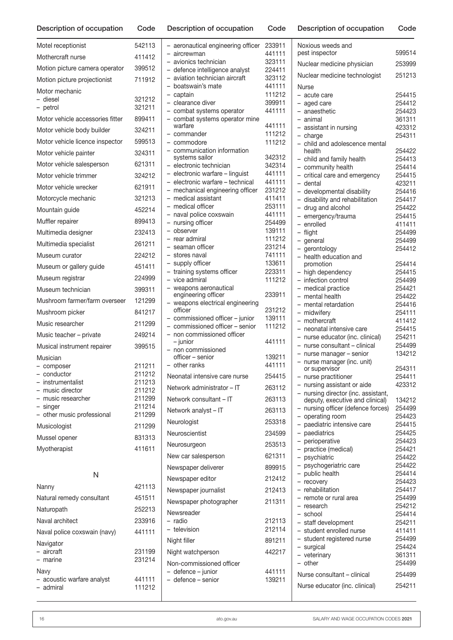n Code Description of occupation Code Description of occupation Code

| Motel receptionist                     | 542113           |
|----------------------------------------|------------------|
| Mothercraft nurse                      | 411412           |
| Motion picture camera operator         | 399512           |
| Motion picture projectionist           | 711912           |
| Motor mechanic                         |                  |
| - diesel<br>- petrol                   | 321212<br>321211 |
| Motor vehicle accessories fitter       | 899411           |
| Motor vehicle body builder             | 324211           |
| Motor vehicle licence inspector        | 599513           |
| Motor vehicle painter                  | 324311           |
| Motor vehicle salesperson              | 621311           |
| Motor vehicle trimmer                  | 324212           |
| Motor vehicle wrecker                  | 621911           |
| Motorcycle mechanic                    | 321213           |
| Mountain guide                         | 452214           |
| Muffler repairer                       | 899413           |
| Multimedia designer                    | 232413           |
| Multimedia specialist                  | 261211           |
| Museum curator                         | 224212           |
| Museum or gallery guide                | 451411           |
| Museum registrar                       | 224999           |
| Museum technician                      | 399311           |
| Mushroom farmer/farm overseer          | 121299           |
| Mushroom picker                        | 841217           |
| Music researcher                       | 211299           |
| Music teacher - private                | 249214           |
| Musical instrument repairer            | 399515           |
| Musician                               |                  |
| - composer<br>- conductor              | 211211<br>211212 |
| - instrumentalist                      | 211213           |
| - music director                       | 211212           |
| - music researcher                     | 211299<br>211214 |
| - singer<br>- other music professional | 211299           |
| Musicologist                           | 211299           |
| Mussel opener                          | 831313           |
| Myotherapist                           | 411611           |
|                                        |                  |
| N                                      |                  |
| Nanny                                  | 421113           |
| Natural remedy consultant              | 451511           |
| Naturopath                             | 252213           |
| Naval architect                        | 233916           |
| Naval police coxswain (navy)           | 441111           |
| Navigator<br>- aircraft                | 231199           |
| - marine                               | 231214           |
| Navy                                   |                  |
| acoustic warfare analyst<br>- admiral  | 441111<br>111212 |

| - aeronautical engineering officer<br>aircrewman                    | 233911<br>441111 |
|---------------------------------------------------------------------|------------------|
| avionics technician                                                 | 323111           |
| - defence intelligence analyst<br>aviation technician aircraft      | 224411<br>323112 |
| - boatswain's mate                                                  | 441111           |
| - captain                                                           | 111212           |
| $\overline{\phantom{0}}$<br>clearance diver                         | 399911<br>441111 |
| - combat systems operator<br>- combat systems operator mine         |                  |
| warfare                                                             | 441111           |
| – commander                                                         | 111212           |
| - commodore<br>- communication information                          | 111212           |
| systems sailor                                                      | 342312           |
| electronic technician                                               | 342314           |
| - electronic warfare - linguist<br>- electronic warfare - technical | 441111<br>441111 |
| mechanical engineering officer<br>$\overline{\phantom{0}}$          | 231212           |
| medical assistant<br>$\overline{\phantom{0}}$                       | 411411           |
| - medical officer                                                   | 253111<br>441111 |
| - naval police coxswain<br>- nursing officer                        | 254499           |
| observer<br>$\overline{\phantom{0}}$                                | 139111           |
| - rear admiral                                                      | 111212           |
| seaman officer<br>- stores naval                                    | 231214<br>741111 |
| supply officer                                                      | 133611           |
| training systems officer<br>$\overline{\phantom{0}}$                | 223311           |
| - vice admiral                                                      | 111212           |
| - weapons aeronautical<br>engineering officer                       | 233911           |
| weapons electrical engineering                                      |                  |
| officer<br>- commissioned officer - junior                          | 231212<br>139111 |
| - commissioned officer - senior                                     | 111212           |
| - non commissioned officer<br>– junior                              | 441111           |
| non commissioned<br>officer - senior                                | 139211           |
| - other ranks                                                       | 441111           |
| Neonatal intensive care nurse                                       | 254415           |
| Network administrator - IT                                          | 263112           |
| Network consultant – IT                                             | 263113           |
| Network analyst - IT                                                | 263113           |
| Neurologist                                                         | 253318           |
| Neuroscientist                                                      | 234599           |
| Neurosurgeon                                                        | 253513           |
| New car salesperson                                                 | 621311           |
| Newspaper deliverer                                                 | 899915           |
| Newspaper editor                                                    | 212412           |
| Newspaper journalist                                                | 212413           |
| Newspaper photographer                                              | 211311           |
| Newsreader                                                          |                  |
| radio<br>- television                                               | 212113<br>212114 |
| Night filler                                                        | 891211           |
| Night watchperson                                                   | 442217           |
| Non-commissioned officer                                            |                  |
| - defence - junior                                                  | 441111           |
| - defence – senior                                                  | 139211           |
|                                                                     |                  |

| Noxious weeds and<br>pest inspector                                    | 599514           |
|------------------------------------------------------------------------|------------------|
| Nuclear medicine physician                                             | 253999           |
| Nuclear medicine technologist                                          | 251213           |
| Nurse                                                                  |                  |
| - acute care                                                           | 254415           |
| - aged care                                                            | 254412           |
| - anaesthetic<br>- animal                                              | 254423<br>361311 |
| - assistant in nursing                                                 | 423312           |
| $-$ charge                                                             | 254311           |
| - child and adolescence mental<br>health                               | 254422           |
| - child and family health                                              | 254413           |
| - community health                                                     | 254414           |
| - critical care and emergency<br>- dental                              | 254415<br>423211 |
| - developmental disability                                             | 254416           |
| - disability and rehabilitation                                        | 254417           |
| - drug and alcohol                                                     | 254422           |
| - emergency/trauma                                                     | 254415           |
| - enrolled<br>- flight                                                 | 411411<br>254499 |
| - general                                                              | 254499           |
| - gerontology                                                          | 254412           |
| - health education and                                                 |                  |
| promotion<br>- high dependency                                         | 254414<br>254415 |
| - infection control                                                    | 254499           |
| - medical practice                                                     | 254421           |
| - mental health                                                        | 254422           |
| - mental retardation                                                   | 254416           |
| - midwifery<br>- mothercraft                                           | 254111<br>411412 |
| - neonatal intensive care                                              | 254415           |
| - nurse educator (inc. clinical)                                       | 254211           |
| - nurse consultant - clinical                                          | 254499           |
| - nurse manager - senior                                               | 134212           |
| - nurse manager (inc. unit)<br>or supervisor                           | 254311           |
| - nurse practitioner                                                   | 254411           |
| - nursing assistant or aide                                            | 423312           |
| - nursing director (inc. assistant,<br>deputy, executive and clinical) | 134212           |
| nursing officer (defence forces)                                       | 254499           |
| - operating room                                                       | 254423           |
| - paediatric intensive care                                            | 254415           |
| - paediatrics                                                          | 254425           |
| - perioperative<br>- practice (medical)                                | 254423<br>254421 |
| - psychiatric                                                          | 254422           |
| - psychogeriatric care                                                 | 254422           |
| - public health                                                        | 254414           |
| - recovery                                                             | 254423           |
| - rehabilitation<br>- remote or rural area                             | 254417<br>254499 |
| - research                                                             | 254212           |
| - school                                                               | 254414           |
| - staff development                                                    | 254211           |
| - student enrolled nurse                                               | 411411           |
| - student registered nurse<br>- surgical                               | 254499<br>254424 |
| - veterinary                                                           | 361311           |
| - other                                                                | 254499           |
| Nurse consultant – clinical                                            | 254499           |
| Nurse educator (inc. clinical)                                         | 254211           |
|                                                                        |                  |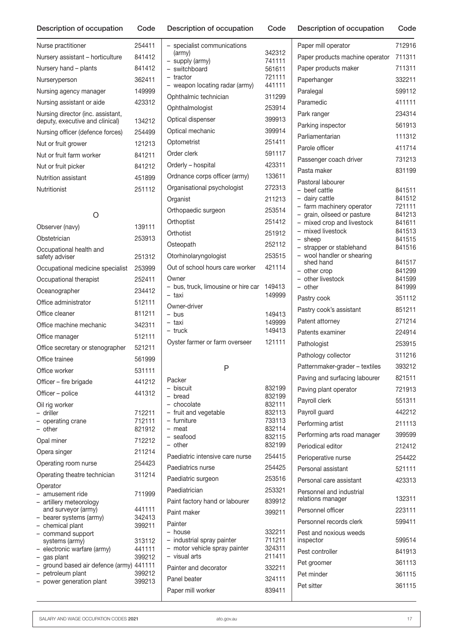| Nurse practitioner                                                   | 254411 |
|----------------------------------------------------------------------|--------|
| Nursery assistant - horticulture                                     | 841412 |
| Nursery hand – plants                                                | 841412 |
| Nurseryperson                                                        | 362411 |
| Nursing agency manager                                               | 149999 |
| Nursing assistant or aide                                            | 423312 |
| Nursing director (inc. assistant,<br>deputy, executive and clinical) | 134212 |
| Nursing officer (defence forces)                                     | 254499 |
| Nut or fruit grower                                                  | 121213 |
| Nut or fruit farm worker                                             | 841211 |
| Nut or fruit picker                                                  | 841212 |
| Nutrition assistant                                                  | 451899 |
| Nutritionist                                                         | 251112 |

### O

| Observer (navy)                                                                                                                                                                                                                                                                                           | 139111                                                                       |
|-----------------------------------------------------------------------------------------------------------------------------------------------------------------------------------------------------------------------------------------------------------------------------------------------------------|------------------------------------------------------------------------------|
| Obstetrician                                                                                                                                                                                                                                                                                              | 253913                                                                       |
| Occupational health and<br>safety adviser                                                                                                                                                                                                                                                                 | 251312                                                                       |
| Occupational medicine specialist                                                                                                                                                                                                                                                                          | 253999                                                                       |
| Occupational therapist                                                                                                                                                                                                                                                                                    | 252411                                                                       |
| Oceanographer                                                                                                                                                                                                                                                                                             | 234412                                                                       |
| Office administrator                                                                                                                                                                                                                                                                                      | 512111                                                                       |
| Office cleaner                                                                                                                                                                                                                                                                                            | 811211                                                                       |
| Office machine mechanic                                                                                                                                                                                                                                                                                   | 342311                                                                       |
| Office manager                                                                                                                                                                                                                                                                                            | 512111                                                                       |
| Office secretary or stenographer                                                                                                                                                                                                                                                                          | 521211                                                                       |
| Office trainee                                                                                                                                                                                                                                                                                            | 561999                                                                       |
| Office worker                                                                                                                                                                                                                                                                                             | 531111                                                                       |
| Officer - fire brigade                                                                                                                                                                                                                                                                                    | 441212                                                                       |
| Officer - police                                                                                                                                                                                                                                                                                          | 441312                                                                       |
| Oil rig worker<br>- driller<br>- operating crane<br>– other                                                                                                                                                                                                                                               | 712211<br>712111<br>821912                                                   |
| Opal miner                                                                                                                                                                                                                                                                                                | 712212                                                                       |
| Opera singer                                                                                                                                                                                                                                                                                              | 211214                                                                       |
| Operating room nurse                                                                                                                                                                                                                                                                                      | 254423                                                                       |
| Operating theatre technician                                                                                                                                                                                                                                                                              | 311214                                                                       |
| Operator<br>amusement ride<br>artillery meteorology<br>and surveyor (army)<br>- bearer systems (army)<br>- chemical plant<br>- command support<br>systems (army)<br>- electronic warfare (army)<br>- gas plant<br>- ground based air defence (army) 441111<br>petroleum plant<br>$\overline{\phantom{0}}$ | 711999<br>441111<br>342413<br>399211<br>313112<br>441111<br>399212<br>399212 |
| power generation plant<br>$\qquad \qquad -$                                                                                                                                                                                                                                                               | 399213                                                                       |

| specialist communications<br>(army)            | 342312           |
|------------------------------------------------|------------------|
| - supply (army)                                | 741111           |
| - switchboard                                  | 561611           |
| - tractor                                      | 721111           |
| - weapon locating radar (army)                 | 441111           |
| Ophthalmic technician                          | 311299           |
| Ophthalmologist                                | 253914           |
| Optical dispenser                              | 399913           |
| Optical mechanic                               | 399914           |
| Optometrist                                    | 251411           |
| Order clerk                                    | 591117           |
| Orderly - hospital                             | 423311           |
| Ordnance corps officer (army)                  | 133611           |
| Organisational psychologist                    | 272313           |
| Organist                                       | 211213           |
| Orthopaedic surgeon                            | 253514           |
| Orthoptist                                     | 251412           |
| Orthotist                                      | 251912           |
| Osteopath                                      | 252112           |
| Otorhinolaryngologist                          | 253515           |
| Out of school hours care worker                | 421114           |
| Owner                                          |                  |
| - bus, truck, limousine or hire car            | 149413           |
| - taxi                                         | 149999           |
| Owner-driver                                   |                  |
| $-$ bus<br>- taxi                              | 149413<br>149999 |
| - truck                                        | 149413           |
| Oyster farmer or farm overseer                 | 121111           |
|                                                |                  |
| P                                              |                  |
| Packer                                         |                  |
| - biscuit                                      | 832199<br>832199 |
| - bread<br>- chocolate                         | 832111           |
| - fruit and vegetable                          | 832113           |
| - furniture                                    | 733113           |
| - meat<br>- seafood                            | 832114<br>832115 |
| - other                                        | 832199           |
| Paediatric intensive care nurse                | 254415           |
| Paediatrics nurse                              | 254425           |
| Paediatric surgeon                             | 253516           |
| Paediatrician                                  | 253321           |
| Paint factory hand or labourer                 | 839912           |
| Paint maker                                    | 399211           |
| Painter                                        |                  |
| – house                                        | 332211           |
| - industrial spray painter                     | 711211           |
| - motor vehicle spray painter<br>- visual arts | 324311<br>211411 |
|                                                |                  |

Description of occupation Code Description of occupation Code Description of occupation Code

| Paper mill operator                                    | 712916           |
|--------------------------------------------------------|------------------|
| Paper products machine operator                        | 711311           |
| Paper products maker                                   | 711311           |
| Paperhanger                                            | 332211           |
| Paralegal                                              | 599112           |
| Paramedic                                              | 411111           |
| Park ranger                                            | 234314           |
| Parking inspector                                      | 561913           |
| Parliamentarian                                        | 111312           |
| Parole officer                                         | 411714           |
| Passenger coach driver                                 | 731213           |
| Pasta maker                                            | 831199           |
| Pastoral labourer                                      |                  |
| - beef cattle                                          | 841511           |
| - dairy cattle<br>- farm machinery operator            | 841512<br>721111 |
| - grain, oilseed or pasture                            | 841213           |
| - mixed crop and livestock                             | 841611           |
| mixed livestock<br>$\overline{\phantom{0}}$<br>- sheep | 841513<br>841515 |
| - strapper or stablehand                               | 841516           |
| - wool handler or shearing                             |                  |
| shed hand<br>- other crop                              | 841517<br>841299 |
| - other livestock                                      | 841599           |
| - other                                                | 841999           |
| Pastry cook                                            | 351112           |
| Pastry cook's assistant                                | 851211           |
| Patent attorney                                        | 271214           |
| Patents examiner                                       | 224914           |
| Pathologist                                            | 253915           |
| Pathology collector                                    | 311216           |
| Patternmaker-grader - textiles                         | 393212           |
| Paving and surfacing labourer                          | 821511           |
| Paving plant operator                                  | 721913           |
| Payroll clerk                                          | 551311           |
| Payroll guard                                          | 442212           |
| Performing artist                                      | 211113           |
| Performing arts road manager                           | 399599           |
| Periodical editor                                      | 212412           |
| Perioperative nurse                                    | 254422           |
| Personal assistant                                     | 521111           |
| Personal care assistant                                | 423313           |
| Personnel and industrial<br>relations manager          | 132311           |
| Personnel officer                                      | 223111           |
| Personnel records clerk                                | 599411           |
| Pest and noxious weeds<br>inspector                    | 599514           |
| Pest controller                                        | 841913           |
| Pet groomer                                            | 361113           |
| Pet minder                                             | 361115           |
| Pet sitter                                             | 361115           |
|                                                        |                  |

Painter and decorator 332211 Panel beater 324111 Paper mill worker 839411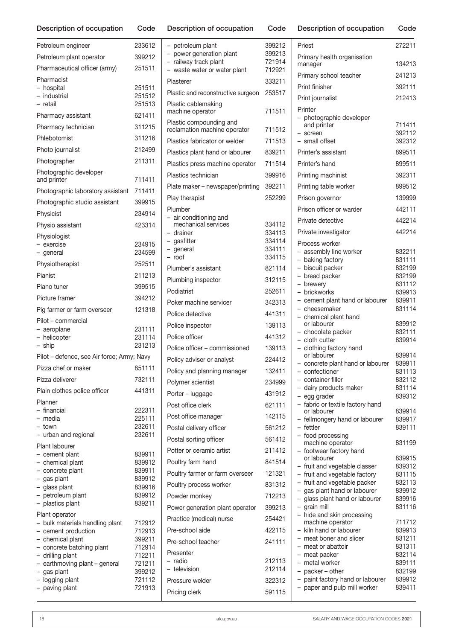| Description of occupation                     | Code             |
|-----------------------------------------------|------------------|
| Petroleum engineer                            | 233612           |
| Petroleum plant operator                      | 399212           |
| Pharmaceutical officer (army)                 | 251511           |
| Pharmacist                                    |                  |
| - hospital                                    | 251511           |
| - industrial<br>- retail                      | 251512<br>251513 |
| Pharmacy assistant                            | 621411           |
| Pharmacy technician                           | 311215           |
| Phlebotomist                                  | 311216           |
|                                               |                  |
| Photo journalist                              | 212499           |
| Photographer                                  | 211311           |
| Photographic developer<br>and printer         | 711411           |
| Photographic laboratory assistant             | 711411           |
| Photographic studio assistant                 | 399915           |
| Physicist                                     | 234914           |
| Physio assistant                              | 423314           |
| Physiologist                                  |                  |
| - exercise                                    | 234915           |
| - general                                     | 234599           |
| Physiotherapist                               | 252511           |
| Pianist                                       | 211213           |
| Piano tuner                                   | 399515           |
| Picture framer                                | 394212           |
| Pig farmer or farm overseer                   | 121318           |
| Pilot - commercial                            |                  |
| - aeroplane<br>- helicopter                   | 231111<br>231114 |
| - ship                                        | 231213           |
| Pilot - defence, see Air force; Army; Navy    |                  |
| Pizza chef or maker                           | 851111           |
| Pizza deliverer                               | 732111           |
| Plain clothes police officer                  | 441311           |
| Planner                                       |                  |
| - financial                                   | 222311           |
| – media<br>- town                             | 225111<br>232611 |
| - urban and regional                          | 232611           |
| Plant labourer                                |                  |
| - cement plant                                | 839911           |
| - chemical plant<br>- concrete plant          | 839912<br>839911 |
| - gas plant                                   | 839912           |
| - glass plant                                 | 839916           |
| - petroleum plant<br>- plastics plant         | 839912<br>839211 |
| Plant operator                                |                  |
| - bulk materials handling plant               | 712912           |
| - cement production                           | 712913           |
| - chemical plant<br>- concrete batching plant | 399211<br>712914 |
| - drilling plant                              | 712211           |
| - earthmoving plant - general                 | 721211<br>399212 |
| - gas plant<br>- logging plant                | 721112           |
| - paving plant                                | 721913           |

| - petroleum plant                                 | 399212           |
|---------------------------------------------------|------------------|
| - power generation plant                          | 399213           |
| railway track plant<br>waste water or water plant | 721914<br>712921 |
| Plasterer                                         | 333211           |
| Plastic and reconstructive surgeon                | 253517           |
| Plastic cablemaking                               |                  |
| machine operator                                  | 711511           |
| Plastic compounding and                           |                  |
| reclamation machine operator                      | 711512           |
| Plastics fabricator or welder                     | 711513           |
| Plastics plant hand or labourer                   | 839211           |
| Plastics press machine operator                   | 711514           |
| Plastics technician                               | 399916           |
| Plate maker - newspaper/printing                  | 392211           |
| Play therapist                                    | 252299           |
| Plumber                                           |                  |
| air conditioning and<br>mechanical services       | 334112           |
| - drainer                                         | 334113           |
| - gasfitter<br>- general                          | 334114<br>334111 |
| - roof                                            | 334115           |
| Plumber's assistant                               | 821114           |
| Plumbing inspector                                | 312115           |
| Podiatrist                                        | 252611           |
| Poker machine servicer                            | 342313           |
| Police detective                                  | 441311           |
| Police inspector                                  | 139113           |
| Police officer                                    | 441312           |
| Police officer – commissioned                     | 139113           |
| Policy adviser or analyst                         | 224412           |
| Policy and planning manager                       | 132411           |
| Polymer scientist                                 | 234999           |
| Porter - luggage                                  | 431912           |
| Post office clerk                                 | 621111           |
| Post office manager                               | 142115           |
| Postal delivery officer                           | 561212           |
| Postal sorting officer                            | 561412           |
| Potter or ceramic artist                          | 211412           |
| Poultry farm hand                                 | 841514           |
| Poultry farmer or farm overseer                   | 121321           |
|                                                   | 831312           |
| Poultry process worker                            | 712213           |
| Powder monkey                                     |                  |
| Power generation plant operator                   | 399213           |
| Practice (medical) nurse                          | 254421           |
| Pre-school aide                                   | 422115           |
| Pre-school teacher                                | 241111           |
| Presenter<br>radio                                | 212113           |
| - television                                      | 212114           |
| Pressure welder                                   | 322312           |
| Pricing clerk                                     | 591115           |

| Priest                                                         | 272211           |
|----------------------------------------------------------------|------------------|
| Primary health organisation<br>manager                         | 134213           |
| Primary school teacher                                         | 241213           |
| Print finisher                                                 | 392111           |
| Print journalist                                               | 212413           |
| Printer                                                        |                  |
| - photographic developer                                       |                  |
| and printer<br>- screen                                        | 711411<br>392112 |
| - small offset                                                 | 392312           |
| Printer's assistant                                            | 899511           |
| Printer's hand                                                 | 899511           |
| Printing machinist                                             | 392311           |
| Printing table worker                                          | 899512           |
| Prison governor                                                | 139999           |
| Prison officer or warder                                       | 442111           |
| Private detective                                              | 442214           |
| Private investigator                                           | 442214           |
| Process worker                                                 |                  |
| assembly line worker                                           | 832211           |
| - baking factory                                               | 831111           |
| - biscuit packer                                               | 832199           |
| - bread packer<br>- brewery                                    | 832199<br>831112 |
| - brickworks                                                   | 839913           |
| - cement plant hand or labourer                                | 839911           |
| - cheesemaker                                                  | 831114           |
| - chemical plant hand                                          |                  |
| or labourer<br>- chocolate packer                              | 839912<br>832111 |
| - cloth cutter                                                 | 839914           |
| - clothing factory hand                                        |                  |
| or labourer                                                    | 839914           |
| - concrete plant hand or labourer                              | 839911           |
| confectioner<br>- container filler                             | 831113<br>832112 |
| - dairy products maker                                         | 831114           |
| - egg grader                                                   | 839312           |
| - fabric or textile factory hand                               |                  |
| or labourer<br>fellmongery hand or labourer                    | 839914<br>839917 |
| - fettler                                                      | 839111           |
| - food processing<br>machine operator                          | 831199           |
| - footwear factory hand                                        |                  |
| or labourer                                                    | 839915           |
| - fruit and vegetable classer                                  | 839312           |
| - fruit and vegetable factory<br>- fruit and vegetable packer  | 831115<br>832113 |
| - gas plant hand or labourer                                   | 839912           |
| - glass plant hand or labourer                                 | 839916           |
| - grain mill                                                   | 831116           |
| - hide and skin processing                                     | 711712           |
| machine operator<br>- kiln hand or labourer                    | 839913           |
| - meat boner and slicer                                        | 831211           |
| - meat or abattoir                                             | 831311           |
| - meat packer                                                  | 832114           |
| - metal worker                                                 | 839111           |
| - packer - other                                               | 832199           |
| - paint factory hand or labourer<br>paper and pulp mill worker | 839912<br>839411 |
|                                                                |                  |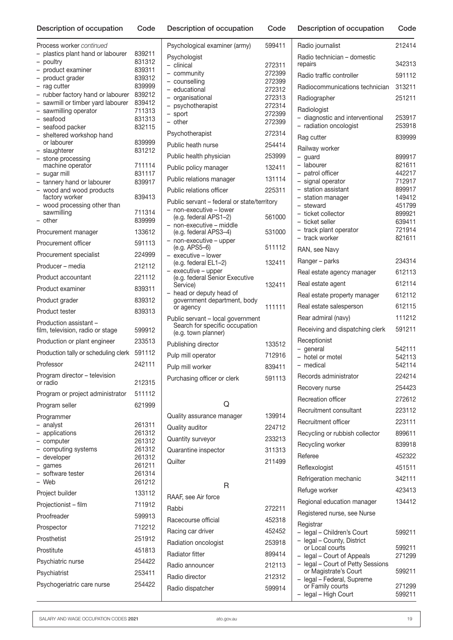| Process worker continued                                           |                  |
|--------------------------------------------------------------------|------------------|
| plastics plant hand or labourer<br>$\overline{\phantom{0}}$        | 839211           |
| poultry<br>product examiner                                        | 831312<br>839311 |
| product grader<br>-                                                | 839312           |
| rag cutter<br>$\overline{a}$                                       | 839999           |
| rubber factory hand or labourer<br>$\overline{\phantom{0}}$        | 839212           |
| sawmill or timber yard labourer<br>sawmilling operator             | 839412<br>711313 |
| seafood                                                            | 831313           |
| seafood packer<br>$\overline{\phantom{0}}$                         | 832115           |
| sheltered workshop hand<br>or labourer                             |                  |
| slaughterer<br>$\overline{\phantom{0}}$                            | 839999<br>831212 |
| stone processing                                                   |                  |
| machine operator                                                   | 711114<br>831117 |
| sugar mill<br>tannery hand or labourer<br>$\overline{\phantom{0}}$ | 839917           |
| wood and wood products                                             |                  |
| factory worker                                                     | 839413           |
| wood processing other than<br>sawmilling                           | 711314           |
| other                                                              | 839999           |
| Procurement manager                                                | 133612           |
| Procurement officer                                                | 591113           |
| Procurement specialist                                             | 224999           |
| Producer - media                                                   | 212112           |
| Product accountant                                                 | 221112           |
| Product examiner                                                   | 839311           |
|                                                                    |                  |
| Product grader                                                     | 839312           |
| Product tester                                                     | 839313           |
| Production assistant -<br>film, television, radio or stage         | 599912           |
| Production or plant engineer                                       | 233513           |
| Production tally or scheduling clerk                               | 591112           |
| Professor                                                          | 242111           |
| Program director - television<br>or radio                          | 212315           |
| Program or project administrator                                   | 511112           |
| Program seller                                                     | 621999           |
| Programmer                                                         |                  |
| - analyst                                                          | 261311           |
| $\overline{\phantom{0}}$<br>applications                           | 261312           |
| - computer<br>- computing systems                                  | 261312<br>261312 |
| - developer                                                        | 261312           |
| - games                                                            | 261211           |
| - software tester<br>- Web                                         | 261314<br>261212 |
|                                                                    |                  |
| Project builder                                                    | 133112           |
| Projectionist - film                                               | 711912           |
| Proofreader                                                        | 599913           |
| Prospector                                                         | 712212           |
| Prosthetist                                                        | 251912           |
| Prostitute                                                         | 451813           |
| Psychiatric nurse                                                  | 254422           |
| Psychiatrist                                                       | 253411           |
| Psychogeriatric care nurse                                         | 254422           |
|                                                                    |                  |

| Psychological examiner (army)                                       | 599411           |  |  |
|---------------------------------------------------------------------|------------------|--|--|
| Psychologist                                                        |                  |  |  |
| - clinical<br>- community                                           | 272311<br>272399 |  |  |
| - counselling                                                       | 272399           |  |  |
| - educational                                                       | 272312           |  |  |
| - organisational                                                    | 272313           |  |  |
| - psychotherapist<br>- sport                                        | 272314<br>272399 |  |  |
| - other                                                             | 272399           |  |  |
| Psychotherapist                                                     | 272314           |  |  |
| Public heath nurse                                                  | 254414           |  |  |
| Public health physician                                             | 253999           |  |  |
| Public policy manager                                               | 132411           |  |  |
| Public relations manager                                            | 131114           |  |  |
| Public relations officer                                            | 225311           |  |  |
| Public servant - federal or state/territory                         |                  |  |  |
| non-executive - lower<br>(e.g. federal APS1-2)                      | 561000           |  |  |
| non-executive - middle                                              |                  |  |  |
| (e.g. federal APS3-4)                                               | 531000           |  |  |
| - non-executive - upper<br>(e.g. APS5-6)                            | 511112           |  |  |
| executive - lower<br>(e.g. federal EL1-2)                           | 132411           |  |  |
| executive - upper<br>(e.g. federal Senior Executive                 |                  |  |  |
| Service)                                                            | 132411           |  |  |
| head or deputy head of<br>government department, body               |                  |  |  |
| or agency                                                           | 111111           |  |  |
| Public servant - local government<br>Search for specific occupation |                  |  |  |
| (e.g. town planner)                                                 |                  |  |  |
| Publishing director                                                 | 133512           |  |  |
| Pulp mill operator                                                  | 712916           |  |  |
| Pulp mill worker                                                    | 839411           |  |  |
| Purchasing officer or clerk                                         | 591113           |  |  |
|                                                                     |                  |  |  |
| Ő                                                                   |                  |  |  |
| Quality assurance manager                                           | 139914           |  |  |
| Quality auditor                                                     | 224712           |  |  |
| Quantity surveyor                                                   | 233213           |  |  |
| Quarantine inspector                                                | 311313           |  |  |
| Quilter                                                             | 211499           |  |  |
|                                                                     |                  |  |  |
| R                                                                   |                  |  |  |
| RAAF, see Air force                                                 |                  |  |  |
| Rabbi                                                               | 272211           |  |  |
| Racecourse official                                                 | 452318           |  |  |
| Racing car driver                                                   | 452452           |  |  |
| Radiation oncologist                                                | 253918           |  |  |
| <b>Radiator fitter</b>                                              | 899414           |  |  |
| Radio announcer                                                     | 212113           |  |  |
|                                                                     |                  |  |  |
| Radio director                                                      | 212312           |  |  |
| Radio dispatcher                                                    | 599914           |  |  |

| Radio journalist                                        | 212414           |
|---------------------------------------------------------|------------------|
| Radio technician - domestic<br>repairs                  | 342313           |
| Radio traffic controller                                | 591112           |
| Radiocommunications technician                          | 313211           |
| Radiographer                                            | 251211           |
| Radiologist                                             |                  |
| - diagnostic and interventional                         | 253917           |
| - radiation oncologist                                  | 253918           |
| Rag cutter                                              | 839999           |
| Railway worker<br>- guard                               | 899917           |
| $\overline{\phantom{0}}$<br>labourer                    | 821611           |
| - patrol officer                                        | 442217           |
| - signal operator<br>- station assistant                | 712917<br>899917 |
| - station manager                                       | 149412           |
| - steward                                               | 451799           |
| - ticket collector                                      | 899921           |
| - ticket seller<br>- track plant operator               | 639411<br>721914 |
| track worker<br>$\overline{\phantom{0}}$                | 821611           |
| RAN, see Navy                                           |                  |
| Ranger – parks                                          | 234314           |
| Real estate agency manager                              | 612113           |
| Real estate agent                                       | 612114           |
| Real estate property manager                            | 612112           |
| Real estate salesperson                                 | 612115           |
| Rear admiral (navy)                                     | 111212           |
| Receiving and dispatching clerk                         | 591211           |
| Receptionist                                            |                  |
| - general<br>$\overline{\phantom{0}}$<br>hotel or motel | 542111<br>542113 |
| - medical                                               | 542114           |
| Records administrator                                   | 224214           |
| Recovery nurse                                          | 254423           |
| Recreation officer                                      | 272612           |
| Recruitment consultant                                  | 223112           |
| Recruitment officer                                     | 223111           |
| Recycling or rubbish collector                          | 899611           |
| Recycling worker                                        | 839918           |
| Referee                                                 | 452322           |
| Reflexologist                                           | 451511           |
| Refrigeration mechanic                                  | 342111           |
| Refuge worker                                           | 423413           |
| Regional education manager                              | 134412           |
| Registered nurse, see Nurse                             |                  |
| Registrar                                               |                  |
| legal - Children's Court                                | 599211           |
| legal - County, District<br>or Local courts             | 599211           |
| - legal - Court of Appeals                              | 271299           |
| - legal - Court of Petty Sessions                       |                  |
| or Magistrate's Court<br>legal - Federal, Supreme       | 599211           |
| or Family courts                                        | 271299           |
| legal - High Court                                      | 599211           |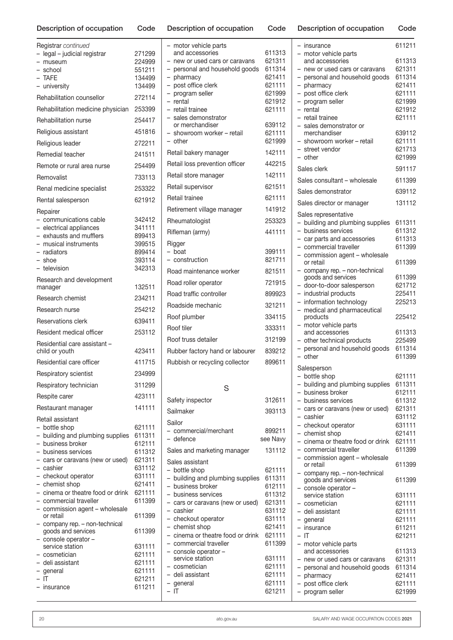| Description of occupation                                                       | Code             | L |
|---------------------------------------------------------------------------------|------------------|---|
| Registrar continued                                                             |                  |   |
| - legal - judicial registrar                                                    | 271299           |   |
| - museum                                                                        | 224999           |   |
| - school                                                                        | 551211           |   |
| - TAFE<br>- university                                                          | 134499<br>134499 |   |
| Rehabilitation counsellor                                                       | 272114           |   |
| Rehabilitation medicine physician 253399                                        |                  |   |
| Rehabilitation nurse                                                            | 254417           |   |
| Religious assistant                                                             | 451816           |   |
|                                                                                 | 272211           |   |
| Religious leader                                                                |                  | F |
| Remedial teacher                                                                | 241511           | F |
| Remote or rural area nurse                                                      | 254499           | F |
| Removalist                                                                      | 733113           | F |
| Renal medicine specialist                                                       | 253322           | F |
| Rental salesperson                                                              | 621912           | F |
| Repairer<br>- communications cable                                              | 342412           |   |
| - electrical appliances                                                         | 341111           | F |
| - exhausts and mufflers                                                         | 899413           | F |
| - musical instruments                                                           | 399515           | F |
| - radiators                                                                     | 899414           |   |
| – shoe                                                                          | 393114           |   |
| - television                                                                    | 342313           | F |
| Research and development<br>manager                                             | 132511           | F |
| Research chemist                                                                | 234211           | F |
| Research nurse                                                                  | 254212           | F |
| Reservations clerk                                                              | 639411           | F |
| Resident medical officer                                                        | 253112           | F |
| Residential care assistant -                                                    |                  | F |
| child or youth                                                                  | 423411           | F |
| Residential care officer                                                        | 411715           | F |
| Respiratory scientist                                                           | 234999           |   |
| Respiratory technician                                                          | 311299           |   |
| Respite carer                                                                   | 423111           | S |
| Restaurant manager                                                              | 141111           | S |
| Retail assistant                                                                |                  | S |
| - bottle shop                                                                   | 621111           |   |
| building and plumbing supplies<br>$\overline{\phantom{0}}$<br>- business broker | 611311<br>612111 |   |
| - business services                                                             | 611312           | S |
| - cars or caravans (new or used)                                                | 621311           | Ś |
| - cashier                                                                       | 631112           |   |
| - checkout operator                                                             | 631111           |   |
| - chemist shop                                                                  | 621411           |   |
| - cinema or theatre food or drink                                               | 621111           |   |
| - commercial traveller<br>- commission agent - wholesale                        | 611399           |   |
| or retail                                                                       | 611399           |   |
| - company rep. - non-technical<br>goods and services                            | 611399           |   |
| - console operator-                                                             |                  |   |
| service station                                                                 | 631111           |   |
| - cosmetician                                                                   | 621111<br>621111 |   |
| - deli assistant<br>- general                                                   | 621111           |   |
| $-$ IT                                                                          | 621211           |   |
| - insurance                                                                     | 611211           |   |

| Description of occupation                            | Code             | Description of occupation                                        | Code             |
|------------------------------------------------------|------------------|------------------------------------------------------------------|------------------|
| Registrar continued                                  |                  | - motor vehicle parts                                            |                  |
| - legal - judicial registrar                         | 271299           | and accessories                                                  | 611313           |
| - museum                                             | 224999<br>551211 | - new or used cars or caravans<br>- personal and household goods | 621311<br>611314 |
| - school<br>- TAFE                                   | 134499           | - pharmacy                                                       | 621411           |
| - university                                         | 134499           | - post office clerk                                              | 621111           |
| Rehabilitation counsellor                            | 272114           | - program seller                                                 | 621999           |
|                                                      |                  | - rental                                                         | 621912           |
| Rehabilitation medicine physician                    | 253399           | - retail trainee                                                 | 621111           |
| Rehabilitation nurse                                 | 254417           | - sales demonstrator<br>or merchandiser                          | 639112           |
| Religious assistant                                  | 451816           | - showroom worker - retail                                       | 621111           |
| Religious leader                                     | 272211           | - other                                                          | 621999           |
| Remedial teacher                                     | 241511           | Retail bakery manager                                            | 142111           |
| Remote or rural area nurse                           | 254499           | Retail loss prevention officer                                   | 442215           |
| Removalist                                           | 733113           | Retail store manager                                             | 142111           |
| Renal medicine specialist                            | 253322           | Retail supervisor                                                | 621511           |
| Rental salesperson                                   | 621912           | Retail trainee                                                   | 621111           |
| Repairer                                             |                  | Retirement village manager                                       | 141912           |
| - communications cable                               | 342412           | Rheumatologist                                                   | 253323           |
| - electrical appliances<br>- exhausts and mufflers   | 341111<br>899413 | Rifleman (army)                                                  | 441111           |
| - musical instruments                                | 399515           | Rigger                                                           |                  |
| - radiators                                          | 899414           | - boat                                                           | 399111           |
| - shoe                                               | 393114           | - construction                                                   | 821711           |
| - television                                         | 342313           | Road maintenance worker                                          | 821511           |
| Research and development<br>manager                  | 132511           | Road roller operator                                             | 721915           |
| Research chemist                                     | 234211           | Road traffic controller                                          | 899923           |
| Research nurse                                       | 254212           | Roadside mechanic                                                | 321211           |
| Reservations clerk                                   | 639411           | Roof plumber                                                     | 334115           |
| Resident medical officer                             | 253112           | Roof tiler                                                       | 333311           |
| Residential care assistant -                         |                  | Roof truss detailer                                              | 312199           |
| child or youth                                       | 423411           | Rubber factory hand or labourer                                  | 839212           |
| Residential care officer                             | 411715           | Rubbish or recycling collector                                   | 899611           |
| Respiratory scientist                                | 234999           |                                                                  |                  |
| Respiratory technician                               | 311299           | S                                                                |                  |
| Respite carer                                        | 423111           | Safety inspector                                                 | 312611           |
| Restaurant manager                                   | 141111           | Sailmaker                                                        | 393113           |
| Retail assistant                                     |                  | Sailor                                                           |                  |
| - bottle shop<br>- building and plumbing supplies    | 621111<br>611311 | - commercial/merchant                                            | 899211           |
| - business broker                                    | 612111           | - defence                                                        | see Navy         |
| - business services                                  | 611312           | Sales and marketing manager                                      | 131112           |
| - cars or caravans (new or used)                     | 621311           | Sales assistant                                                  |                  |
| - cashier                                            | 631112           | - bottle shop                                                    | 621111           |
| - checkout operator<br>- chemist shop                | 631111<br>621411 | - building and plumbing supplies                                 | 611311           |
| - cinema or theatre food or drink                    | 621111           | - business broker<br>- business services                         | 612111<br>611312 |
| - commercial traveller                               | 611399           | - cars or caravans (new or used)                                 | 621311           |
| - commission agent - wholesale                       |                  | - cashier                                                        | 631112           |
| or retail                                            | 611399           | - checkout operator                                              | 631111           |
| - company rep. - non-technical<br>goods and services | 611399           | - chemist shop                                                   | 621411           |
| - console operator-                                  |                  | - cinema or theatre food or drink<br>- commercial traveller      | 621111<br>611399 |
| service station<br>- cosmetician                     | 631111<br>621111 | - console operator-                                              |                  |
| - deli assistant                                     | 621111           | service station                                                  | 631111           |
| - general                                            | 621111           | - cosmetician                                                    | 621111           |
| – IT                                                 | 621211           | - deli assistant                                                 | 621111<br>621111 |
| - insurance                                          | 611211           | - general<br>- IT                                                | 621211           |
|                                                      |                  |                                                                  |                  |

| Description of occupation                                                                                                                                                                                                                                                                                           | Code                                                                                             |
|---------------------------------------------------------------------------------------------------------------------------------------------------------------------------------------------------------------------------------------------------------------------------------------------------------------------|--------------------------------------------------------------------------------------------------|
| - insurance<br>- motor vehicle parts                                                                                                                                                                                                                                                                                | 611211                                                                                           |
| and accessories<br>new or used cars or caravans<br>- personal and household goods<br>- pharmacy<br>- post office clerk<br>- program seller<br>- rental<br>- retail trainee<br>- sales demonstrator or                                                                                                               | 611313<br>621311<br>611314<br>621411<br>621111<br>621999<br>621912<br>621111                     |
| merchandiser<br>- showroom worker – retail<br>- street vendor<br>- other<br>Sales clerk<br>Sales consultant - wholesale                                                                                                                                                                                             | 639112<br>621111<br>621713<br>621999<br>591117<br>611399                                         |
| Sales demonstrator                                                                                                                                                                                                                                                                                                  | 639112                                                                                           |
| Sales director or manager                                                                                                                                                                                                                                                                                           | 131112                                                                                           |
| Sales representative<br>building and plumbing supplies<br>business services<br>$\overline{\phantom{0}}$<br>- car parts and accessories<br>- commercial traveller                                                                                                                                                    | 611311<br>611312<br>611313<br>611399                                                             |
| - commission agent - wholesale<br>or retail                                                                                                                                                                                                                                                                         | 611399                                                                                           |
| - company rep. - non-technical<br>goods and services<br>- door-to-door salesperson<br>- industrial products<br>- information technology<br>- medical and pharmaceutical                                                                                                                                             | 611399<br>621712<br>225411<br>225213                                                             |
| products<br>- motor vehicle parts                                                                                                                                                                                                                                                                                   | 225412                                                                                           |
| and accessories<br>- other technical products<br>- personal and household goods<br>- other                                                                                                                                                                                                                          | 611313<br>225499<br>611314<br>611399                                                             |
| Salesperson<br>bottle shop<br><sup>-</sup><br>building and plumbing supplies<br>- business broker<br>- business services<br>- cars or caravans (new or used)<br>- cashier<br>- checkout operator<br>- chemist shop<br>- cinema or theatre food or drink<br>- commercial traveller<br>- commission agent - wholesale | 621111<br>611311<br>612111<br>611312<br>621311<br>631112<br>631111<br>621411<br>621111<br>611399 |
| or retail<br>- company rep. - non-technical                                                                                                                                                                                                                                                                         | 611399                                                                                           |
| goods and services<br>console operator -<br>service station<br>- cosmetician<br>– deli assistant<br>- general<br>- insurance<br>– IT                                                                                                                                                                                | 611399<br>631111<br>621111<br>621111<br>621111<br>611211<br>621211                               |
| - motor vehicle parts<br>and accessories<br>- new or used cars or caravans<br>- personal and household goods<br>- pharmacy<br>post office clerk<br>program seller                                                                                                                                                   | 611313<br>621311<br>611314<br>621411<br>621111<br>621999                                         |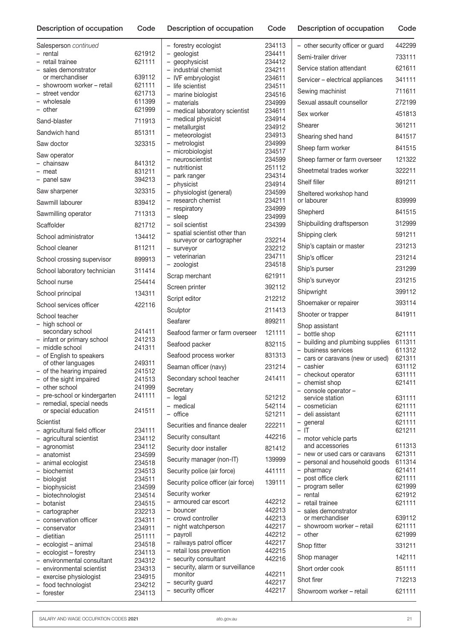| Description of occupation                                | Code             | Description of occupation                          | Code             | Description of occupation             | Code             |
|----------------------------------------------------------|------------------|----------------------------------------------------|------------------|---------------------------------------|------------------|
| Salesperson continued                                    |                  | - forestry ecologist                               | 234113           | - other security officer or guard     | 442299           |
| - rental                                                 | 621912           | - geologist                                        | 234411           | Semi-trailer driver                   | 733111           |
| - retail trainee                                         | 621111           | - geophysicist                                     | 234412           | Service station attendant             | 621611           |
| - sales demonstrator<br>or merchandiser                  | 639112           | - industrial chemist                               | 234211           |                                       |                  |
| - showroom worker - retail                               | 621111           | - IVF embryologist<br>- life scientist             | 234611<br>234511 | Servicer - electrical appliances      | 341111           |
| - street vendor                                          | 621713           | - marine biologist                                 | 234516           | Sewing machinist                      | 711611           |
| - wholesale                                              | 611399           | - materials                                        | 234999           | Sexual assault counsellor             | 272199           |
| $-$ other                                                | 621999           | - medical laboratory scientist                     | 234611           | Sex worker                            | 451813           |
| Sand-blaster                                             | 711913           | - medical physicist                                | 234914           | Shearer                               | 361211           |
| Sandwich hand                                            | 851311           | $-$ metallurgist<br>- meteorologist                | 234912<br>234913 |                                       | 841517           |
| Saw doctor                                               | 323315           | - metrologist                                      | 234999           | Shearing shed hand                    |                  |
| Saw operator                                             |                  | - microbiologist                                   | 234517           | Sheep farm worker                     | 841515           |
| - chainsaw                                               | 841312           | - neuroscientist                                   | 234599           | Sheep farmer or farm overseer         | 121322           |
| - meat                                                   | 831211           | - nutritionist                                     | 251112           | Sheetmetal trades worker              | 322211           |
| - panel saw                                              | 394213           | - park ranger<br>- physicist                       | 234314<br>234914 | Shelf filler                          | 891211           |
| Saw sharpener                                            | 323315           | - physiologist (general)                           | 234599           | Sheltered workshop hand               |                  |
| Sawmill labourer                                         | 839412           | - research chemist                                 | 234211           | or labourer                           | 839999           |
|                                                          | 711313           | - respiratory                                      | 234999           | Shepherd                              | 841515           |
| Sawmilling operator                                      |                  | $-$ sleep                                          | 234999           | Shipbuilding draftsperson             | 312999           |
| Scaffolder                                               | 821712           | - soil scientist<br>- spatial scientist other than | 234399           |                                       | 591211           |
| School administrator                                     | 134412           | surveyor or cartographer                           | 232214           | Shipping clerk                        |                  |
| School cleaner                                           | 811211           | - surveyor                                         | 232212           | Ship's captain or master              | 231213           |
| School crossing supervisor                               | 899913           | - veterinarian                                     | 234711<br>234518 | Ship's officer                        | 231214           |
| School laboratory technician                             | 311414           | - zoologist                                        |                  | Ship's purser                         | 231299           |
| School nurse                                             | 254414           | Scrap merchant                                     | 621911           | Ship's surveyor                       | 231215           |
| School principal                                         | 134311           | Screen printer                                     | 392112           | Shipwright                            | 399112           |
| School services officer                                  | 422116           | Script editor                                      | 212212           | Shoemaker or repairer                 | 393114           |
| School teacher                                           |                  | Sculptor                                           | 211413           | Shooter or trapper                    | 841911           |
| - high school or                                         |                  | Seafarer                                           | 899211           | Shop assistant                        |                  |
| secondary school                                         | 241411           | Seafood farmer or farm overseer                    | 121111           | - bottle shop                         | 621111           |
| - infant or primary school                               | 241213           | Seafood packer                                     | 832115           | - building and plumbing supplies      | 611311           |
| - middle school                                          | 241311           |                                                    | 831313           | - business services                   | 611312           |
| - of English to speakers<br>of other languages           | 249311           | Seafood process worker                             |                  | - cars or caravans (new or used)      | 621311           |
| - of the hearing impaired                                | 241512           | Seaman officer (navy)                              | 231214           | - cashier                             | 631112           |
| - of the sight impaired                                  | 241513           | Secondary school teacher                           | 241411           | - checkout operator<br>- chemist shop | 631111<br>621411 |
| - other school                                           | 241999           | Secretary                                          |                  | - console operator-                   |                  |
| - pre-school or kindergarten                             | 241111           | $-$ legal                                          | 521212           | service station                       | 631111           |
| - remedial, special needs<br>or special education        | 241511           | - medical                                          | 542114           | - cosmetician                         | 621111           |
|                                                          |                  | - office                                           | 521211           | - deli assistant                      | 621111           |
| Scientist                                                |                  | Securities and finance dealer                      | 222211           | - general                             | 621111           |
| - agricultural field officer<br>- agricultural scientist | 234111<br>234112 | Security consultant                                | 442216           | $-$ IT<br>- motor vehicle parts       | 621211           |
| - agronomist                                             | 234112           | Security door installer                            | 821412           | and accessories                       | 611313           |
| - anatomist                                              | 234599           |                                                    |                  | - new or used cars or caravans        | 621311           |
| - animal ecologist                                       | 234518           | Security manager (non-IT)                          | 139999           | - personal and household goods        | 611314           |
| - biochemist                                             | 234513           | Security police (air force)                        | 441111           | - pharmacy                            | 621411           |
| - biologist                                              | 234511           | Security police officer (air force)                | 139111           | - post office clerk                   | 621111           |
| - biophysicist                                           | 234599           | Security worker                                    |                  | - program seller                      | 621999           |
| - biotechnologist<br>- botanist                          | 234514<br>234515 | - armoured car escort                              | 442212           | $-$ rental<br>- retail trainee        | 621912<br>621111 |
| - cartographer                                           | 232213           | - bouncer                                          | 442213           | - sales demonstrator                  |                  |
| - conservation officer                                   | 234311           | - crowd controller                                 | 442213           | or merchandiser                       | 639112           |
| - conservator                                            | 234911           | - night watchperson                                | 442217           | - showroom worker - retail            | 621111           |
| - dietitian                                              | 251111           | - payroll                                          | 442212           | - other                               | 621999           |
| - ecologist - animal                                     | 234518           | - railways patrol officer                          | 442217           | Shop fitter                           | 331211           |
| - ecologist - forestry<br>- environmental consultant     | 234113           | - retail loss prevention<br>- security consultant  | 442215<br>442216 | Shop manager                          | 142111           |
| - environmental scientist                                | 234312<br>234313 | - security, alarm or surveillance                  |                  | Short order cook                      | 851111           |
| - exercise physiologist                                  | 234915           | monitor                                            | 442211           | Shot firer                            | 712213           |
| - food technologist                                      | 234212           | - security guard                                   | 442217           |                                       |                  |
| - forester                                               | 234113           | - security officer                                 | 442217           | Showroom worker - retail              | 621111           |

| Description of occupation                             | Code             |
|-------------------------------------------------------|------------------|
| - other security officer or guard                     | 442299           |
| Semi-trailer driver                                   | 733111           |
| Service station attendant                             | 621611           |
| Servicer - electrical appliances                      | 341111           |
| Sewing machinist                                      | 711611           |
| Sexual assault counsellor                             | 272199           |
| Sex worker                                            | 451813           |
| Shearer                                               | 361211           |
| Shearing shed hand                                    | 841517           |
| Sheep farm worker                                     | 841515           |
| Sheep farmer or farm overseer                         | 121322           |
| Sheetmetal trades worker                              | 322211           |
| Shelf filler                                          | 891211           |
| Sheltered workshop hand                               |                  |
| or labourer                                           | 839999           |
| Shepherd                                              | 841515           |
| Shipbuilding draftsperson                             | 312999           |
| Shipping clerk                                        | 591211           |
| Ship's captain or master                              | 231213           |
| Ship's officer                                        | 231214           |
| Ship's purser                                         | 231299           |
| Ship's surveyor                                       | 231215           |
| Shipwright                                            | 399112           |
| Shoemaker or repairer                                 | 393114           |
| Shooter or trapper                                    | 841911           |
| Shop assistant<br>- bottle shop                       | 621111           |
| building and plumbing supplies                        | 611311           |
| - business services<br>cars or caravans (new or used) | 611312<br>621311 |
| - cashier                                             | 631112           |
| - checkout operator                                   | 631111           |
| - chemist shop<br>- console operator-                 | 621411           |
| service station                                       | 631111           |
| cosmetician<br>- deli assistant                       | 621111<br>621111 |
| - general                                             | 621111           |
| $-$ IT<br>- motor vehicle parts                       | 621211           |
| and accessories                                       | 611313           |
| - new or used cars or caravans                        | 621311<br>611314 |
| - personal and household goods<br>- pharmacy          | 621411           |
| - post office clerk                                   | 621111           |
| - program seller<br>- rental                          | 621999<br>621912 |
| - retail trainee                                      | 621111           |
| sales demonstrator<br>or merchandiser                 | 639112           |
| - showroom worker - retail                            | 621111           |
| - other                                               | 621999           |
| Shop fitter                                           | 331211           |
| Shop manager                                          | 142111           |
| Short order cook                                      | 851111           |
| Shot firer                                            | 712213           |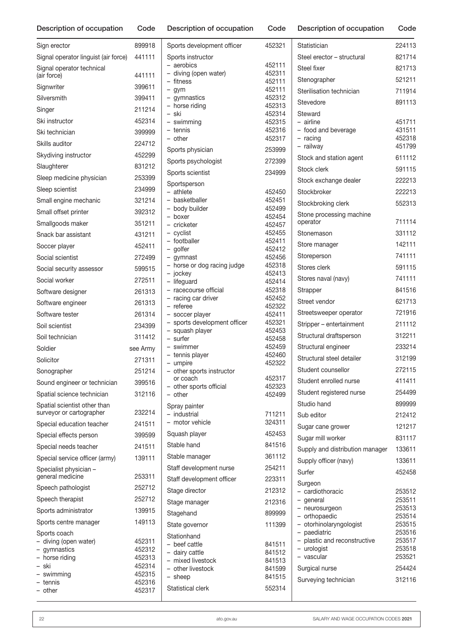| Sign erector                          | 899918           | Sports development officer                      | 452321           | Statistician                                | 224113           |
|---------------------------------------|------------------|-------------------------------------------------|------------------|---------------------------------------------|------------------|
| Signal operator linguist (air force)  | 441111           | Sports instructor                               |                  | Steel erector - structural                  | 821714           |
| Signal operator technical             |                  | - aerobics                                      | 452111           | Steel fixer                                 | 821713           |
| (air force)                           | 441111           | - diving (open water)<br>- fitness              | 452311<br>452111 | Stenographer                                | 521211           |
| Signwriter                            | 399611           | $-$ gym                                         | 452111           | Sterilisation technician                    | 711914           |
| Silversmith                           | 399411           | - gymnastics                                    | 452312           | Stevedore                                   | 891113           |
| Singer                                | 211214           | - horse riding<br>- ski                         | 452313<br>452314 | Steward                                     |                  |
| Ski instructor                        | 452314           | - swimming                                      | 452315           | $-$ airline                                 | 451711           |
| Ski technician                        | 399999           | - tennis                                        | 452316           | - food and beverage                         | 431511           |
| Skills auditor                        | 224712           | - other                                         | 452317           | $-$ racing<br>- railway                     | 452318<br>451799 |
| Skydiving instructor                  | 452299           | Sports physician                                | 253999           | Stock and station agent                     | 611112           |
| Slaughterer                           | 831212           | Sports psychologist                             | 272399           | Stock clerk                                 | 591115           |
| Sleep medicine physician              | 253399           | Sports scientist                                | 234999           |                                             | 222213           |
| Sleep scientist                       | 234999           | Sportsperson                                    |                  | Stock exchange dealer                       |                  |
| Small engine mechanic                 | 321214           | $-$ athlete<br>- basketballer                   | 452450<br>452451 | Stockbroker                                 | 222213           |
| Small offset printer                  | 392312           | - body builder                                  | 452499           | Stockbroking clerk                          | 552313           |
| Smallgoods maker                      | 351211           | - boxer                                         | 452454           | Stone processing machine<br>operator        | 711114           |
|                                       |                  | - cricketer<br>- cvclist                        | 452457<br>452455 | Stonemason                                  | 331112           |
| Snack bar assistant                   | 431211           | - footballer                                    | 452411           | Store manager                               | 142111           |
| Soccer player                         | 452411           | - golfer                                        | 452412           |                                             | 741111           |
| Social scientist                      | 272499           | - gymnast<br>- horse or dog racing judge        | 452456<br>452318 | Storeperson                                 |                  |
| Social security assessor              | 599515           | - jockey                                        | 452413           | Stores clerk                                | 591115           |
| Social worker                         | 272511           | - lifeguard                                     | 452414           | Stores naval (navy)                         | 741111           |
| Software designer                     | 261313           | - racecourse official<br>- racing car driver    | 452318<br>452452 | Strapper                                    | 841516           |
| Software engineer                     | 261313           | - referee                                       | 452322           | Street vendor                               | 621713           |
| Software tester                       | 261314           | - soccer player                                 | 452411           | Streetsweeper operator                      | 721916           |
| Soil scientist                        | 234399           | - sports development officer<br>- squash player | 452321<br>452453 | Stripper – entertainment                    | 211112           |
| Soil technician                       | 311412           | - surfer                                        | 452458           | Structural draftsperson                     | 312211           |
| Soldier                               | see Army         | - swimmer                                       | 452459           | Structural engineer                         | 233214           |
| Solicitor                             | 271311           | - tennis player<br>- umpire                     | 452460<br>452322 | Structural steel detailer                   | 312199           |
| Sonographer                           | 251214           | - other sports instructor                       |                  | Student counsellor                          | 272115           |
| Sound engineer or technician          | 399516           | or coach                                        | 452317<br>452323 | Student enrolled nurse                      | 411411           |
| Spatial science technician            | 312116           | - other sports official<br>$-$ other            | 452499           | Student registered nurse                    | 254499           |
| Spatial scientist other than          |                  | Spray painter                                   |                  | Studio hand                                 | 899999           |
| surveyor or cartographer              | 232214           | - industrial                                    | 711211           | Sub editor                                  | 212412           |
| Special education teacher             | 241511           | - motor vehicle                                 | 324311           | Sugar cane grower                           | 121217           |
| Special effects person                | 399599           | Squash player                                   | 452453           | Sugar mill worker                           | 831117           |
| Special needs teacher                 | 241511           | Stable hand                                     | 841516           | Supply and distribution manager             | 133611           |
| Special service officer (army)        | 139111           | Stable manager                                  | 361112           | Supply officer (navy)                       | 133611           |
| Specialist physician -                |                  | Staff development nurse                         | 254211           | Surfer                                      | 452458           |
| general medicine                      | 253311           | Staff development officer                       | 223311           | Surgeon                                     |                  |
| Speech pathologist                    | 252712           | Stage director                                  | 212312           | - cardiothoracic                            | 253512           |
| Speech therapist                      | 252712           | Stage manager                                   | 212316           | - general                                   | 253511           |
| Sports administrator                  | 139915           | Stagehand                                       | 899999           | - neurosurgeon<br>- orthopaedic             | 253513<br>253514 |
| Sports centre manager                 | 149113           | State governor                                  | 111399           | - otorhinolaryngologist                     | 253515           |
| Sports coach                          |                  | Stationhand                                     |                  | - paediatric                                | 253516           |
| - diving (open water)<br>- gymnastics | 452311<br>452312 | - beef cattle                                   | 841511           | - plastic and reconstructive<br>- urologist | 253517<br>253518 |
| - horse riding                        | 452313           | - dairy cattle<br>- mixed livestock             | 841512<br>841513 | - vascular                                  | 253521           |
| – ski                                 | 452314           | - other livestock                               | 841599           | Surgical nurse                              | 254424           |
| - swimming<br>- tennis                | 452315<br>452316 | $-$ sheep                                       | 841515           | Surveying technician                        | 312116           |
| - other                               | 452317           | Statistical clerk                               | 552314           |                                             |                  |
|                                       |                  |                                                 |                  |                                             |                  |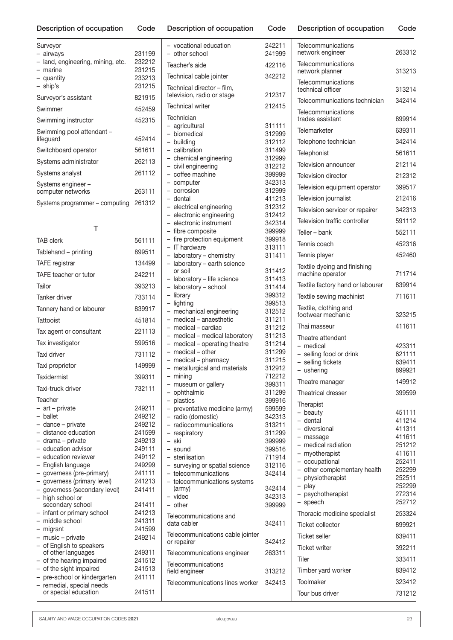Surveyor

– airways 231199 – land, engineering, mining, etc. 232212

| - marine                       | 231215 |
|--------------------------------|--------|
| - quantity                     | 233213 |
| - ship's                       | 231215 |
| Surveyor's assistant           | 821915 |
| Swimmer                        | 452459 |
| Swimming instructor            | 452315 |
| Swimming pool attendant -      |        |
| lifequard                      | 452414 |
| Switchboard operator           | 561611 |
| Systems administrator          | 262113 |
| Systems analyst                | 261112 |
| Systems engineer -             |        |
| computer networks              | 263111 |
| Systems programmer – computing | 261312 |
|                                |        |

| Τ                                                            |                  | - electronic instrument                                  |
|--------------------------------------------------------------|------------------|----------------------------------------------------------|
| <b>TAB clerk</b>                                             | 561111           | - fibre composite<br>- fire protection equipmen          |
| Tablehand – printing                                         | 899511           | - IT hardware                                            |
|                                                              | 134499           | - laboratory - chemistry                                 |
| <b>TAFE</b> registrar                                        |                  | - laboratory - earth sciend<br>or soil                   |
| TAFE teacher or tutor                                        | 242211           | - laboratory - life science                              |
| Tailor                                                       | 393213           | - laboratory - school                                    |
| Tanker driver                                                | 733114           | - library<br>- lighting                                  |
| Tannery hand or labourer                                     | 839917           | - mechanical engineering                                 |
| Tattooist                                                    | 451814           | - medical - anaesthetic                                  |
| Tax agent or consultant                                      | 221113           | - medical - cardiac                                      |
| Tax investigator                                             | 599516           | - medical - medical labora<br>- medical - operating thea |
| Taxi driver                                                  | 731112           | - medical - other                                        |
| Taxi proprietor                                              | 149999           | - medical - pharmacy<br>- metallurgical and materia      |
| Taxidermist                                                  | 399311           | - mining                                                 |
| Taxi-truck driver                                            | 732111           | - museum or gallery                                      |
| Teacher                                                      |                  | - ophthalmic<br>- plastics                               |
| - art - private                                              | 249211           | - preventative medicine (a                               |
| - ballet                                                     | 249212           | - radio (domestic)                                       |
| - dance - private                                            | 249212           | - radiocommunications                                    |
| - distance education                                         | 241599           | - respiratory                                            |
| - drama - private                                            | 249213           | – ski                                                    |
| - education advisor                                          | 249111           | - sound                                                  |
| - education reviewer                                         | 249112           | - sterilisation                                          |
| - English language                                           | 249299           | - surveying or spatial scier                             |
| - governess (pre-primary)                                    | 241111           | - telecommunications                                     |
| - governess (primary level)<br>- governess (secondary level) | 241213<br>241411 | - telecommunications sys<br>(army)                       |
| - high school or                                             |                  | - video                                                  |
| secondary school                                             | 241411           | $-$ other                                                |
| - infant or primary school                                   | 241213           |                                                          |
| - middle school                                              | 241311           | Telecommunications and<br>data cabler                    |
| - migrant                                                    | 241599           |                                                          |
| - music - private                                            | 249214           | Telecommunications cable<br>or repairer                  |
| - of English to speakers                                     |                  |                                                          |
| of other languages<br>- of the hearing impaired              | 249311<br>241512 | Telecommunications engin                                 |
| - of the sight impaired                                      | 241513           | Telecommunications                                       |
| - pre-school or kindergarten                                 | 241111           | field engineer                                           |
| - remedial, special needs                                    |                  | Telecommunications lines y                               |
| or special education                                         | 241511           |                                                          |

| - vocational education                                              | 242211           |
|---------------------------------------------------------------------|------------------|
| - other school                                                      | 241999           |
| Teacher's aide                                                      | 422116           |
| Technical cable jointer                                             | 342212           |
| Technical director - film,<br>television, radio or stage            | 212317           |
| <b>Technical writer</b>                                             | 212415           |
| Technician                                                          |                  |
| agricultural<br>$\overline{\phantom{0}}$                            | 311111           |
| - biomedical                                                        | 312999           |
| - building                                                          | 312112           |
| - calibration                                                       | 311499           |
| - chemical engineering                                              | 312999           |
| - civil engineering                                                 | 312212           |
| - coffee machine                                                    | 399999           |
| - computer<br>- corrosion                                           | 342313<br>312999 |
| - dental                                                            | 411213           |
| - electrical engineering                                            | 312312           |
| - electronic engineering                                            | 312412           |
| - electronic instrument                                             | 342314           |
| - fibre composite                                                   | 399999           |
| - fire protection equipment                                         | 399918           |
| $\overline{a}$<br>IT hardware                                       | 313111           |
| laboratory - chemistry<br>$\overline{\phantom{0}}$                  | 311411           |
| laboratory - earth science                                          |                  |
| or soil                                                             | 311412           |
| laboratory - life science                                           | 311413           |
| laboratory - school                                                 | 311414           |
| $\overline{a}$<br>library<br>$\overline{\phantom{0}}$               | 399312<br>399513 |
| lighting<br>mechanical engineering<br>$\overline{\phantom{0}}$      | 312512           |
| medical - anaesthetic                                               | 311211           |
| - medical - cardiac                                                 | 311212           |
| - medical - medical laboratory                                      | 311213           |
| - medical - operating theatre                                       | 311214           |
| - medical - other                                                   | 311299           |
| - medical - pharmacy                                                | 311215           |
| - metallurgical and materials                                       | 312912           |
| $-$ mining                                                          | 712212           |
| - museum or gallery                                                 | 399311           |
| ophthalmic                                                          | 311299           |
| - plastics                                                          | 399916           |
| preventative medicine (army)<br>-                                   | 599599           |
| radio (domestic)<br>$\overline{\phantom{0}}$<br>radiocommunications | 342313<br>313211 |
| $\overline{\phantom{0}}$<br>respiratory                             | 311299           |
| ski                                                                 | 399999           |
| – sound                                                             | 399516           |
| - sterilisation                                                     | 711914           |
| - surveying or spatial science                                      | 312116           |
| - telecommunications                                                | 342414           |
| - telecommunications systems                                        |                  |
| (army)                                                              | 342414<br>342313 |
| video<br>- other                                                    | 399999           |
|                                                                     |                  |
| Telecommunications and<br>data cabler                               | 342411           |
| Telecommunications cable jointer                                    |                  |
| or repairer                                                         | 342412           |
| Telecommunications engineer<br>Telecommunications                   | 263311           |
| field engineer                                                      | 313212           |
| Telecommunications lines worker                                     | 342413           |
|                                                                     |                  |

| Telecommunications<br>network engineer            | 263312           |
|---------------------------------------------------|------------------|
| Telecommunications<br>network planner             | 313213           |
| Telecommunications<br>technical officer           | 313214           |
| Telecommunications technician                     | 342414           |
| Telecommunications<br>trades assistant            | 899914           |
| Telemarketer                                      | 639311           |
| Telephone technician                              | 342414           |
| Telephonist                                       | 561611           |
| Television announcer                              | 212114           |
| Television director                               | 212312           |
| Television equipment operator                     | 399517           |
| Television journalist                             | 212416           |
| Television servicer or repairer                   | 342313           |
| Television traffic controller                     | 591112           |
| Teller - bank                                     | 552111           |
| Tennis coach                                      | 452316           |
| Tennis player                                     | 452460           |
| Textile dyeing and finishing<br>machine operator  | 711714           |
| Textile factory hand or labourer                  | 839914           |
| Textile sewing machinist                          | 711611           |
| Textile, clothing and<br>footwear mechanic        | 323215           |
| Thai masseur                                      | 411611           |
| Theatre attendant                                 |                  |
| - medical                                         | 423311<br>621111 |
| - selling food or drink<br>- selling tickets      | 639411           |
| - ushering                                        | 899921           |
| Theatre manager                                   | 149912           |
| <b>Theatrical dresser</b>                         | 399599           |
| Therapist                                         |                  |
| - beauty<br>- dental                              | 451111<br>411214 |
| - diversional                                     | 411311           |
| - massage<br>- medical radiation                  | 411611<br>251212 |
| - myotherapist                                    | 411611           |
| - occupational                                    | 252411           |
| - other complementary health<br>- physiotherapist | 252299<br>252511 |
| - play                                            | 252299           |
| - psychotherapist                                 | 272314           |
| - speech                                          | 252712           |
| Thoracic medicine specialist                      | 253324           |
| Ticket collector                                  | 899921           |
| <b>Ticket seller</b><br><b>Ticket writer</b>      | 639411<br>392211 |
| Tiler                                             | 333411           |
| Timber yard worker                                | 839412           |
| Toolmaker                                         | 323412           |
| Tour bus driver                                   | 731212           |
|                                                   |                  |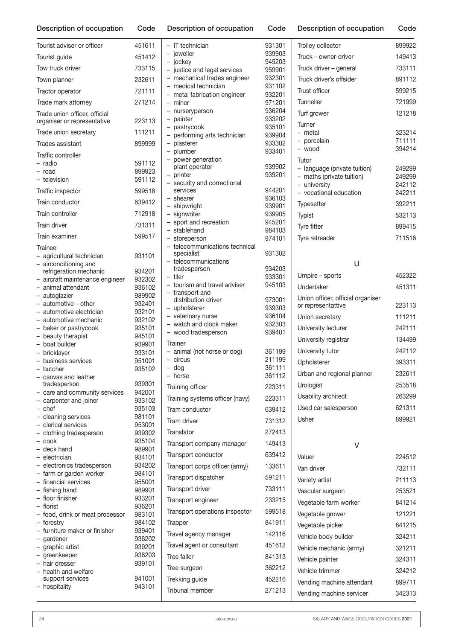n Code Description of occupation Code Description of occupation Code

| Tourist adviser or officer                              | 451611           | $-$ IT technic              |
|---------------------------------------------------------|------------------|-----------------------------|
| Tourist guide                                           | 451412           | - jeweller                  |
| Tow truck driver                                        | 733115           | - jockey<br>- justice and   |
| Town planner                                            | 232611           | - mechanic                  |
| Tractor operator                                        | 721111           | - medical te                |
| Trade mark attorney                                     | 271214           | - metal fabr<br>- miner     |
| Trade union officer, official                           |                  | - nurserype                 |
| organiser or representative                             | 223113           | - painter<br>- pastrycoo    |
| Trade union secretary                                   | 111211           | - performing                |
| Trades assistant                                        | 899999           | - plasterer                 |
| Traffic controller                                      |                  | - plumber<br>- power ger    |
| – radio<br>- road                                       | 591112<br>899923 | plant oper                  |
| - television                                            | 591112           | - printer                   |
| Traffic inspector                                       | 599518           | - security a<br>services    |
| Train conductor                                         | 639412           | - shearer                   |
| Train controller                                        | 712918           | - shipwright                |
|                                                         |                  | - signwriter<br>- sport and |
| Train driver                                            | 731311           | - stablehan                 |
| Train examiner                                          | 599517           | - storeperso                |
| Trainee<br>- agricultural technician                    | 931101           | - telecomm<br>specialist    |
| - airconditioning and                                   |                  | - telecomm                  |
| refrigeration mechanic                                  | 934201           | tradespers<br>– tiler       |
| - aircraft maintenance engineer                         | 932302           | - tourism ar                |
| - animal attendant<br>- autoglazier                     | 936102<br>989902 | - transport                 |
| - automotive - other                                    | 932401           | distributio                 |
| - automotive electrician                                | 932101           | - upholstere                |
| - automotive mechanic                                   | 932102           | - veterinary                |
| - baker or pastrycook                                   | 935101           | - watch and                 |
| - beauty therapist                                      | 945101           | - wood trad                 |
| - boat builder                                          | 939901           | Trainer                     |
| - bricklayer                                            | 933101           | - animal (nc                |
| - business services                                     | 951001           | - circus                    |
| - butcher                                               | 935102           | $-$ dog                     |
| - canvas and leather                                    |                  | - horse                     |
| tradesperson                                            | 939301           | Training offic              |
| - care and community services<br>- carpenter and joiner | 942001<br>933102 | <b>Training syst</b>        |
| – chef                                                  | 935103           | Tram condu                  |
| - cleaning services                                     | 981101           | Tram driver                 |
| - clerical services                                     | 953001           | Translator                  |
| - clothing tradesperson<br>- cook                       | 939302<br>935104 |                             |
| - deck hand                                             | 989901           | Transport co                |
| - electrician                                           | 934101           | Transport co                |
| - electronics tradesperson                              | 934202           | Transport co                |
| - farm or garden worker                                 | 984101           | Transport dis               |
| - financial services<br>- fishing hand                  | 955001<br>989901 | Transport dr                |
| - floor finisher                                        | 933201           | Transport en                |
| - florist                                               | 936201           |                             |
| - food, drink or meat processor                         | 983101           | Transport op                |
| - forestry<br>- furniture maker or finisher             | 984102<br>939401 | Trapper                     |
| - gardener                                              | 936202           | Travel agenc                |
| - graphic artist                                        | 939201           | Travel agent                |
| - greenkeeper                                           | 936203           | Tree faller                 |
| - hair dresser                                          | 939101           | Tree surgeor                |
| - health and welfare<br>support services                | 941001           | Trekking gui                |
| - hospitality                                           | 943101           |                             |

| - IT technician                                                    | 931301           |
|--------------------------------------------------------------------|------------------|
| - ieweller                                                         | 939903           |
| - jockey<br>justice and legal services<br>$\overline{\phantom{0}}$ | 945203<br>959901 |
| - mechanical trades engineer                                       | 932301           |
| medical technician                                                 | 931102           |
| - metal fabrication engineer                                       | 932201           |
| - miner<br>$\overline{\phantom{0}}$<br>nurseryperson               | 971201<br>936204 |
| painter<br>$\overline{\phantom{0}}$                                | 933202           |
| pastrycook                                                         | 935101           |
| performing arts technician                                         | 939904           |
| plasterer<br>$\overline{\phantom{0}}$                              | 933302<br>933401 |
| - plumber<br>power generation                                      |                  |
| plant operator                                                     | 939902           |
| printer                                                            | 939201           |
| security and correctional<br>services                              | 944201           |
| - shearer                                                          | 936103           |
| - shipwright                                                       | 939901           |
| - signwriter                                                       | 939905           |
| - sport and recreation<br>- stablehand                             | 945201<br>984103 |
| - storeperson                                                      | 974101           |
| - telecommunications technical                                     |                  |
| specialist<br>- telecommunications                                 | 931302           |
| tradesperson                                                       | 934203           |
| – tiler                                                            | 933301           |
| - tourism and travel adviser                                       | 945103           |
| transport and<br>$\overline{\phantom{0}}$<br>distribution driver   | 973001           |
| - upholsterer                                                      | 939303           |
| - veterinary nurse                                                 | 936104           |
| - watch and clock maker                                            | 932303           |
|                                                                    |                  |
| wood tradesperson                                                  | 939401           |
| Trainer                                                            |                  |
| animal (not horse or dog)<br>– circus                              | 361199<br>211199 |
| $-$ dog                                                            | 361111           |
| - horse                                                            | 361112           |
| Training officer                                                   | 223311           |
| Training systems officer (navy)                                    | 223311           |
| Tram conductor                                                     | 639412           |
| Tram driver                                                        | 731312           |
| Translator                                                         | 272413           |
| Transport company manager                                          | 149413           |
| Transport conductor                                                | 639412           |
| Transport corps officer (army)                                     | 133611           |
| Transport dispatcher                                               | 591211           |
| Transport driver                                                   | 733111           |
| Transport engineer                                                 | 233215           |
| Transport operations inspector                                     | 599518           |
| Trapper                                                            | 841911           |
|                                                                    | 142116           |
| Travel agency manager                                              | 451612           |
| Travel agent or consultant<br>Tree faller                          | 841313           |
|                                                                    |                  |
| Tree surgeon                                                       | 362212           |
| Trekking guide<br>Tribunal member                                  | 452216<br>271213 |

| Trolley collector                                                                                            | 899922                               |
|--------------------------------------------------------------------------------------------------------------|--------------------------------------|
| Truck - owner-driver                                                                                         | 149413                               |
| Truck driver – general                                                                                       | 733111                               |
| Truck driver's offsider                                                                                      | 891112                               |
| Trust officer                                                                                                | 599215                               |
| Tunneller                                                                                                    | 721999                               |
| Turf grower                                                                                                  | 121218                               |
| Turner<br>- metal<br>- porcelain<br>- wood                                                                   | 323214<br>711111<br>394214           |
| Tutor<br>- language (private tuition)<br>- maths (private tuition)<br>- university<br>- vocational education | 249299<br>249299<br>242112<br>242211 |
| <b>Typesetter</b>                                                                                            | 392211                               |
| Typist                                                                                                       | 532113                               |
| <b>Tyre fitter</b>                                                                                           | 899415                               |
| Tyre retreader                                                                                               | 711516                               |
| U                                                                                                            |                                      |

| Umpire – sports                                         | 452322 |
|---------------------------------------------------------|--------|
| Undertaker                                              | 451311 |
| Union officer, official organiser<br>or representattive | 223113 |
| Union secretary                                         | 111211 |
| University lecturer                                     | 242111 |
| University registrar                                    | 134499 |
| University tutor                                        | 242112 |
| Upholsterer                                             | 393311 |
| Urban and regional planner                              | 232611 |
| Urologist                                               | 253518 |
| Usability architect                                     | 263299 |
| Used car salesperson                                    | 621311 |
| Usher                                                   | 899921 |

V

| Valuer                    | 224512 |
|---------------------------|--------|
| Van driver                | 732111 |
| Variety artist            | 211113 |
| Vascular surgeon          | 253521 |
| Vegetable farm worker     | 841214 |
| Vegetable grower          | 121221 |
| Vegetable picker          | 841215 |
| Vehicle body builder      | 324211 |
| Vehicle mechanic (army)   | 321211 |
| Vehicle painter           | 324311 |
| Vehicle trimmer           | 324212 |
| Vending machine attendant | 899711 |
| Vending machine servicer  | 342313 |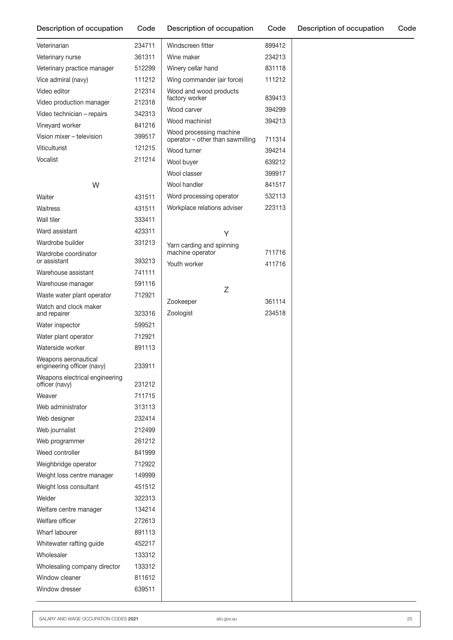| Veterinarian                                       | 234711 | Win         |
|----------------------------------------------------|--------|-------------|
| Veterinary nurse                                   | 361311 | Win         |
| Veterinary practice manager                        | 512299 | Win         |
| Vice admiral (navy)                                | 111212 | Wing        |
| Video editor                                       | 212314 | Woc         |
| Video production manager                           | 212318 | fact        |
| Video technician - repairs                         | 342313 | Woc         |
| Vineyard worker                                    | 841216 | Woc         |
| Vision mixer - television                          | 399517 | Woc<br>oper |
| Viticulturist                                      | 121215 | Woc         |
| Vocalist                                           | 211214 | Woc         |
|                                                    |        | Woc         |
| W                                                  |        | Woc         |
| Waiter                                             | 431511 | Wor         |
| Waitress                                           | 431511 | Wor         |
| Wall tiler                                         | 333411 |             |
| Ward assistant                                     | 423311 |             |
| Wardrobe builder                                   | 331213 |             |
| Wardrobe coordinator                               |        | Yarn<br>mac |
| or assistant                                       | 393213 | Yout        |
| Warehouse assistant                                | 741111 |             |
| Warehouse manager                                  | 591116 |             |
| Waste water plant operator                         | 712921 |             |
| Watch and clock maker                              |        | Zool        |
| and repairer                                       | 323316 | Zool        |
| Water inspector                                    | 599521 |             |
| Water plant operator                               | 712921 |             |
| Waterside worker                                   | 891113 |             |
| Weapons aeronautical<br>engineering officer (navy) | 233911 |             |
| Weapons electrical engineering<br>officer (navy)   | 231212 |             |
| Weaver                                             | 711715 |             |
| Web administrator                                  | 313113 |             |
| Web designer                                       | 232414 |             |
| Web journalist                                     | 212499 |             |
| Web programmer                                     | 261212 |             |
| Weed controller                                    | 841999 |             |
| Weighbridge operator                               | 712922 |             |
| Weight loss centre manager                         | 149999 |             |
| Weight loss consultant                             | 451512 |             |
| Welder                                             | 322313 |             |
| Welfare centre manager                             | 134214 |             |
| Welfare officer                                    | 272613 |             |
| Wharf labourer                                     | 891113 |             |
| Whitewater rafting guide                           | 452217 |             |
| Wholesaler                                         | 133312 |             |
| Wholesaling company director                       | 133312 |             |
| Window cleaner                                     | 811612 |             |
| Window dresser                                     | 639511 |             |
|                                                    |        |             |

| Windscreen fitter                                           | 899412 |
|-------------------------------------------------------------|--------|
| Wine maker                                                  | 234213 |
| Winery cellar hand                                          | 831118 |
| Wing commander (air force)                                  | 111212 |
| Wood and wood products<br>factory worker                    | 839413 |
| Wood carver                                                 | 394299 |
| Wood machinist                                              | 394213 |
| Wood processing machine<br>operator - other than sawmilling | 711314 |
| Wood turner                                                 | 394214 |
| Wool buyer                                                  | 639212 |
| Wool classer                                                | 399917 |
| Wool handler                                                | 841517 |
| Word processing operator                                    | 532113 |
| Workplace relations adviser                                 | 223113 |
|                                                             |        |
| Y                                                           |        |
| Yarn carding and spinning                                   |        |
| machine operator                                            | 711716 |
| Youth worker                                                | 411716 |
|                                                             |        |
| Z                                                           |        |
| Zookeeper                                                   | 361114 |
| Zoologist                                                   | 234518 |
|                                                             |        |
|                                                             |        |
|                                                             |        |
|                                                             |        |
|                                                             |        |
|                                                             |        |
|                                                             |        |
|                                                             |        |
|                                                             |        |
|                                                             |        |
|                                                             |        |
|                                                             |        |
|                                                             |        |
|                                                             |        |
|                                                             |        |
|                                                             |        |
|                                                             |        |
|                                                             |        |
|                                                             |        |
|                                                             |        |
|                                                             |        |
|                                                             |        |
|                                                             |        |
|                                                             |        |
|                                                             |        |
|                                                             |        |